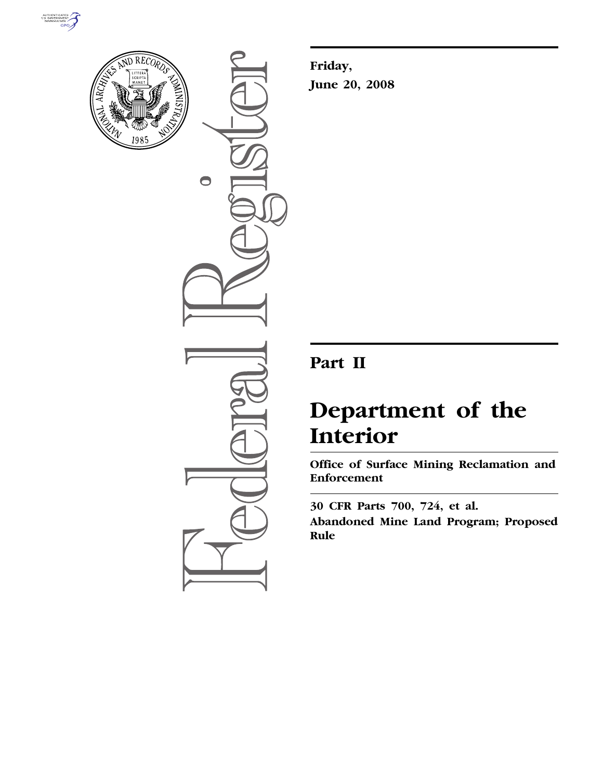



 $\bigcirc$ 

**Friday, June 20, 2008** 

# **Part II**

# **Department of the Interior**

**Office of Surface Mining Reclamation and Enforcement** 

**30 CFR Parts 700, 724, et al. Abandoned Mine Land Program; Proposed Rule**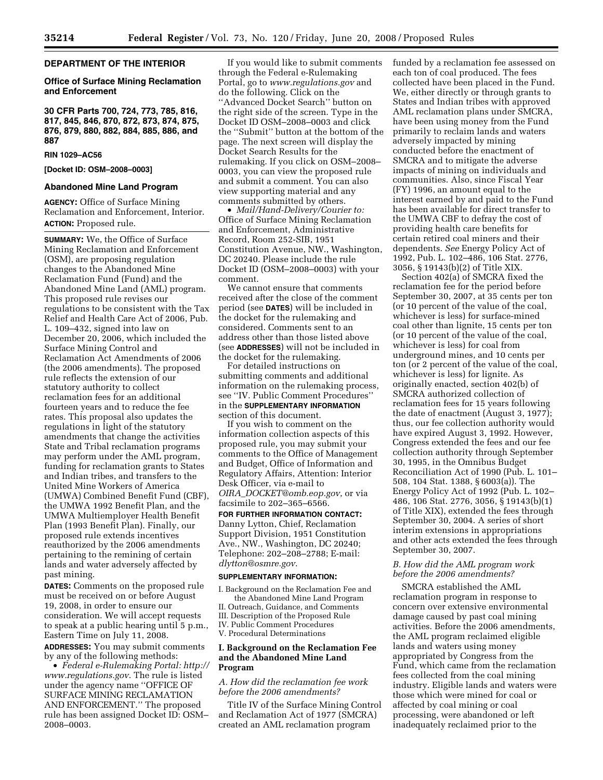# **DEPARTMENT OF THE INTERIOR**

# **Office of Surface Mining Reclamation and Enforcement**

**30 CFR Parts 700, 724, 773, 785, 816, 817, 845, 846, 870, 872, 873, 874, 875, 876, 879, 880, 882, 884, 885, 886, and 887** 

# **RIN 1029–AC56**

# **[Docket ID: OSM–2008–0003]**

# **Abandoned Mine Land Program**

**AGENCY:** Office of Surface Mining Reclamation and Enforcement, Interior. **ACTION:** Proposed rule.

**SUMMARY:** We, the Office of Surface Mining Reclamation and Enforcement (OSM), are proposing regulation changes to the Abandoned Mine Reclamation Fund (Fund) and the Abandoned Mine Land (AML) program. This proposed rule revises our regulations to be consistent with the Tax Relief and Health Care Act of 2006, Pub. L. 109–432, signed into law on December 20, 2006, which included the Surface Mining Control and Reclamation Act Amendments of 2006 (the 2006 amendments). The proposed rule reflects the extension of our statutory authority to collect reclamation fees for an additional fourteen years and to reduce the fee rates. This proposal also updates the regulations in light of the statutory amendments that change the activities State and Tribal reclamation programs may perform under the AML program, funding for reclamation grants to States and Indian tribes, and transfers to the United Mine Workers of America (UMWA) Combined Benefit Fund (CBF), the UMWA 1992 Benefit Plan, and the UMWA Multiemployer Health Benefit Plan (1993 Benefit Plan). Finally, our proposed rule extends incentives reauthorized by the 2006 amendments pertaining to the remining of certain lands and water adversely affected by past mining.

**DATES:** Comments on the proposed rule must be received on or before August 19, 2008, in order to ensure our consideration. We will accept requests to speak at a public hearing until 5 p.m., Eastern Time on July 11, 2008.

**ADDRESSES:** You may submit comments by any of the following methods:

• *Federal e-Rulemaking Portal: http:// www.regulations.gov*. The rule is listed under the agency name ''OFFICE OF SURFACE MINING RECLAMATION AND ENFORCEMENT.'' The proposed rule has been assigned Docket ID: OSM– 2008–0003.

If you would like to submit comments through the Federal e-Rulemaking Portal, go to *www.regulations.gov* and do the following. Click on the ''Advanced Docket Search'' button on the right side of the screen. Type in the Docket ID OSM–2008–0003 and click the ''Submit'' button at the bottom of the page. The next screen will display the Docket Search Results for the rulemaking. If you click on OSM–2008– 0003, you can view the proposed rule and submit a comment. You can also view supporting material and any comments submitted by others.

• *Mail/Hand-Delivery/Courier to:*  Office of Surface Mining Reclamation and Enforcement, Administrative Record, Room 252-SIB, 1951 Constitution Avenue, NW., Washington, DC 20240. Please include the rule Docket ID (OSM–2008–0003) with your comment.

We cannot ensure that comments received after the close of the comment period (see **DATES**) will be included in the docket for the rulemaking and considered. Comments sent to an address other than those listed above (see **ADDRESSES**) will not be included in the docket for the rulemaking.

For detailed instructions on submitting comments and additional information on the rulemaking process, see ''IV. Public Comment Procedures'' in the **SUPPLEMENTARY INFORMATION** section of this document.

If you wish to comment on the information collection aspects of this proposed rule, you may submit your comments to the Office of Management and Budget, Office of Information and Regulatory Affairs, Attention: Interior Desk Officer, via e-mail to *OIRA*\_*DOCKET@omb.eop.gov*, or via facsimile to 202–365–6566.

# **FOR FURTHER INFORMATION CONTACT:**  Danny Lytton, Chief, Reclamation Support Division, 1951 Constitution Ave., NW., Washington, DC 20240; Telephone: 202–208–2788; E-mail: *dlytton@osmre.gov*.

#### **SUPPLEMENTARY INFORMATION:**

I. Background on the Reclamation Fee and the Abandoned Mine Land Program II. Outreach, Guidance, and Comments III. Description of the Proposed Rule IV. Public Comment Procedures V. Procedural Determinations

# **I. Background on the Reclamation Fee and the Abandoned Mine Land Program**

# *A. How did the reclamation fee work before the 2006 amendments?*

Title IV of the Surface Mining Control and Reclamation Act of 1977 (SMCRA) created an AML reclamation program

funded by a reclamation fee assessed on each ton of coal produced. The fees collected have been placed in the Fund. We, either directly or through grants to States and Indian tribes with approved AML reclamation plans under SMCRA, have been using money from the Fund primarily to reclaim lands and waters adversely impacted by mining conducted before the enactment of SMCRA and to mitigate the adverse impacts of mining on individuals and communities. Also, since Fiscal Year (FY) 1996, an amount equal to the interest earned by and paid to the Fund has been available for direct transfer to the UMWA CBF to defray the cost of providing health care benefits for certain retired coal miners and their dependents. *See* Energy Policy Act of 1992, Pub. L. 102–486, 106 Stat. 2776, 3056, § 19143(b)(2) of Title XIX.

Section 402(a) of SMCRA fixed the reclamation fee for the period before September 30, 2007, at 35 cents per ton (or 10 percent of the value of the coal, whichever is less) for surface-mined coal other than lignite, 15 cents per ton (or 10 percent of the value of the coal, whichever is less) for coal from underground mines, and 10 cents per ton (or 2 percent of the value of the coal, whichever is less) for lignite. As originally enacted, section 402(b) of SMCRA authorized collection of reclamation fees for 15 years following the date of enactment (August 3, 1977); thus, our fee collection authority would have expired August 3, 1992. However, Congress extended the fees and our fee collection authority through September 30, 1995, in the Omnibus Budget Reconciliation Act of 1990 (Pub. L. 101– 508, 104 Stat. 1388, § 6003(a)). The Energy Policy Act of 1992 (Pub. L. 102– 486, 106 Stat. 2776, 3056, § 19143(b)(1) of Title XIX), extended the fees through September 30, 2004. A series of short interim extensions in appropriations and other acts extended the fees through September 30, 2007.

# *B. How did the AML program work before the 2006 amendments?*

SMCRA established the AML reclamation program in response to concern over extensive environmental damage caused by past coal mining activities. Before the 2006 amendments, the AML program reclaimed eligible lands and waters using money appropriated by Congress from the Fund, which came from the reclamation fees collected from the coal mining industry. Eligible lands and waters were those which were mined for coal or affected by coal mining or coal processing, were abandoned or left inadequately reclaimed prior to the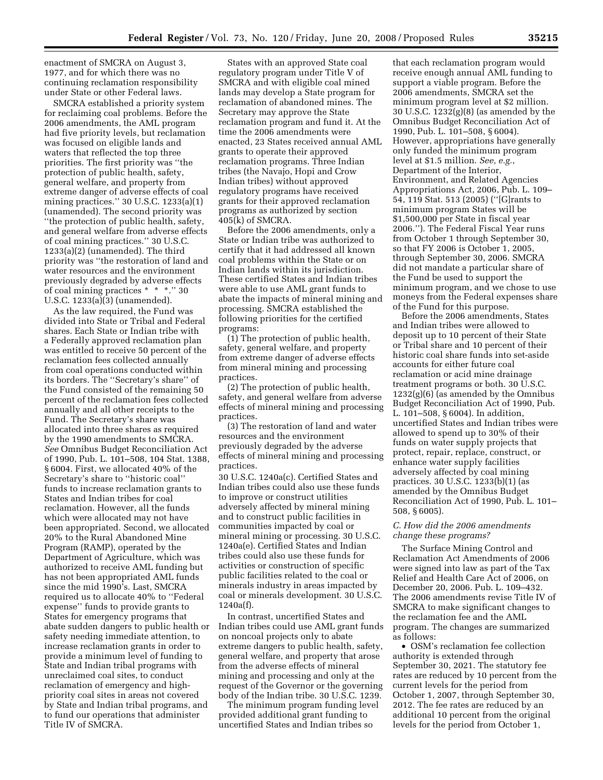enactment of SMCRA on August 3, 1977, and for which there was no continuing reclamation responsibility under State or other Federal laws.

SMCRA established a priority system for reclaiming coal problems. Before the 2006 amendments, the AML program had five priority levels, but reclamation was focused on eligible lands and waters that reflected the top three priorities. The first priority was ''the protection of public health, safety, general welfare, and property from extreme danger of adverse effects of coal mining practices.'' 30 U.S.C. 1233(a)(1) (unamended). The second priority was ''the protection of public health, safety, and general welfare from adverse effects of coal mining practices.'' 30 U.S.C. 1233(a)(2) (unamended). The third priority was ''the restoration of land and water resources and the environment previously degraded by adverse effects of coal mining practices \* \* \*.'' 30 U.S.C. 1233(a)(3) (unamended).

As the law required, the Fund was divided into State or Tribal and Federal shares. Each State or Indian tribe with a Federally approved reclamation plan was entitled to receive 50 percent of the reclamation fees collected annually from coal operations conducted within its borders. The ''Secretary's share'' of the Fund consisted of the remaining 50 percent of the reclamation fees collected annually and all other receipts to the Fund. The Secretary's share was allocated into three shares as required by the 1990 amendments to SMCRA. *See* Omnibus Budget Reconciliation Act of 1990, Pub. L. 101–508, 104 Stat. 1388, § 6004. First, we allocated 40% of the Secretary's share to ''historic coal'' funds to increase reclamation grants to States and Indian tribes for coal reclamation. However, all the funds which were allocated may not have been appropriated. Second, we allocated 20% to the Rural Abandoned Mine Program (RAMP), operated by the Department of Agriculture, which was authorized to receive AML funding but has not been appropriated AML funds since the mid 1990's. Last, SMCRA required us to allocate 40% to ''Federal expense'' funds to provide grants to States for emergency programs that abate sudden dangers to public health or safety needing immediate attention, to increase reclamation grants in order to provide a minimum level of funding to State and Indian tribal programs with unreclaimed coal sites, to conduct reclamation of emergency and highpriority coal sites in areas not covered by State and Indian tribal programs, and to fund our operations that administer Title IV of SMCRA.

States with an approved State coal regulatory program under Title V of SMCRA and with eligible coal mined lands may develop a State program for reclamation of abandoned mines. The Secretary may approve the State reclamation program and fund it. At the time the 2006 amendments were enacted, 23 States received annual AML grants to operate their approved reclamation programs. Three Indian tribes (the Navajo, Hopi and Crow Indian tribes) without approved regulatory programs have received grants for their approved reclamation programs as authorized by section 405(k) of SMCRA.

Before the 2006 amendments, only a State or Indian tribe was authorized to certify that it had addressed all known coal problems within the State or on Indian lands within its jurisdiction. These certified States and Indian tribes were able to use AML grant funds to abate the impacts of mineral mining and processing. SMCRA established the following priorities for the certified programs:

(1) The protection of public health, safety, general welfare, and property from extreme danger of adverse effects from mineral mining and processing practices.

(2) The protection of public health, safety, and general welfare from adverse effects of mineral mining and processing practices.

(3) The restoration of land and water resources and the environment previously degraded by the adverse effects of mineral mining and processing practices.

30 U.S.C. 1240a(c). Certified States and Indian tribes could also use these funds to improve or construct utilities adversely affected by mineral mining and to construct public facilities in communities impacted by coal or mineral mining or processing. 30 U.S.C. 1240a(e). Certified States and Indian tribes could also use these funds for activities or construction of specific public facilities related to the coal or minerals industry in areas impacted by coal or minerals development. 30 U.S.C. 1240a(f).

In contrast, uncertified States and Indian tribes could use AML grant funds on noncoal projects only to abate extreme dangers to public health, safety, general welfare, and property that arose from the adverse effects of mineral mining and processing and only at the request of the Governor or the governing body of the Indian tribe. 30 U.S.C. 1239.

The minimum program funding level provided additional grant funding to uncertified States and Indian tribes so

that each reclamation program would receive enough annual AML funding to support a viable program. Before the 2006 amendments, SMCRA set the minimum program level at \$2 million. 30 U.S.C. 1232(g)(8) (as amended by the Omnibus Budget Reconciliation Act of 1990, Pub. L. 101–508, § 6004). However, appropriations have generally only funded the minimum program level at \$1.5 million. *See, e.g.*, Department of the Interior, Environment, and Related Agencies Appropriations Act, 2006, Pub. L. 109– 54, 119 Stat. 513 (2005) (''[G]rants to minimum program States will be \$1,500,000 per State in fiscal year 2006.''). The Federal Fiscal Year runs from October 1 through September 30, so that FY 2006 is October 1, 2005, through September 30, 2006. SMCRA did not mandate a particular share of the Fund be used to support the minimum program, and we chose to use moneys from the Federal expenses share of the Fund for this purpose.

Before the 2006 amendments, States and Indian tribes were allowed to deposit up to 10 percent of their State or Tribal share and 10 percent of their historic coal share funds into set-aside accounts for either future coal reclamation or acid mine drainage treatment programs or both. 30 U.S.C. 1232(g)(6) (as amended by the Omnibus Budget Reconciliation Act of 1990, Pub. L. 101–508, § 6004). In addition, uncertified States and Indian tribes were allowed to spend up to 30% of their funds on water supply projects that protect, repair, replace, construct, or enhance water supply facilities adversely affected by coal mining practices. 30 U.S.C. 1233(b)(1) (as amended by the Omnibus Budget Reconciliation Act of 1990, Pub. L. 101– 508, § 6005).

# *C. How did the 2006 amendments change these programs?*

The Surface Mining Control and Reclamation Act Amendments of 2006 were signed into law as part of the Tax Relief and Health Care Act of 2006, on December 20, 2006. Pub. L. 109–432. The 2006 amendments revise Title IV of SMCRA to make significant changes to the reclamation fee and the AML program. The changes are summarized as follows:

• OSM's reclamation fee collection authority is extended through September 30, 2021. The statutory fee rates are reduced by 10 percent from the current levels for the period from October 1, 2007, through September 30, 2012. The fee rates are reduced by an additional 10 percent from the original levels for the period from October 1,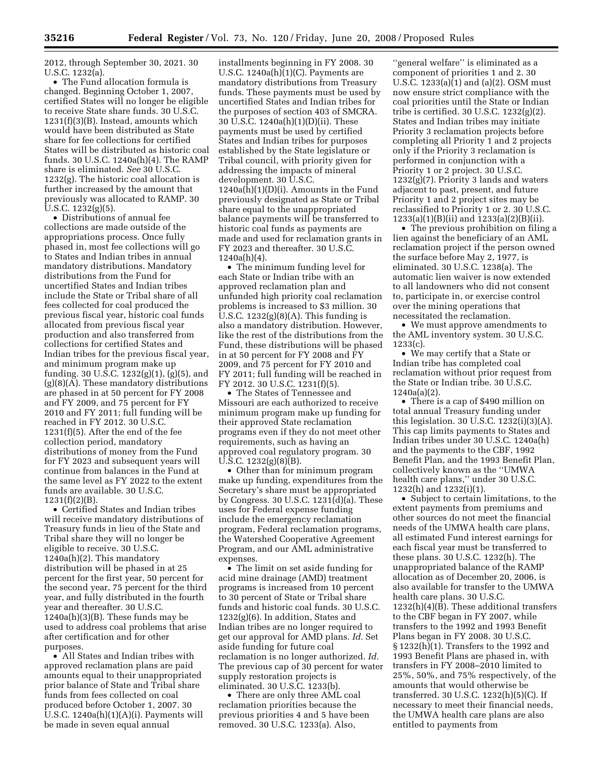2012, through September 30, 2021. 30 U.S.C. 1232(a).

• The Fund allocation formula is changed. Beginning October 1, 2007, certified States will no longer be eligible to receive State share funds. 30 U.S.C. 1231(f)(3)(B). Instead, amounts which would have been distributed as State share for fee collections for certified States will be distributed as historic coal funds. 30 U.S.C. 1240a(h)(4). The RAMP share is eliminated. *See* 30 U.S.C. 1232(g). The historic coal allocation is further increased by the amount that previously was allocated to RAMP. 30 U.S.C. 1232(g)(5).

• Distributions of annual fee collections are made outside of the appropriations process. Once fully phased in, most fee collections will go to States and Indian tribes in annual mandatory distributions. Mandatory distributions from the Fund for uncertified States and Indian tribes include the State or Tribal share of all fees collected for coal produced the previous fiscal year, historic coal funds allocated from previous fiscal year production and also transferred from collections for certified States and Indian tribes for the previous fiscal year, and minimum program make up funding. 30 U.S.C. 1232(g)(1), (g)(5), and  $(g)(8)(\tilde{A})$ . These mandatory distributions are phased in at 50 percent for FY 2008 and FY 2009, and 75 percent for FY 2010 and FY 2011; full funding will be reached in FY 2012. 30 U.S.C. 1231(f)(5). After the end of the fee collection period, mandatory distributions of money from the Fund for FY 2023 and subsequent years will continue from balances in the Fund at the same level as FY 2022 to the extent funds are available. 30 U.S.C. 1231(f)(2)(B).

• Certified States and Indian tribes will receive mandatory distributions of Treasury funds in lieu of the State and Tribal share they will no longer be eligible to receive. 30 U.S.C. 1240a(h)(2). This mandatory distribution will be phased in at 25 percent for the first year, 50 percent for the second year, 75 percent for the third year, and fully distributed in the fourth year and thereafter. 30 U.S.C. 1240a(h)(3)(B). These funds may be used to address coal problems that arise after certification and for other purposes.

• All States and Indian tribes with approved reclamation plans are paid amounts equal to their unappropriated prior balance of State and Tribal share funds from fees collected on coal produced before October 1, 2007. 30 U.S.C.  $1240a(h)(1)(A)(i)$ . Payments will be made in seven equal annual

installments beginning in FY 2008. 30 U.S.C. 1240a(h)(1)(C). Payments are mandatory distributions from Treasury funds. These payments must be used by uncertified States and Indian tribes for the purposes of section 403 of SMCRA. 30 U.S.C. 1240a(h)(1)(D)(ii). These payments must be used by certified States and Indian tribes for purposes established by the State legislature or Tribal council, with priority given for addressing the impacts of mineral development. 30 U.S.C.  $1240a(h)(1)(D)(i)$ . Amounts in the Fund previously designated as State or Tribal share equal to the unappropriated balance payments will be transferred to historic coal funds as payments are made and used for reclamation grants in FY 2023 and thereafter. 30 U.S.C. 1240a(h)(4).

• The minimum funding level for each State or Indian tribe with an approved reclamation plan and unfunded high priority coal reclamation problems is increased to \$3 million. 30 U.S.C. 1232(g)(8)(A). This funding is also a mandatory distribution. However, like the rest of the distributions from the Fund, these distributions will be phased in at 50 percent for FY 2008 and FY 2009, and 75 percent for FY 2010 and FY 2011; full funding will be reached in FY 2012. 30 U.S.C. 1231(f)(5).

• The States of Tennessee and Missouri are each authorized to receive minimum program make up funding for their approved State reclamation programs even if they do not meet other requirements, such as having an approved coal regulatory program. 30 U.S.C. 1232(g)(8)(B).

• Other than for minimum program make up funding, expenditures from the Secretary's share must be appropriated by Congress. 30 U.S.C. 1231(d)(a). These uses for Federal expense funding include the emergency reclamation program, Federal reclamation programs, the Watershed Cooperative Agreement Program, and our AML administrative expenses.

• The limit on set aside funding for acid mine drainage (AMD) treatment programs is increased from 10 percent to 30 percent of State or Tribal share funds and historic coal funds. 30 U.S.C. 1232(g)(6). In addition, States and Indian tribes are no longer required to get our approval for AMD plans. *Id.* Set aside funding for future coal reclamation is no longer authorized. *Id.*  The previous cap of 30 percent for water supply restoration projects is eliminated. 30 U.S.C. 1233(b).

• There are only three AML coal reclamation priorities because the previous priorities 4 and 5 have been removed. 30 U.S.C. 1233(a). Also,

''general welfare'' is eliminated as a component of priorities 1 and 2. 30 U.S.C. 1233(a)(1) and (a)(2). OSM must now ensure strict compliance with the coal priorities until the State or Indian tribe is certified. 30 U.S.C. 1232(g)(2). States and Indian tribes may initiate Priority 3 reclamation projects before completing all Priority 1 and 2 projects only if the Priority 3 reclamation is performed in conjunction with a Priority 1 or 2 project. 30 U.S.C. 1232(g)(7). Priority 3 lands and waters adjacent to past, present, and future Priority 1 and 2 project sites may be reclassified to Priority 1 or 2. 30 U.S.C. 1233(a)(1)(B)(ii) and 1233(a)(2)(B)(ii).

• The previous prohibition on filing a lien against the beneficiary of an AML reclamation project if the person owned the surface before May 2, 1977, is eliminated. 30 U.S.C. 1238(a). The automatic lien waiver is now extended to all landowners who did not consent to, participate in, or exercise control over the mining operations that necessitated the reclamation.

• We must approve amendments to the AML inventory system. 30 U.S.C. 1233(c).

• We may certify that a State or Indian tribe has completed coal reclamation without prior request from the State or Indian tribe. 30 U.S.C. 1240a(a)(2).

• There is a cap of \$490 million on total annual Treasury funding under this legislation. 30 U.S.C. 1232(i)(3)(A). This cap limits payments to States and Indian tribes under 30 U.S.C. 1240a(h) and the payments to the CBF, 1992 Benefit Plan, and the 1993 Benefit Plan, collectively known as the ''UMWA health care plans,'' under 30 U.S.C. 1232(h) and 1232(i)(1).

• Subject to certain limitations, to the extent payments from premiums and other sources do not meet the financial needs of the UMWA health care plans, all estimated Fund interest earnings for each fiscal year must be transferred to these plans. 30 U.S.C. 1232(h). The unappropriated balance of the RAMP allocation as of December 20, 2006, is also available for transfer to the UMWA health care plans. 30 U.S.C. 1232(h)(4)(B). These additional transfers to the CBF began in FY 2007, while transfers to the 1992 and 1993 Benefit Plans began in FY 2008. 30 U.S.C. § 1232(h)(1). Transfers to the 1992 and 1993 Benefit Plans are phased in, with transfers in FY 2008–2010 limited to 25%, 50%, and 75% respectively, of the amounts that would otherwise be transferred. 30 U.S.C. 1232(h)(5)(C). If necessary to meet their financial needs, the UMWA health care plans are also entitled to payments from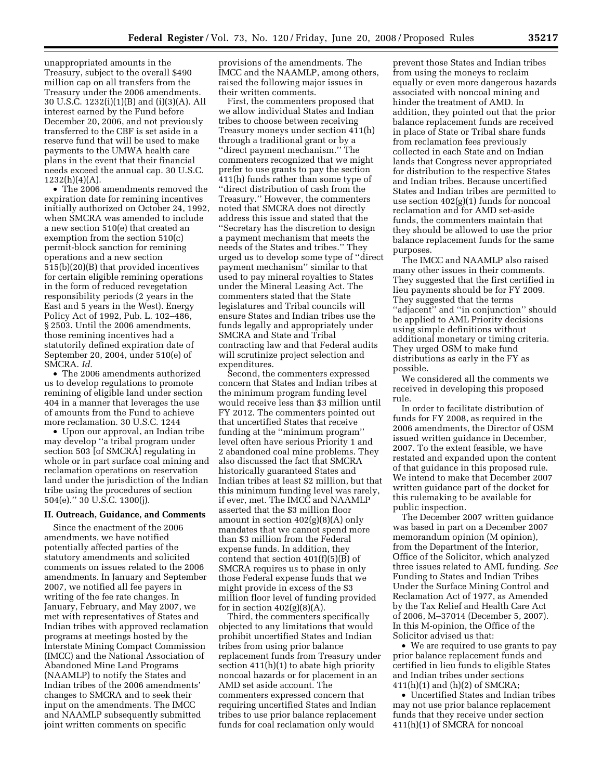unappropriated amounts in the Treasury, subject to the overall \$490 million cap on all transfers from the Treasury under the 2006 amendments. 30 U.S.C. 1232(i)(1)(B) and (i)(3)(A). All interest earned by the Fund before December 20, 2006, and not previously transferred to the CBF is set aside in a reserve fund that will be used to make payments to the UMWA health care plans in the event that their financial needs exceed the annual cap. 30 U.S.C.  $1232(h)(4)(A)$ .

• The 2006 amendments removed the expiration date for remining incentives initially authorized on October 24, 1992, when SMCRA was amended to include a new section 510(e) that created an exemption from the section 510(c) permit-block sanction for remining operations and a new section 515(b)(20)(B) that provided incentives for certain eligible remining operations in the form of reduced revegetation responsibility periods (2 years in the East and 5 years in the West). Energy Policy Act of 1992, Pub. L. 102–486, § 2503. Until the 2006 amendments, those remining incentives had a statutorily defined expiration date of September 20, 2004, under 510(e) of SMCRA. *Id.* 

• The 2006 amendments authorized us to develop regulations to promote remining of eligible land under section 404 in a manner that leverages the use of amounts from the Fund to achieve more reclamation. 30 U.S.C. 1244

• Upon our approval, an Indian tribe may develop ''a tribal program under section 503 [of SMCRA] regulating in whole or in part surface coal mining and reclamation operations on reservation land under the jurisdiction of the Indian tribe using the procedures of section 504(e).'' 30 U.S.C. 1300(j).

# **II. Outreach, Guidance, and Comments**

Since the enactment of the 2006 amendments, we have notified potentially affected parties of the statutory amendments and solicited comments on issues related to the 2006 amendments. In January and September 2007, we notified all fee payers in writing of the fee rate changes. In January, February, and May 2007, we met with representatives of States and Indian tribes with approved reclamation programs at meetings hosted by the Interstate Mining Compact Commission (IMCC) and the National Association of Abandoned Mine Land Programs (NAAMLP) to notify the States and Indian tribes of the 2006 amendments' changes to SMCRA and to seek their input on the amendments. The IMCC and NAAMLP subsequently submitted joint written comments on specific

provisions of the amendments. The IMCC and the NAAMLP, among others, raised the following major issues in their written comments.

First, the commenters proposed that we allow individual States and Indian tribes to choose between receiving Treasury moneys under section 411(h) through a traditional grant or by a ''direct payment mechanism.'' The commenters recognized that we might prefer to use grants to pay the section 411(h) funds rather than some type of ''direct distribution of cash from the Treasury.'' However, the commenters noted that SMCRA does not directly address this issue and stated that the ''Secretary has the discretion to design a payment mechanism that meets the needs of the States and tribes.'' They urged us to develop some type of ''direct payment mechanism'' similar to that used to pay mineral royalties to States under the Mineral Leasing Act. The commenters stated that the State legislatures and Tribal councils will ensure States and Indian tribes use the funds legally and appropriately under SMCRA and State and Tribal contracting law and that Federal audits will scrutinize project selection and expenditures.

Second, the commenters expressed concern that States and Indian tribes at the minimum program funding level would receive less than \$3 million until FY 2012. The commenters pointed out that uncertified States that receive funding at the ''minimum program'' level often have serious Priority 1 and 2 abandoned coal mine problems. They also discussed the fact that SMCRA historically guaranteed States and Indian tribes at least \$2 million, but that this minimum funding level was rarely, if ever, met. The IMCC and NAAMLP asserted that the \$3 million floor amount in section 402(g)(8)(A) only mandates that we cannot spend more than \$3 million from the Federal expense funds. In addition, they contend that section 401(f)(5)(B) of SMCRA requires us to phase in only those Federal expense funds that we might provide in excess of the \$3 million floor level of funding provided for in section  $402(g)(8)(A)$ .

Third, the commenters specifically objected to any limitations that would prohibit uncertified States and Indian tribes from using prior balance replacement funds from Treasury under section 411(h)(1) to abate high priority noncoal hazards or for placement in an AMD set aside account. The commenters expressed concern that requiring uncertified States and Indian tribes to use prior balance replacement funds for coal reclamation only would

prevent those States and Indian tribes from using the moneys to reclaim equally or even more dangerous hazards associated with noncoal mining and hinder the treatment of AMD. In addition, they pointed out that the prior balance replacement funds are received in place of State or Tribal share funds from reclamation fees previously collected in each State and on Indian lands that Congress never appropriated for distribution to the respective States and Indian tribes. Because uncertified States and Indian tribes are permitted to use section 402(g)(1) funds for noncoal reclamation and for AMD set-aside funds, the commenters maintain that they should be allowed to use the prior balance replacement funds for the same purposes.

The IMCC and NAAMLP also raised many other issues in their comments. They suggested that the first certified in lieu payments should be for FY 2009. They suggested that the terms ''adjacent'' and ''in conjunction'' should be applied to AML Priority decisions using simple definitions without additional monetary or timing criteria. They urged OSM to make fund distributions as early in the FY as possible.

We considered all the comments we received in developing this proposed rule.

In order to facilitate distribution of funds for FY 2008, as required in the 2006 amendments, the Director of OSM issued written guidance in December, 2007. To the extent feasible, we have restated and expanded upon the content of that guidance in this proposed rule. We intend to make that December 2007 written guidance part of the docket for this rulemaking to be available for public inspection.

The December 2007 written guidance was based in part on a December 2007 memorandum opinion (M opinion), from the Department of the Interior, Office of the Solicitor, which analyzed three issues related to AML funding. *See*  Funding to States and Indian Tribes Under the Surface Mining Control and Reclamation Act of 1977, as Amended by the Tax Relief and Health Care Act of 2006, M–37014 (December 5, 2007). In this M-opinion, the Office of the Solicitor advised us that:

• We are required to use grants to pay prior balance replacement funds and certified in lieu funds to eligible States and Indian tribes under sections 411(h)(1) and (h)(2) of SMCRA;

• Uncertified States and Indian tribes may not use prior balance replacement funds that they receive under section 411(h)(1) of SMCRA for noncoal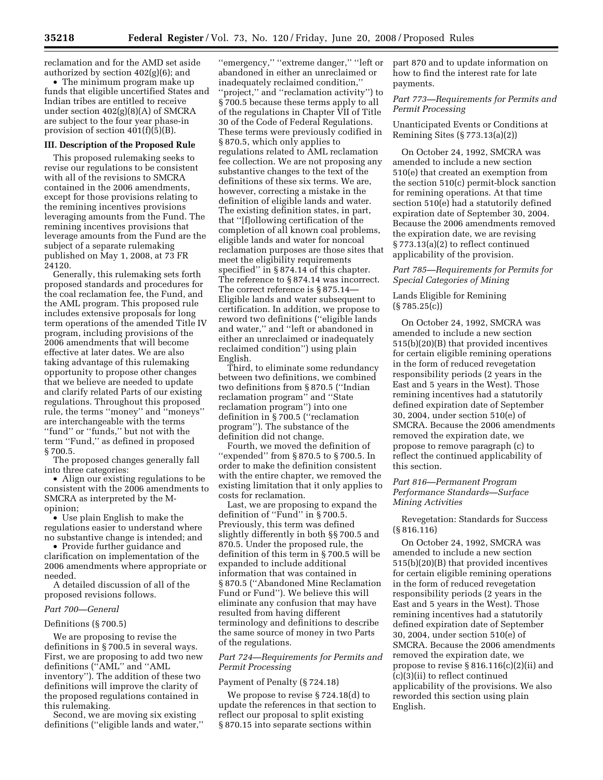reclamation and for the AMD set aside authorized by section 402(g)(6); and

• The minimum program make up funds that eligible uncertified States and Indian tribes are entitled to receive under section 402(g)(8)(A) of SMCRA are subject to the four year phase-in provision of section 401(f)(5)(B).

# **III. Description of the Proposed Rule**

This proposed rulemaking seeks to revise our regulations to be consistent with all of the revisions to SMCRA contained in the 2006 amendments, except for those provisions relating to the remining incentives provisions leveraging amounts from the Fund. The remining incentives provisions that leverage amounts from the Fund are the subject of a separate rulemaking published on May 1, 2008, at 73 FR 24120.

Generally, this rulemaking sets forth proposed standards and procedures for the coal reclamation fee, the Fund, and the AML program. This proposed rule includes extensive proposals for long term operations of the amended Title IV program, including provisions of the 2006 amendments that will become effective at later dates. We are also taking advantage of this rulemaking opportunity to propose other changes that we believe are needed to update and clarify related Parts of our existing regulations. Throughout this proposed rule, the terms ''money'' and ''moneys'' are interchangeable with the terms ''fund'' or ''funds,'' but not with the term ''Fund,'' as defined in proposed § 700.5.

The proposed changes generally fall into three categories:

• Align our existing regulations to be consistent with the 2006 amendments to SMCRA as interpreted by the Mopinion;

• Use plain English to make the regulations easier to understand where no substantive change is intended; and

• Provide further guidance and clarification on implementation of the 2006 amendments where appropriate or needed.

A detailed discussion of all of the proposed revisions follows.

# *Part 700—General*

# Definitions (§ 700.5)

We are proposing to revise the definitions in § 700.5 in several ways. First, we are proposing to add two new definitions (''AML'' and ''AML inventory''). The addition of these two definitions will improve the clarity of the proposed regulations contained in this rulemaking.

Second, we are moving six existing definitions (''eligible lands and water,''

''emergency,'' ''extreme danger,'' ''left or abandoned in either an unreclaimed or inadequately reclaimed condition,'' ''project,'' and ''reclamation activity'') to § 700.5 because these terms apply to all of the regulations in Chapter VII of Title 30 of the Code of Federal Regulations. These terms were previously codified in § 870.5, which only applies to regulations related to AML reclamation fee collection. We are not proposing any substantive changes to the text of the definitions of these six terms. We are, however, correcting a mistake in the definition of eligible lands and water. The existing definition states, in part, that ''[f]ollowing certification of the completion of all known coal problems, eligible lands and water for noncoal reclamation purposes are those sites that meet the eligibility requirements specified'' in § 874.14 of this chapter. The reference to § 874.14 was incorrect. The correct reference is §875.14-Eligible lands and water subsequent to certification. In addition, we propose to reword two definitions (''eligible lands and water,'' and ''left or abandoned in either an unreclaimed or inadequately reclaimed condition'') using plain English.

Third, to eliminate some redundancy between two definitions, we combined two definitions from § 870.5 (''Indian reclamation program'' and ''State reclamation program'') into one definition in § 700.5 (''reclamation program''). The substance of the definition did not change.

Fourth, we moved the definition of ''expended'' from § 870.5 to § 700.5. In order to make the definition consistent with the entire chapter, we removed the existing limitation that it only applies to costs for reclamation.

Last, we are proposing to expand the definition of ''Fund'' in § 700.5. Previously, this term was defined slightly differently in both §§ 700.5 and 870.5. Under the proposed rule, the definition of this term in § 700.5 will be expanded to include additional information that was contained in § 870.5 (''Abandoned Mine Reclamation Fund or Fund''). We believe this will eliminate any confusion that may have resulted from having different terminology and definitions to describe the same source of money in two Parts of the regulations.

# *Part 724—Requirements for Permits and Permit Processing*

# Payment of Penalty (§ 724.18)

We propose to revise § 724.18(d) to update the references in that section to reflect our proposal to split existing § 870.15 into separate sections within

part 870 and to update information on how to find the interest rate for late payments.

# *Part 773—Requirements for Permits and Permit Processing*

Unanticipated Events or Conditions at Remining Sites (§ 773.13(a)(2))

On October 24, 1992, SMCRA was amended to include a new section 510(e) that created an exemption from the section 510(c) permit-block sanction for remining operations. At that time section 510(e) had a statutorily defined expiration date of September 30, 2004. Because the 2006 amendments removed the expiration date, we are revising § 773.13(a)(2) to reflect continued applicability of the provision.

# *Part 785—Requirements for Permits for Special Categories of Mining*

# Lands Eligible for Remining  $(S785.25(c))$

On October 24, 1992, SMCRA was amended to include a new section 515(b)(20)(B) that provided incentives for certain eligible remining operations in the form of reduced revegetation responsibility periods (2 years in the East and 5 years in the West). Those remining incentives had a statutorily defined expiration date of September 30, 2004, under section 510(e) of SMCRA. Because the 2006 amendments removed the expiration date, we propose to remove paragraph (c) to reflect the continued applicability of this section.

# *Part 816—Permanent Program Performance Standards—Surface Mining Activities*

Revegetation: Standards for Success (§ 816.116)

On October 24, 1992, SMCRA was amended to include a new section 515(b)(20)(B) that provided incentives for certain eligible remining operations in the form of reduced revegetation responsibility periods (2 years in the East and 5 years in the West). Those remining incentives had a statutorily defined expiration date of September 30, 2004, under section 510(e) of SMCRA. Because the 2006 amendments removed the expiration date, we propose to revise § 816.116(c)(2)(ii) and (c)(3)(ii) to reflect continued applicability of the provisions. We also reworded this section using plain English.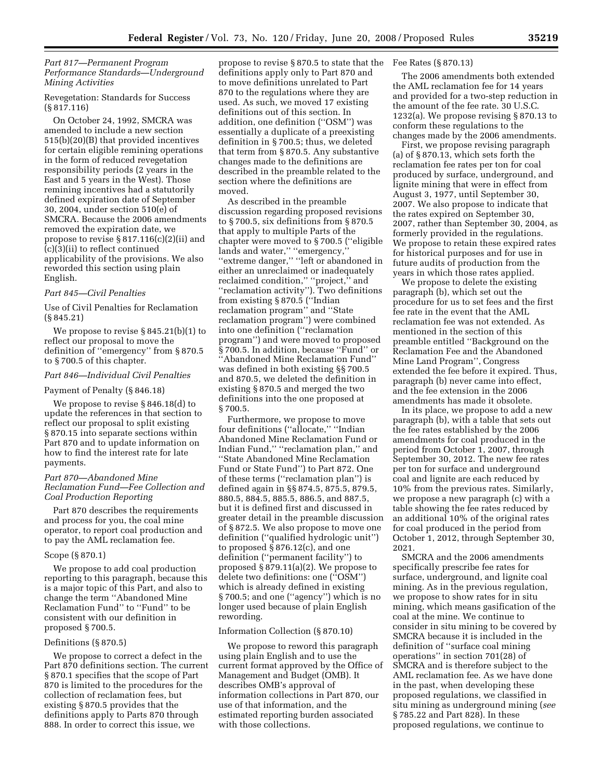# *Part 817—Permanent Program Performance Standards—Underground Mining Activities*

# Revegetation: Standards for Success (§ 817.116)

On October 24, 1992, SMCRA was amended to include a new section 515(b)(20)(B) that provided incentives for certain eligible remining operations in the form of reduced revegetation responsibility periods (2 years in the East and 5 years in the West). Those remining incentives had a statutorily defined expiration date of September 30, 2004, under section 510(e) of SMCRA. Because the 2006 amendments removed the expiration date, we propose to revise § 817.116(c)(2)(ii) and (c)(3)(ii) to reflect continued applicability of the provisions. We also reworded this section using plain English.

#### *Part 845—Civil Penalties*

Use of Civil Penalties for Reclamation (§ 845.21)

We propose to revise § 845.21(b)(1) to reflect our proposal to move the definition of ''emergency'' from § 870.5 to § 700.5 of this chapter.

# *Part 846—Individual Civil Penalties*

#### Payment of Penalty (§ 846.18)

We propose to revise § 846.18(d) to update the references in that section to reflect our proposal to split existing § 870.15 into separate sections within Part 870 and to update information on how to find the interest rate for late payments.

# *Part 870—Abandoned Mine Reclamation Fund—Fee Collection and Coal Production Reporting*

Part 870 describes the requirements and process for you, the coal mine operator, to report coal production and to pay the AML reclamation fee.

# Scope (§ 870.1)

We propose to add coal production reporting to this paragraph, because this is a major topic of this Part, and also to change the term ''Abandoned Mine Reclamation Fund'' to ''Fund'' to be consistent with our definition in proposed § 700.5.

# Definitions (§ 870.5)

We propose to correct a defect in the Part 870 definitions section. The current § 870.1 specifies that the scope of Part 870 is limited to the procedures for the collection of reclamation fees, but existing § 870.5 provides that the definitions apply to Parts 870 through 888. In order to correct this issue, we

propose to revise § 870.5 to state that the Fee Rates (§ 870.13) definitions apply only to Part 870 and to move definitions unrelated to Part 870 to the regulations where they are used. As such, we moved 17 existing definitions out of this section. In addition, one definition (''OSM'') was essentially a duplicate of a preexisting definition in § 700.5; thus, we deleted that term from § 870.5. Any substantive changes made to the definitions are described in the preamble related to the section where the definitions are moved.

As described in the preamble discussion regarding proposed revisions to § 700.5, six definitions from § 870.5 that apply to multiple Parts of the chapter were moved to § 700.5 (''eligible lands and water," "emergency," ''extreme danger,'' ''left or abandoned in either an unreclaimed or inadequately reclaimed condition,'' ''project,'' and ''reclamation activity''). Two definitions from existing § 870.5 (''Indian reclamation program'' and ''State reclamation program'') were combined into one definition (''reclamation program'') and were moved to proposed §700.5. In addition, because "Fund" or ''Abandoned Mine Reclamation Fund'' was defined in both existing §§ 700.5 and 870.5, we deleted the definition in existing § 870.5 and merged the two definitions into the one proposed at § 700.5.

Furthermore, we propose to move four definitions (''allocate,'' ''Indian Abandoned Mine Reclamation Fund or Indian Fund,'' ''reclamation plan,'' and ''State Abandoned Mine Reclamation Fund or State Fund'') to Part 872. One of these terms (''reclamation plan'') is defined again in §§ 874.5, 875.5, 879.5, 880.5, 884.5, 885.5, 886.5, and 887.5, but it is defined first and discussed in greater detail in the preamble discussion of § 872.5. We also propose to move one definition (''qualified hydrologic unit'') to proposed § 876.12(c), and one definition (''permanent facility'') to proposed § 879.11(a)(2). We propose to delete two definitions: one (''OSM'') which is already defined in existing § 700.5; and one (''agency'') which is no longer used because of plain English rewording.

#### Information Collection (§ 870.10)

We propose to reword this paragraph using plain English and to use the current format approved by the Office of Management and Budget (OMB). It describes OMB's approval of information collections in Part 870, our use of that information, and the estimated reporting burden associated with those collections.

The 2006 amendments both extended the AML reclamation fee for 14 years and provided for a two-step reduction in the amount of the fee rate. 30 U.S.C. 1232(a). We propose revising § 870.13 to conform these regulations to the changes made by the 2006 amendments.

First, we propose revising paragraph (a) of § 870.13, which sets forth the reclamation fee rates per ton for coal produced by surface, underground, and lignite mining that were in effect from August 3, 1977, until September 30, 2007. We also propose to indicate that the rates expired on September 30, 2007, rather than September 30, 2004, as formerly provided in the regulations. We propose to retain these expired rates for historical purposes and for use in future audits of production from the years in which those rates applied.

We propose to delete the existing paragraph (b), which set out the procedure for us to set fees and the first fee rate in the event that the AML reclamation fee was not extended. As mentioned in the section of this preamble entitled ''Background on the Reclamation Fee and the Abandoned Mine Land Program'', Congress extended the fee before it expired. Thus, paragraph (b) never came into effect, and the fee extension in the 2006 amendments has made it obsolete.

In its place, we propose to add a new paragraph (b), with a table that sets out the fee rates established by the 2006 amendments for coal produced in the period from October 1, 2007, through September 30, 2012. The new fee rates per ton for surface and underground coal and lignite are each reduced by 10% from the previous rates. Similarly, we propose a new paragraph (c) with a table showing the fee rates reduced by an additional 10% of the original rates for coal produced in the period from October 1, 2012, through September 30, 2021.

SMCRA and the 2006 amendments specifically prescribe fee rates for surface, underground, and lignite coal mining. As in the previous regulation, we propose to show rates for in situ mining, which means gasification of the coal at the mine. We continue to consider in situ mining to be covered by SMCRA because it is included in the definition of ''surface coal mining operations'' in section 701(28) of SMCRA and is therefore subject to the AML reclamation fee. As we have done in the past, when developing these proposed regulations, we classified in situ mining as underground mining (*see*  § 785.22 and Part 828). In these proposed regulations, we continue to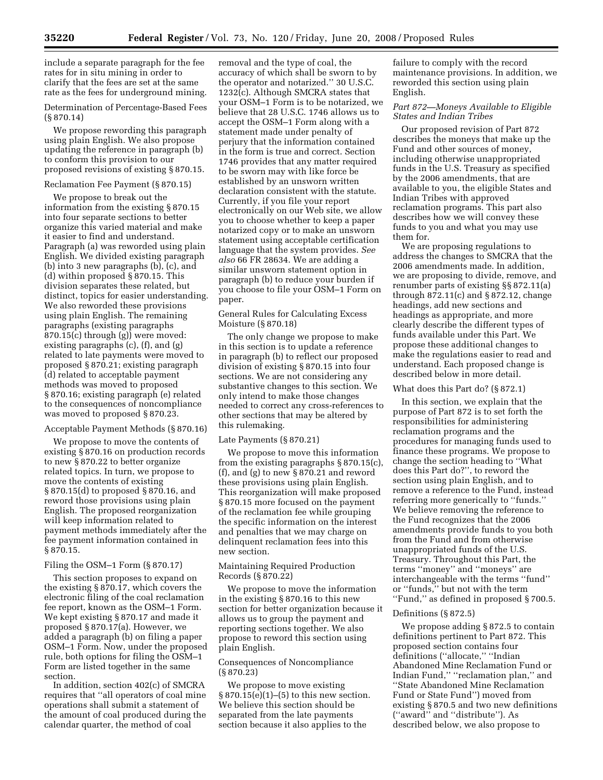include a separate paragraph for the fee rates for in situ mining in order to clarify that the fees are set at the same rate as the fees for underground mining.

Determination of Percentage-Based Fees (§ 870.14)

We propose rewording this paragraph using plain English. We also propose updating the reference in paragraph (b) to conform this provision to our proposed revisions of existing § 870.15.

# Reclamation Fee Payment (§ 870.15)

We propose to break out the information from the existing § 870.15 into four separate sections to better organize this varied material and make it easier to find and understand. Paragraph (a) was reworded using plain English. We divided existing paragraph (b) into 3 new paragraphs (b), (c), and (d) within proposed § 870.15. This division separates these related, but distinct, topics for easier understanding. We also reworded these provisions using plain English. The remaining paragraphs (existing paragraphs 870.15(c) through (g)) were moved: existing paragraphs (c), (f), and (g) related to late payments were moved to proposed § 870.21; existing paragraph (d) related to acceptable payment methods was moved to proposed § 870.16; existing paragraph (e) related to the consequences of noncompliance was moved to proposed § 870.23.

# Acceptable Payment Methods (§ 870.16)

We propose to move the contents of existing § 870.16 on production records to new § 870.22 to better organize related topics. In turn, we propose to move the contents of existing § 870.15(d) to proposed § 870.16, and reword those provisions using plain English. The proposed reorganization will keep information related to payment methods immediately after the fee payment information contained in § 870.15.

# Filing the OSM–1 Form (§ 870.17)

This section proposes to expand on the existing § 870.17, which covers the electronic filing of the coal reclamation fee report, known as the OSM–1 Form. We kept existing § 870.17 and made it proposed § 870.17(a). However, we added a paragraph (b) on filing a paper OSM–1 Form. Now, under the proposed rule, both options for filing the OSM–1 Form are listed together in the same section.

In addition, section 402(c) of SMCRA requires that ''all operators of coal mine operations shall submit a statement of the amount of coal produced during the calendar quarter, the method of coal

removal and the type of coal, the accuracy of which shall be sworn to by the operator and notarized.'' 30 U.S.C. 1232(c). Although SMCRA states that your OSM–1 Form is to be notarized, we believe that 28 U.S.C. 1746 allows us to accept the OSM–1 Form along with a statement made under penalty of perjury that the information contained in the form is true and correct. Section 1746 provides that any matter required to be sworn may with like force be established by an unsworn written declaration consistent with the statute. Currently, if you file your report electronically on our Web site, we allow you to choose whether to keep a paper notarized copy or to make an unsworn statement using acceptable certification language that the system provides. *See also* 66 FR 28634. We are adding a similar unsworn statement option in paragraph (b) to reduce your burden if you choose to file your OSM–1 Form on paper.

# General Rules for Calculating Excess Moisture (§ 870.18)

The only change we propose to make in this section is to update a reference in paragraph (b) to reflect our proposed division of existing § 870.15 into four sections. We are not considering any substantive changes to this section. We only intend to make those changes needed to correct any cross-references to other sections that may be altered by this rulemaking.

# Late Payments (§ 870.21)

We propose to move this information from the existing paragraphs § 870.15(c), (f), and (g) to new § 870.21 and reword these provisions using plain English. This reorganization will make proposed § 870.15 more focused on the payment of the reclamation fee while grouping the specific information on the interest and penalties that we may charge on delinquent reclamation fees into this new section.

#### Maintaining Required Production Records (§ 870.22)

We propose to move the information in the existing § 870.16 to this new section for better organization because it allows us to group the payment and reporting sections together. We also propose to reword this section using plain English.

# Consequences of Noncompliance (§ 870.23)

We propose to move existing  $§ 870.15(e)(1)–(5)$  to this new section. We believe this section should be separated from the late payments section because it also applies to the

failure to comply with the record maintenance provisions. In addition, we reworded this section using plain English.

# *Part 872—Moneys Available to Eligible States and Indian Tribes*

Our proposed revision of Part 872 describes the moneys that make up the Fund and other sources of money, including otherwise unappropriated funds in the U.S. Treasury as specified by the 2006 amendments, that are available to you, the eligible States and Indian Tribes with approved reclamation programs. This part also describes how we will convey these funds to you and what you may use them for.

We are proposing regulations to address the changes to SMCRA that the 2006 amendments made. In addition, we are proposing to divide, remove, and renumber parts of existing §§ 872.11(a) through 872.11(c) and § 872.12, change headings, add new sections and headings as appropriate, and more clearly describe the different types of funds available under this Part. We propose these additional changes to make the regulations easier to read and understand. Each proposed change is described below in more detail.

# What does this Part do? (§ 872.1)

In this section, we explain that the purpose of Part 872 is to set forth the responsibilities for administering reclamation programs and the procedures for managing funds used to finance these programs. We propose to change the section heading to ''What does this Part do?'', to reword the section using plain English, and to remove a reference to the Fund, instead referring more generically to ''funds.'' We believe removing the reference to the Fund recognizes that the 2006 amendments provide funds to you both from the Fund and from otherwise unappropriated funds of the U.S. Treasury. Throughout this Part, the terms ''money'' and ''moneys'' are interchangeable with the terms ''fund'' or ''funds,'' but not with the term ''Fund,'' as defined in proposed § 700.5.

#### Definitions (§ 872.5)

We propose adding § 872.5 to contain definitions pertinent to Part 872. This proposed section contains four definitions (''allocate,'' ''Indian Abandoned Mine Reclamation Fund or Indian Fund,'' ''reclamation plan,'' and ''State Abandoned Mine Reclamation Fund or State Fund'') moved from existing § 870.5 and two new definitions (''award'' and ''distribute''). As described below, we also propose to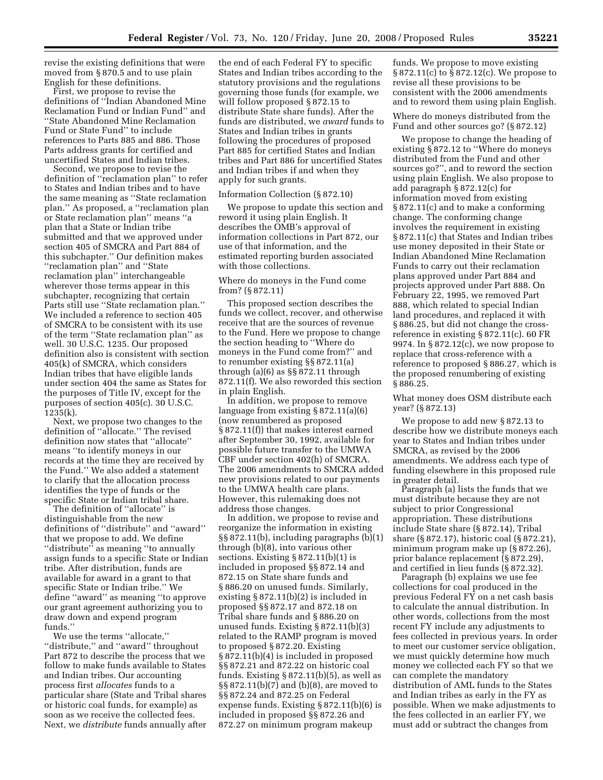revise the existing definitions that were moved from § 870.5 and to use plain English for these definitions.

First, we propose to revise the definitions of ''Indian Abandoned Mine Reclamation Fund or Indian Fund'' and ''State Abandoned Mine Reclamation Fund or State Fund'' to include references to Parts 885 and 886. Those Parts address grants for certified and uncertified States and Indian tribes.

Second, we propose to revise the definition of ''reclamation plan'' to refer to States and Indian tribes and to have the same meaning as ''State reclamation plan.'' As proposed, a ''reclamation plan or State reclamation plan'' means ''a plan that a State or Indian tribe submitted and that we approved under section 405 of SMCRA and Part 884 of this subchapter.'' Our definition makes ''reclamation plan'' and ''State reclamation plan'' interchangeable wherever those terms appear in this subchapter, recognizing that certain Parts still use ''State reclamation plan.'' We included a reference to section 405 of SMCRA to be consistent with its use of the term ''State reclamation plan'' as well. 30 U.S.C. 1235. Our proposed definition also is consistent with section 405(k) of SMCRA, which considers Indian tribes that have eligible lands under section 404 the same as States for the purposes of Title IV, except for the purposes of section 405(c). 30 U.S.C. 1235(k).

Next, we propose two changes to the definition of ''allocate.'' The revised definition now states that ''allocate'' means ''to identify moneys in our records at the time they are received by the Fund.'' We also added a statement to clarify that the allocation process identifies the type of funds or the specific State or Indian tribal share.

The definition of ''allocate'' is distinguishable from the new definitions of ''distribute'' and ''award'' that we propose to add. We define ''distribute'' as meaning ''to annually assign funds to a specific State or Indian tribe. After distribution, funds are available for award in a grant to that specific State or Indian tribe.'' We define ''award'' as meaning ''to approve our grant agreement authorizing you to draw down and expend program funds.''

We use the terms ''allocate,'' ''distribute,'' and ''award'' throughout Part 872 to describe the process that we follow to make funds available to States and Indian tribes. Our accounting process first *allocates* funds to a particular share (State and Tribal shares or historic coal funds, for example) as soon as we receive the collected fees. Next, we *distribute* funds annually after the end of each Federal FY to specific States and Indian tribes according to the statutory provisions and the regulations governing those funds (for example, we will follow proposed § 872.15 to distribute State share funds). After the funds are distributed, we *award* funds to States and Indian tribes in grants following the procedures of proposed Part 885 for certified States and Indian tribes and Part 886 for uncertified States and Indian tribes if and when they apply for such grants.

#### Information Collection (§ 872.10)

We propose to update this section and reword it using plain English. It describes the OMB's approval of information collections in Part 872, our use of that information, and the estimated reporting burden associated with those collections.

# Where do moneys in the Fund come from? (§ 872.11)

This proposed section describes the funds we collect, recover, and otherwise receive that are the sources of revenue to the Fund. Here we propose to change the section heading to ''Where do moneys in the Fund come from?'' and to renumber existing §§ 872.11(a) through (a)(6) as §§ 872.11 through 872.11(f). We also reworded this section in plain English.

In addition, we propose to remove language from existing § 872.11(a)(6) (now renumbered as proposed § 872.11(f)) that makes interest earned after September 30, 1992, available for possible future transfer to the UMWA CBF under section 402(h) of SMCRA. The 2006 amendments to SMCRA added new provisions related to our payments to the UMWA health care plans. However, this rulemaking does not address those changes.

In addition, we propose to revise and reorganize the information in existing §§ 872.11(b), including paragraphs (b)(1) through (b)(8), into various other sections. Existing § 872.11(b)(1) is included in proposed §§ 872.14 and 872.15 on State share funds and § 886.20 on unused funds. Similarly, existing § 872.11(b)(2) is included in proposed §§ 872.17 and 872.18 on Tribal share funds and § 886.20 on unused funds. Existing § 872.11(b)(3) related to the RAMP program is moved to proposed § 872.20. Existing § 872.11(b)(4) is included in proposed §§ 872.21 and 872.22 on historic coal funds. Existing § 872.11(b)(5), as well as §§ 872.11(b)(7) and (b)(8), are moved to §§ 872.24 and 872.25 on Federal expense funds. Existing § 872.11(b)(6) is included in proposed §§ 872.26 and 872.27 on minimum program makeup

funds. We propose to move existing § 872.11(c) to § 872.12(c). We propose to revise all these provisions to be consistent with the 2006 amendments and to reword them using plain English.

Where do moneys distributed from the Fund and other sources go? (§ 872.12)

We propose to change the heading of existing § 872.12 to ''Where do moneys distributed from the Fund and other sources go?'', and to reword the section using plain English. We also propose to add paragraph § 872.12(c) for information moved from existing § 872.11(c) and to make a conforming change. The conforming change involves the requirement in existing § 872.11(c) that States and Indian tribes use money deposited in their State or Indian Abandoned Mine Reclamation Funds to carry out their reclamation plans approved under Part 884 and projects approved under Part 888. On February 22, 1995, we removed Part 888, which related to special Indian land procedures, and replaced it with § 886.25, but did not change the crossreference in existing § 872.11(c). 60 FR 9974. In § 872.12(c), we now propose to replace that cross-reference with a reference to proposed § 886.27, which is the proposed renumbering of existing § 886.25.

What money does OSM distribute each year? (§ 872.13)

We propose to add new § 872.13 to describe how we distribute moneys each year to States and Indian tribes under SMCRA, as revised by the 2006 amendments. We address each type of funding elsewhere in this proposed rule in greater detail.

Paragraph (a) lists the funds that we must distribute because they are not subject to prior Congressional appropriation. These distributions include State share (§ 872.14), Tribal share (§ 872.17), historic coal (§ 872.21), minimum program make up (§ 872.26), prior balance replacement (§ 872.29), and certified in lieu funds (§ 872.32).

Paragraph (b) explains we use fee collections for coal produced in the previous Federal FY on a net cash basis to calculate the annual distribution. In other words, collections from the most recent FY include any adjustments to fees collected in previous years. In order to meet our customer service obligation, we must quickly determine how much money we collected each FY so that we can complete the mandatory distribution of AML funds to the States and Indian tribes as early in the FY as possible. When we make adjustments to the fees collected in an earlier FY, we must add or subtract the changes from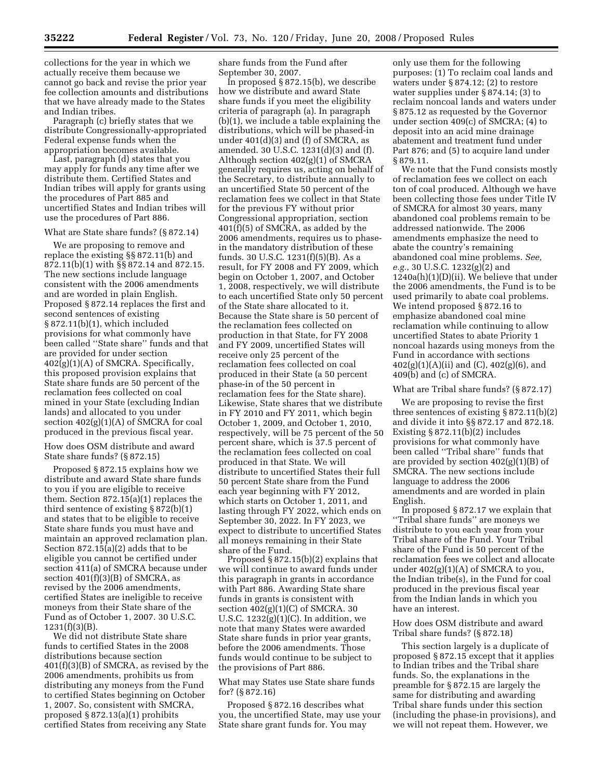collections for the year in which we actually receive them because we cannot go back and revise the prior year fee collection amounts and distributions that we have already made to the States and Indian tribes.

Paragraph (c) briefly states that we distribute Congressionally-appropriated Federal expense funds when the appropriation becomes available.

Last, paragraph (d) states that you may apply for funds any time after we distribute them. Certified States and Indian tribes will apply for grants using the procedures of Part 885 and uncertified States and Indian tribes will use the procedures of Part 886.

#### What are State share funds? (§ 872.14)

We are proposing to remove and replace the existing §§ 872.11(b) and 872.11(b)(1) with §§ 872.14 and 872.15. The new sections include language consistent with the 2006 amendments and are worded in plain English. Proposed § 872.14 replaces the first and second sentences of existing § 872.11(b)(1), which included provisions for what commonly have been called ''State share'' funds and that are provided for under section 402(g)(1)(A) of SMCRA. Specifically, this proposed provision explains that State share funds are 50 percent of the reclamation fees collected on coal mined in your State (excluding Indian lands) and allocated to you under section 402(g)(1)(A) of SMCRA for coal produced in the previous fiscal year.

How does OSM distribute and award State share funds? (§ 872.15)

Proposed § 872.15 explains how we distribute and award State share funds to you if you are eligible to receive them. Section 872.15(a)(1) replaces the third sentence of existing § 872(b)(1) and states that to be eligible to receive State share funds you must have and maintain an approved reclamation plan. Section 872.15(a)(2) adds that to be eligible you cannot be certified under section 411(a) of SMCRA because under section  $401(f)(3)(B)$  of SMCRA, as revised by the 2006 amendments, certified States are ineligible to receive moneys from their State share of the Fund as of October 1, 2007. 30 U.S.C. 1231(f)(3)(B).

We did not distribute State share funds to certified States in the 2008 distributions because section 401(f)(3)(B) of SMCRA, as revised by the 2006 amendments, prohibits us from distributing any moneys from the Fund to certified States beginning on October 1, 2007. So, consistent with SMCRA, proposed § 872.13(a)(1) prohibits certified States from receiving any State

share funds from the Fund after September 30, 2007.

In proposed § 872.15(b), we describe how we distribute and award State share funds if you meet the eligibility criteria of paragraph (a). In paragraph (b)(1), we include a table explaining the distributions, which will be phased-in under  $401(d)(3)$  and (f) of SMCRA, as amended. 30 U.S.C. 1231(d)(3) and (f). Although section 402(g)(1) of SMCRA generally requires us, acting on behalf of the Secretary, to distribute annually to an uncertified State 50 percent of the reclamation fees we collect in that State for the previous FY without prior Congressional appropriation, section 401(f)(5) of SMCRA, as added by the 2006 amendments, requires us to phasein the mandatory distribution of these funds. 30 U.S.C. 1231(f)(5)(B). As a result, for FY 2008 and FY 2009, which begin on October 1, 2007, and October 1, 2008, respectively, we will distribute to each uncertified State only 50 percent of the State share allocated to it. Because the State share is 50 percent of the reclamation fees collected on production in that State, for FY 2008 and FY 2009, uncertified States will receive only 25 percent of the reclamation fees collected on coal produced in their State (a 50 percent phase-in of the 50 percent in reclamation fees for the State share). Likewise, State shares that we distribute in FY 2010 and FY 2011, which begin October 1, 2009, and October 1, 2010, respectively, will be 75 percent of the 50 percent share, which is 37.5 percent of the reclamation fees collected on coal produced in that State. We will distribute to uncertified States their full 50 percent State share from the Fund each year beginning with FY 2012, which starts on October 1, 2011, and lasting through FY 2022, which ends on September 30, 2022. In FY 2023, we expect to distribute to uncertified States all moneys remaining in their State share of the Fund.

Proposed § 872.15(b)(2) explains that we will continue to award funds under this paragraph in grants in accordance with Part 886. Awarding State share funds in grants is consistent with section  $402(g)(1)(C)$  of SMCRA. 30 U.S.C.  $1232(g)(1)(C)$ . In addition, we note that many States were awarded State share funds in prior year grants, before the 2006 amendments. Those funds would continue to be subject to the provisions of Part 886.

What may States use State share funds for? (§ 872.16)

Proposed § 872.16 describes what you, the uncertified State, may use your State share grant funds for. You may

only use them for the following purposes: (1) To reclaim coal lands and waters under § 874.12; (2) to restore water supplies under § 874.14; (3) to reclaim noncoal lands and waters under § 875.12 as requested by the Governor under section 409(c) of SMCRA; (4) to deposit into an acid mine drainage abatement and treatment fund under Part 876; and (5) to acquire land under § 879.11.

We note that the Fund consists mostly of reclamation fees we collect on each ton of coal produced. Although we have been collecting those fees under Title IV of SMCRA for almost 30 years, many abandoned coal problems remain to be addressed nationwide. The 2006 amendments emphasize the need to abate the country's remaining abandoned coal mine problems. *See, e.g.*, 30 U.S.C. 1232(g)(2) and 1240a(h)(1)(D)(ii). We believe that under the 2006 amendments, the Fund is to be used primarily to abate coal problems. We intend proposed § 872.16 to emphasize abandoned coal mine reclamation while continuing to allow uncertified States to abate Priority 1 noncoal hazards using moneys from the Fund in accordance with sections  $402(g)(1)(A)(ii)$  and  $(C)$ ,  $402(g)(6)$ , and 409(b) and (c) of SMCRA.

# What are Tribal share funds? (§ 872.17)

We are proposing to revise the first three sentences of existing § 872.11(b)(2) and divide it into §§ 872.17 and 872.18. Existing § 872.11(b)(2) includes provisions for what commonly have been called ''Tribal share'' funds that are provided by section 402(g)(1)(B) of SMCRA. The new sections include language to address the 2006 amendments and are worded in plain English.

In proposed § 872.17 we explain that ''Tribal share funds'' are moneys we distribute to you each year from your Tribal share of the Fund. Your Tribal share of the Fund is 50 percent of the reclamation fees we collect and allocate under  $402(g)(1)(A)$  of SMCRA to you, the Indian tribe(s), in the Fund for coal produced in the previous fiscal year from the Indian lands in which you have an interest.

# How does OSM distribute and award Tribal share funds? (§ 872.18)

This section largely is a duplicate of proposed § 872.15 except that it applies to Indian tribes and the Tribal share funds. So, the explanations in the preamble for § 872.15 are largely the same for distributing and awarding Tribal share funds under this section (including the phase-in provisions), and we will not repeat them. However, we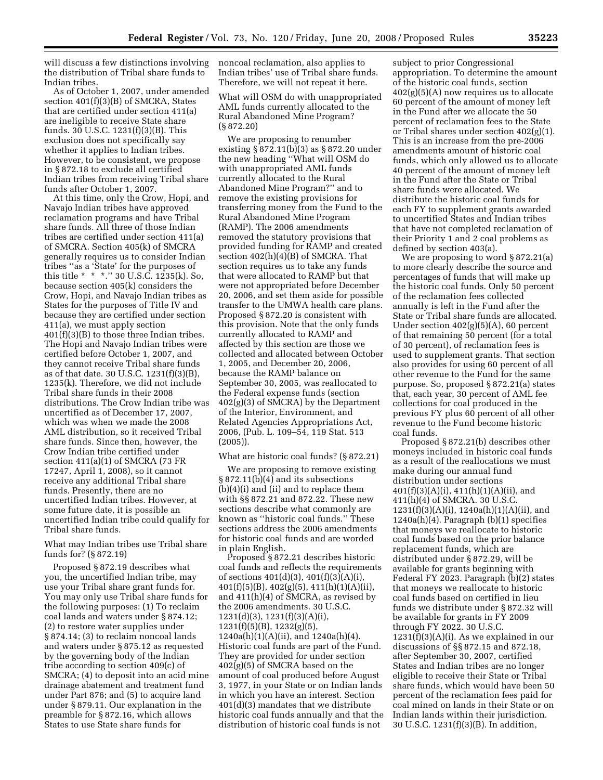will discuss a few distinctions involving the distribution of Tribal share funds to Indian tribes.

As of October 1, 2007, under amended section 401(f)(3)(B) of SMCRA, States that are certified under section 411(a) are ineligible to receive State share funds. 30 U.S.C. 1231(f)(3)(B). This exclusion does not specifically say whether it applies to Indian tribes. However, to be consistent, we propose in § 872.18 to exclude all certified Indian tribes from receiving Tribal share funds after October 1, 2007.

At this time, only the Crow, Hopi, and Navajo Indian tribes have approved reclamation programs and have Tribal share funds. All three of those Indian tribes are certified under section 411(a) of SMCRA. Section 405(k) of SMCRA generally requires us to consider Indian tribes ''as a 'State' for the purposes of this title \* \* \*.'' 30 U.S.C. 1235(k). So, because section 405(k) considers the Crow, Hopi, and Navajo Indian tribes as States for the purposes of Title IV and because they are certified under section 411(a), we must apply section 401(f)(3)(B) to those three Indian tribes. The Hopi and Navajo Indian tribes were certified before October 1, 2007, and they cannot receive Tribal share funds as of that date. 30 U.S.C. 1231(f)(3)(B), 1235(k). Therefore, we did not include Tribal share funds in their 2008 distributions. The Crow Indian tribe was uncertified as of December 17, 2007, which was when we made the 2008 AML distribution, so it received Tribal share funds. Since then, however, the Crow Indian tribe certified under section 411(a)(1) of SMCRA (73 FR 17247, April 1, 2008), so it cannot receive any additional Tribal share funds. Presently, there are no uncertified Indian tribes. However, at some future date, it is possible an uncertified Indian tribe could qualify for Tribal share funds.

# What may Indian tribes use Tribal share funds for? (§ 872.19)

Proposed § 872.19 describes what you, the uncertified Indian tribe, may use your Tribal share grant funds for. You may only use Tribal share funds for the following purposes: (1) To reclaim coal lands and waters under § 874.12; (2) to restore water supplies under § 874.14; (3) to reclaim noncoal lands and waters under § 875.12 as requested by the governing body of the Indian tribe according to section 409(c) of SMCRA; (4) to deposit into an acid mine drainage abatement and treatment fund under Part 876; and (5) to acquire land under § 879.11. Our explanation in the preamble for § 872.16, which allows States to use State share funds for

noncoal reclamation, also applies to Indian tribes' use of Tribal share funds. Therefore, we will not repeat it here.

What will OSM do with unappropriated AML funds currently allocated to the Rural Abandoned Mine Program? (§ 872.20)

We are proposing to renumber existing § 872.11(b)(3) as § 872.20 under the new heading ''What will OSM do with unappropriated AML funds currently allocated to the Rural Abandoned Mine Program?'' and to remove the existing provisions for transferring money from the Fund to the Rural Abandoned Mine Program (RAMP). The 2006 amendments removed the statutory provisions that provided funding for RAMP and created section 402(h)(4)(B) of SMCRA. That section requires us to take any funds that were allocated to RAMP but that were not appropriated before December 20, 2006, and set them aside for possible transfer to the UMWA health care plans. Proposed § 872.20 is consistent with this provision. Note that the only funds currently allocated to RAMP and affected by this section are those we collected and allocated between October 1, 2005, and December 20, 2006, because the RAMP balance on September 30, 2005, was reallocated to the Federal expense funds (section 402(g)(3) of SMCRA) by the Department of the Interior, Environment, and Related Agencies Appropriations Act, 2006, (Pub. L. 109–54, 119 Stat. 513 (2005)).

What are historic coal funds? (§ 872.21)

We are proposing to remove existing § 872.11(b)(4) and its subsections (b)(4)(i) and (ii) and to replace them with §§ 872.21 and 872.22. These new sections describe what commonly are known as ''historic coal funds.'' These sections address the 2006 amendments for historic coal funds and are worded in plain English.

Proposed § 872.21 describes historic coal funds and reflects the requirements of sections 401(d)(3), 401(f)(3)(A)(i),  $401(f)(5)(B)$ ,  $402(g)(5)$ ,  $411(h)(1)(A)(ii)$ , and 411(h)(4) of SMCRA, as revised by the 2006 amendments. 30 U.S.C. 1231(d)(3), 1231(f)(3)(A)(i),  $1231(f)(5)(B)$ ,  $1232(g)(5)$ , 1240a(h)(1)(A)(ii), and 1240a(h)(4). Historic coal funds are part of the Fund. They are provided for under section 402(g)(5) of SMCRA based on the amount of coal produced before August 3, 1977, in your State or on Indian lands in which you have an interest. Section 401(d)(3) mandates that we distribute historic coal funds annually and that the distribution of historic coal funds is not

subject to prior Congressional appropriation. To determine the amount of the historic coal funds, section  $402(g)(5)(A)$  now requires us to allocate 60 percent of the amount of money left in the Fund after we allocate the 50 percent of reclamation fees to the State or Tribal shares under section 402(g)(1). This is an increase from the pre-2006 amendments amount of historic coal funds, which only allowed us to allocate 40 percent of the amount of money left in the Fund after the State or Tribal share funds were allocated. We distribute the historic coal funds for each FY to supplement grants awarded to uncertified States and Indian tribes that have not completed reclamation of their Priority 1 and 2 coal problems as defined by section 403(a).

We are proposing to word § 872.21(a) to more clearly describe the source and percentages of funds that will make up the historic coal funds. Only 50 percent of the reclamation fees collected annually is left in the Fund after the State or Tribal share funds are allocated. Under section 402(g)(5)(A), 60 percent of that remaining 50 percent (for a total of 30 percent), of reclamation fees is used to supplement grants. That section also provides for using 60 percent of all other revenue to the Fund for the same purpose. So, proposed § 872.21(a) states that, each year, 30 percent of AML fee collections for coal produced in the previous FY plus 60 percent of all other revenue to the Fund become historic coal funds.

Proposed § 872.21(b) describes other moneys included in historic coal funds as a result of the reallocations we must make during our annual fund distribution under sections  $401(f)(3)(A)(i)$ ,  $411(h)(1)(A)(ii)$ , and 411(h)(4) of SMCRA. 30 U.S.C.  $1231(f)(3)(A)(i)$ ,  $1240a(h)(1)(A)(ii)$ , and 1240a(h)(4). Paragraph (b)(1) specifies that moneys we reallocate to historic coal funds based on the prior balance replacement funds, which are distributed under § 872.29, will be available for grants beginning with Federal FY 2023. Paragraph (b)(2) states that moneys we reallocate to historic coal funds based on certified in lieu funds we distribute under § 872.32 will be available for grants in FY 2009 through FY 2022. 30 U.S.C.  $1231(f)(3)(A)(i)$ . As we explained in our discussions of §§ 872.15 and 872.18, after September 30, 2007, certified States and Indian tribes are no longer eligible to receive their State or Tribal share funds, which would have been 50 percent of the reclamation fees paid for coal mined on lands in their State or on Indian lands within their jurisdiction. 30 U.S.C. 1231(f)(3)(B). In addition,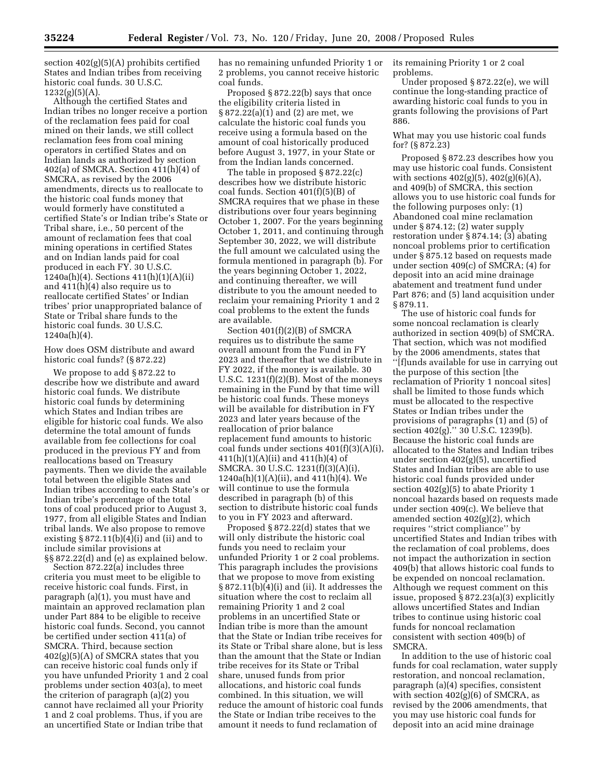section 402(g)(5)(A) prohibits certified States and Indian tribes from receiving historic coal funds. 30 U.S.C.  $1232(g)(5)(A).$ 

Although the certified States and Indian tribes no longer receive a portion of the reclamation fees paid for coal mined on their lands, we still collect reclamation fees from coal mining operators in certified States and on Indian lands as authorized by section 402(a) of SMCRA. Section 411(h)(4) of SMCRA, as revised by the 2006 amendments, directs us to reallocate to the historic coal funds money that would formerly have constituted a certified State's or Indian tribe's State or Tribal share, i.e., 50 percent of the amount of reclamation fees that coal mining operations in certified States and on Indian lands paid for coal produced in each FY. 30 U.S.C. 1240a(h)(4). Sections 411(h)(1)(A)(ii) and 411(h)(4) also require us to reallocate certified States' or Indian tribes' prior unappropriated balance of State or Tribal share funds to the historic coal funds. 30 U.S.C. 1240a(h)(4).

How does OSM distribute and award historic coal funds? (§ 872.22)

We propose to add § 872.22 to describe how we distribute and award historic coal funds. We distribute historic coal funds by determining which States and Indian tribes are eligible for historic coal funds. We also determine the total amount of funds available from fee collections for coal produced in the previous FY and from reallocations based on Treasury payments. Then we divide the available total between the eligible States and Indian tribes according to each State's or Indian tribe's percentage of the total tons of coal produced prior to August 3, 1977, from all eligible States and Indian tribal lands. We also propose to remove existing § 872.11(b)(4)(i) and (ii) and to include similar provisions at §§ 872.22(d) and (e) as explained below.

Section 872.22(a) includes three criteria you must meet to be eligible to receive historic coal funds. First, in paragraph (a)(1), you must have and maintain an approved reclamation plan under Part 884 to be eligible to receive historic coal funds. Second, you cannot be certified under section 411(a) of SMCRA. Third, because section 402(g)(5)(A) of SMCRA states that you can receive historic coal funds only if you have unfunded Priority 1 and 2 coal problems under section 403(a), to meet the criterion of paragraph (a)(2) you cannot have reclaimed all your Priority 1 and 2 coal problems. Thus, if you are an uncertified State or Indian tribe that

has no remaining unfunded Priority 1 or 2 problems, you cannot receive historic coal funds.

Proposed § 872.22(b) says that once the eligibility criteria listed in § 872.22(a)(1) and (2) are met, we calculate the historic coal funds you receive using a formula based on the amount of coal historically produced before August 3, 1977, in your State or from the Indian lands concerned.

The table in proposed § 872.22(c) describes how we distribute historic coal funds. Section 401(f)(5)(B) of SMCRA requires that we phase in these distributions over four years beginning October 1, 2007. For the years beginning October 1, 2011, and continuing through September 30, 2022, we will distribute the full amount we calculated using the formula mentioned in paragraph (b). For the years beginning October 1, 2022, and continuing thereafter, we will distribute to you the amount needed to reclaim your remaining Priority 1 and 2 coal problems to the extent the funds are available.

Section 401(f)(2)(B) of SMCRA requires us to distribute the same overall amount from the Fund in FY 2023 and thereafter that we distribute in FY 2022, if the money is available. 30 U.S.C.  $1231(f)(2)(B)$ . Most of the moneys remaining in the Fund by that time will be historic coal funds. These moneys will be available for distribution in FY 2023 and later years because of the reallocation of prior balance replacement fund amounts to historic coal funds under sections  $401(f)(3)(A)(i)$ , 411(h)(1)(A)(ii) and 411(h)(4) of SMCRA. 30 U.S.C. 1231(f)(3)(A)(i), 1240a(h)(1)(A)(ii), and 411(h)(4). We will continue to use the formula described in paragraph (b) of this section to distribute historic coal funds to you in FY 2023 and afterward.

Proposed § 872.22(d) states that we will only distribute the historic coal funds you need to reclaim your unfunded Priority 1 or 2 coal problems. This paragraph includes the provisions that we propose to move from existing § 872.11(b)(4)(i) and (ii). It addresses the situation where the cost to reclaim all remaining Priority 1 and 2 coal problems in an uncertified State or Indian tribe is more than the amount that the State or Indian tribe receives for its State or Tribal share alone, but is less than the amount that the State or Indian tribe receives for its State or Tribal share, unused funds from prior allocations, and historic coal funds combined. In this situation, we will reduce the amount of historic coal funds the State or Indian tribe receives to the amount it needs to fund reclamation of

its remaining Priority 1 or 2 coal problems.

Under proposed § 872.22(e), we will continue the long-standing practice of awarding historic coal funds to you in grants following the provisions of Part 886.

# What may you use historic coal funds for? (§ 872.23)

Proposed § 872.23 describes how you may use historic coal funds. Consistent with sections  $402(g)(5)$ ,  $402(g)(6)(A)$ , and 409(b) of SMCRA, this section allows you to use historic coal funds for the following purposes only: (1) Abandoned coal mine reclamation under § 874.12; (2) water supply restoration under § 874.14; (3) abating noncoal problems prior to certification under § 875.12 based on requests made under section 409(c) of SMCRA; (4) for deposit into an acid mine drainage abatement and treatment fund under Part 876; and (5) land acquisition under § 879.11.

The use of historic coal funds for some noncoal reclamation is clearly authorized in section 409(b) of SMCRA. That section, which was not modified by the 2006 amendments, states that ''[f]unds available for use in carrying out the purpose of this section [the reclamation of Priority 1 noncoal sites] shall be limited to those funds which must be allocated to the respective States or Indian tribes under the provisions of paragraphs (1) and (5) of section 402(g).'' 30 U.S.C. 1239(b). Because the historic coal funds are allocated to the States and Indian tribes under section 402(g)(5), uncertified States and Indian tribes are able to use historic coal funds provided under section 402(g)(5) to abate Priority 1 noncoal hazards based on requests made under section 409(c). We believe that amended section 402(g)(2), which requires ''strict compliance'' by uncertified States and Indian tribes with the reclamation of coal problems, does not impact the authorization in section 409(b) that allows historic coal funds to be expended on noncoal reclamation. Although we request comment on this issue, proposed § 872.23(a)(3) explicitly allows uncertified States and Indian tribes to continue using historic coal funds for noncoal reclamation consistent with section 409(b) of SMCRA.

In addition to the use of historic coal funds for coal reclamation, water supply restoration, and noncoal reclamation, paragraph (a)(4) specifies, consistent with section  $402(g)(6)$  of SMCRA, as revised by the 2006 amendments, that you may use historic coal funds for deposit into an acid mine drainage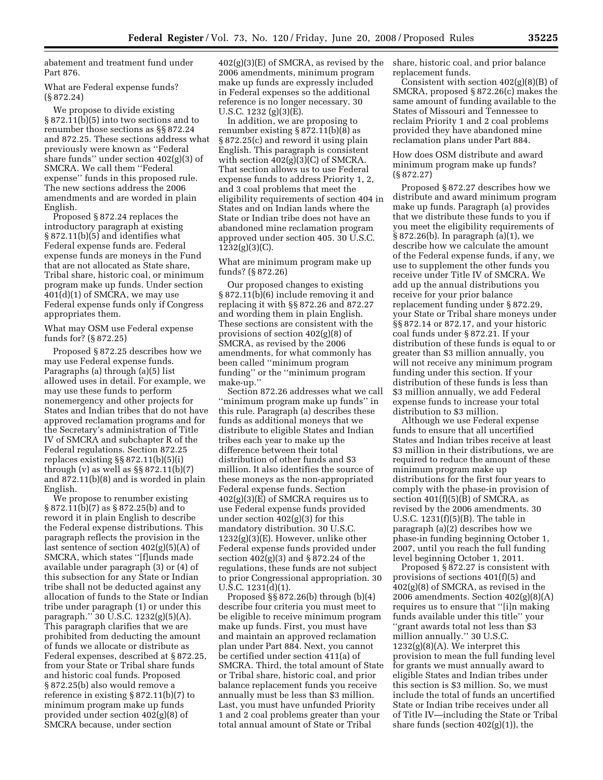abatement and treatment fund under Part 876.

What are Federal expense funds? (§ 872.24)

We propose to divide existing § 872.11(b)(5) into two sections and to renumber those sections as §§ 872.24 and 872.25. These sections address what previously were known as ''Federal share funds'' under section 402(g)(3) of SMCRA. We call them ''Federal expense'' funds in this proposed rule. The new sections address the 2006 amendments and are worded in plain English.

Proposed § 872.24 replaces the introductory paragraph at existing § 872.11(b)(5) and identifies what Federal expense funds are. Federal expense funds are moneys in the Fund that are not allocated as State share, Tribal share, historic coal, or minimum program make up funds. Under section 401(d)(1) of SMCRA, we may use Federal expense funds only if Congress appropriates them.

What may OSM use Federal expense funds for? (§ 872.25)

Proposed § 872.25 describes how we may use Federal expense funds. Paragraphs (a) through (a)(5) list allowed uses in detail. For example, we may use these funds to perform nonemergency and other projects for States and Indian tribes that do not have approved reclamation programs and for the Secretary's administration of Title IV of SMCRA and subchapter R of the Federal regulations. Section 872.25 replaces existing §§ 872.11(b)(5)(i) through (v) as well as  $\S$ § 872.11(b)(7) and 872.11(b)(8) and is worded in plain English.

We propose to renumber existing § 872.11(b)(7) as § 872.25(b) and to reword it in plain English to describe the Federal expense distributions. This paragraph reflects the provision in the last sentence of section 402(g)(5)(A) of SMCRA, which states ''[f]unds made available under paragraph (3) or (4) of this subsection for any State or Indian tribe shall not be deducted against any allocation of funds to the State or Indian tribe under paragraph (1) or under this paragraph.'' 30 U.S.C. 1232(g)(5)(A). This paragraph clarifies that we are prohibited from deducting the amount of funds we allocate or distribute as Federal expenses, described at § 872.25, from your State or Tribal share funds and historic coal funds. Proposed § 872.25(b) also would remove a reference in existing § 872.11(b)(7) to minimum program make up funds provided under section 402(g)(8) of SMCRA because, under section

 $402(g)(3)(E)$  of SMCRA, as revised by the 2006 amendments, minimum program make up funds are expressly included in Federal expenses so the additional reference is no longer necessary. 30 U.S.C. 1232 (g)(3)(E).

In addition, we are proposing to renumber existing § 872.11(b)(8) as § 872.25(c) and reword it using plain English. This paragraph is consistent with section  $402(g)(3)(C)$  of SMCRA. That section allows us to use Federal expense funds to address Priority 1, 2, and 3 coal problems that meet the eligibility requirements of section 404 in States and on Indian lands where the State or Indian tribe does not have an abandoned mine reclamation program approved under section 405. 30 U.S.C. 1232(g)(3)(C).

What are minimum program make up funds? (§ 872.26)

Our proposed changes to existing § 872.11(b)(6) include removing it and replacing it with §§ 872.26 and 872.27 and wording them in plain English. These sections are consistent with the provisions of section 402(g)(8) of SMCRA, as revised by the 2006 amendments, for what commonly has been called ''minimum program funding'' or the ''minimum program make-up.''

Section 872.26 addresses what we call ''minimum program make up funds'' in this rule. Paragraph (a) describes these funds as additional moneys that we distribute to eligible States and Indian tribes each year to make up the difference between their total distribution of other funds and \$3 million. It also identifies the source of these moneys as the non-appropriated Federal expense funds. Section 402(g)(3)(E) of SMCRA requires us to use Federal expense funds provided under section  $402(g)(3)$  for this mandatory distribution. 30 U.S.C.  $1232(g)(3)(E)$ . However, unlike other Federal expense funds provided under section 402(g)(3) and § 872.24 of the regulations, these funds are not subject to prior Congressional appropriation. 30 U.S.C. 1231(d)(1).

Proposed §§ 872.26(b) through (b)(4) describe four criteria you must meet to be eligible to receive minimum program make up funds. First, you must have and maintain an approved reclamation plan under Part 884. Next, you cannot be certified under section 411(a) of SMCRA. Third, the total amount of State or Tribal share, historic coal, and prior balance replacement funds you receive annually must be less than \$3 million. Last, you must have unfunded Priority 1 and 2 coal problems greater than your total annual amount of State or Tribal

share, historic coal, and prior balance replacement funds.

Consistent with section 402(g)(8)(B) of SMCRA, proposed § 872.26(c) makes the same amount of funding available to the States of Missouri and Tennessee to reclaim Priority 1 and 2 coal problems provided they have abandoned mine reclamation plans under Part 884.

How does OSM distribute and award minimum program make up funds? (§ 872.27)

Proposed § 872.27 describes how we distribute and award minimum program make up funds. Paragraph (a) provides that we distribute these funds to you if you meet the eligibility requirements of § 872.26(b). In paragraph (a)(1), we describe how we calculate the amount of the Federal expense funds, if any, we use to supplement the other funds you receive under Title IV of SMCRA. We add up the annual distributions you receive for your prior balance replacement funding under § 872.29, your State or Tribal share moneys under §§ 872.14 or 872.17, and your historic coal funds under § 872.21. If your distribution of these funds is equal to or greater than \$3 million annually, you will not receive any minimum program funding under this section. If your distribution of these funds is less than \$3 million annually, we add Federal expense funds to increase your total distribution to \$3 million.

Although we use Federal expense funds to ensure that all uncertified States and Indian tribes receive at least \$3 million in their distributions, we are required to reduce the amount of these minimum program make up distributions for the first four years to comply with the phase-in provision of section  $401(f)(5)(B)$  of SMCRA, as revised by the 2006 amendments. 30 U.S.C. 1231(f)(5)(B). The table in paragraph (a)(2) describes how we phase-in funding beginning October 1, 2007, until you reach the full funding level beginning October 1, 2011.

Proposed § 872.27 is consistent with provisions of sections 401(f)(5) and 402(g)(8) of SMCRA, as revised in the 2006 amendments. Section  $402(g)(8)(A)$ requires us to ensure that ''[i]n making funds available under this title'' your ''grant awards total not less than \$3 million annually.'' 30 U.S.C. 1232(g)(8)(A). We interpret this provision to mean the full funding level for grants we must annually award to eligible States and Indian tribes under this section is \$3 million. So, we must include the total of funds an uncertified State or Indian tribe receives under all of Title IV—including the State or Tribal share funds (section  $402(g)(1)$ ), the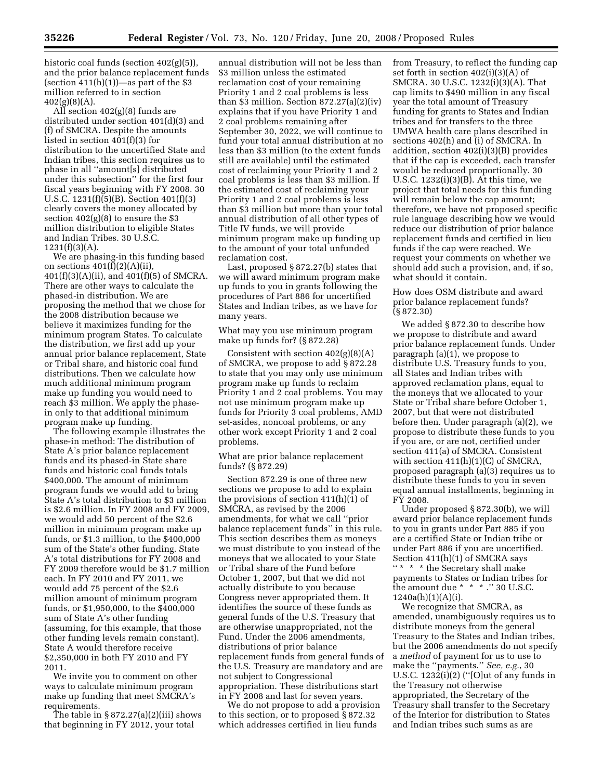historic coal funds (section 402(g)(5)), and the prior balance replacement funds (section  $411(h)(1)$ )—as part of the \$3 million referred to in section  $402(g)(8)(A)$ .

All section 402(g)(8) funds are distributed under section 401(d)(3) and (f) of SMCRA. Despite the amounts listed in section 401(f)(3) for distribution to the uncertified State and Indian tribes, this section requires us to phase in all ''amount[s] distributed under this subsection'' for the first four fiscal years beginning with FY 2008. 30 U.S.C. 1231(f)(5)(B). Section 401(f)(3) clearly covers the money allocated by section  $402(g)(8)$  to ensure the \$3 million distribution to eligible States and Indian Tribes. 30 U.S.C.  $1231(f)(3)(A)$ .

We are phasing-in this funding based on sections  $401(f)(2)(A)(ii)$ , 401(f)(3)(A)(ii), and 401(f)(5) of SMCRA. There are other ways to calculate the phased-in distribution. We are proposing the method that we chose for the 2008 distribution because we believe it maximizes funding for the minimum program States. To calculate the distribution, we first add up your annual prior balance replacement, State or Tribal share, and historic coal fund distributions. Then we calculate how much additional minimum program make up funding you would need to reach \$3 million. We apply the phasein only to that additional minimum program make up funding.

The following example illustrates the phase-in method: The distribution of State A's prior balance replacement funds and its phased-in State share funds and historic coal funds totals \$400,000. The amount of minimum program funds we would add to bring State A's total distribution to \$3 million is \$2.6 million. In FY 2008 and FY 2009, we would add 50 percent of the \$2.6 million in minimum program make up funds, or \$1.3 million, to the \$400,000 sum of the State's other funding. State A's total distributions for FY 2008 and FY 2009 therefore would be \$1.7 million each. In FY 2010 and FY 2011, we would add 75 percent of the \$2.6 million amount of minimum program funds, or \$1,950,000, to the \$400,000 sum of State A's other funding (assuming, for this example, that those other funding levels remain constant). State A would therefore receive \$2,350,000 in both FY 2010 and FY 2011.

We invite you to comment on other ways to calculate minimum program make up funding that meet SMCRA's requirements.

The table in § 872.27(a)(2)(iii) shows that beginning in FY 2012, your total

annual distribution will not be less than \$3 million unless the estimated reclamation cost of your remaining Priority 1 and 2 coal problems is less than  $\overline{\$3}$  million. Section  $\overline{\frac{872.27(a)(2)(iv)}}$ explains that if you have Priority 1 and 2 coal problems remaining after September 30, 2022, we will continue to fund your total annual distribution at no less than \$3 million (to the extent funds still are available) until the estimated cost of reclaiming your Priority 1 and 2 coal problems is less than \$3 million. If the estimated cost of reclaiming your Priority 1 and 2 coal problems is less than \$3 million but more than your total annual distribution of all other types of Title IV funds, we will provide minimum program make up funding up to the amount of your total unfunded reclamation cost.

Last, proposed § 872.27(b) states that we will award minimum program make up funds to you in grants following the procedures of Part 886 for uncertified States and Indian tribes, as we have for many years.

# What may you use minimum program make up funds for? (§ 872.28)

Consistent with section  $402(g)(8)(A)$ of SMCRA, we propose to add § 872.28 to state that you may only use minimum program make up funds to reclaim Priority 1 and 2 coal problems. You may not use minimum program make up funds for Priority 3 coal problems, AMD set-asides, noncoal problems, or any other work except Priority 1 and 2 coal problems.

What are prior balance replacement funds? (§ 872.29)

Section 872.29 is one of three new sections we propose to add to explain the provisions of section 411(h)(1) of SMCRA, as revised by the 2006 amendments, for what we call ''prior balance replacement funds'' in this rule. This section describes them as moneys we must distribute to you instead of the moneys that we allocated to your State or Tribal share of the Fund before October 1, 2007, but that we did not actually distribute to you because Congress never appropriated them. It identifies the source of these funds as general funds of the U.S. Treasury that are otherwise unappropriated, not the Fund. Under the 2006 amendments, distributions of prior balance replacement funds from general funds of the U.S. Treasury are mandatory and are not subject to Congressional appropriation. These distributions start in FY 2008 and last for seven years.

We do not propose to add a provision to this section, or to proposed § 872.32 which addresses certified in lieu funds

from Treasury, to reflect the funding cap set forth in section 402(i)(3)(A) of SMCRA. 30 U.S.C. 1232(i)(3)(A). That cap limits to \$490 million in any fiscal year the total amount of Treasury funding for grants to States and Indian tribes and for transfers to the three UMWA health care plans described in sections 402(h) and (i) of SMCRA. In addition, section 402(i)(3)(B) provides that if the cap is exceeded, each transfer would be reduced proportionally. 30 U.S.C. 1232(i)(3)(B). At this time, we project that total needs for this funding will remain below the cap amount; therefore, we have not proposed specific rule language describing how we would reduce our distribution of prior balance replacement funds and certified in lieu funds if the cap were reached. We request your comments on whether we should add such a provision, and, if so, what should it contain.

How does OSM distribute and award prior balance replacement funds? (§ 872.30)

We added § 872.30 to describe how we propose to distribute and award prior balance replacement funds. Under paragraph (a)(1), we propose to distribute U.S. Treasury funds to you, all States and Indian tribes with approved reclamation plans, equal to the moneys that we allocated to your State or Tribal share before October 1, 2007, but that were not distributed before then. Under paragraph (a)(2), we propose to distribute these funds to you if you are, or are not, certified under section 411(a) of SMCRA. Consistent with section 411(h)(1)(C) of SMCRA, proposed paragraph (a)(3) requires us to distribute these funds to you in seven equal annual installments, beginning in FY 2008.

Under proposed § 872.30(b), we will award prior balance replacement funds to you in grants under Part 885 if you are a certified State or Indian tribe or under Part 886 if you are uncertified. Section 411(h)(1) of SMCRA says '' \* \* \* the Secretary shall make payments to States or Indian tribes for the amount due \* \* \* .'' 30 U.S.C.  $1240a(h)(1)(A)(i)$ .

We recognize that SMCRA, as amended, unambiguously requires us to distribute moneys from the general Treasury to the States and Indian tribes, but the 2006 amendments do not specify a *method* of payment for us to use to make the ''payments.'' *See, e.g.*, 30 U.S.C.  $1232(i)(2)$  ("[O]ut of any funds in the Treasury not otherwise appropriated, the Secretary of the Treasury shall transfer to the Secretary of the Interior for distribution to States and Indian tribes such sums as are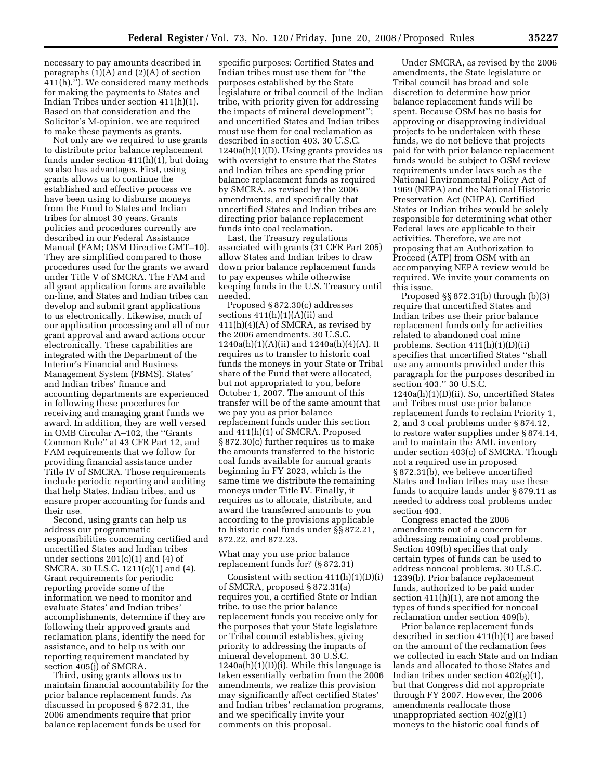necessary to pay amounts described in paragraphs (1)(A) and (2)(A) of section 411(h).''). We considered many methods for making the payments to States and Indian Tribes under section 411(h)(1). Based on that consideration and the Solicitor's M-opinion, we are required to make these payments as grants.

Not only are we required to use grants to distribute prior balance replacement funds under section 411(h)(1), but doing so also has advantages. First, using grants allows us to continue the established and effective process we have been using to disburse moneys from the Fund to States and Indian tribes for almost 30 years. Grants policies and procedures currently are described in our Federal Assistance Manual (FAM; OSM Directive GMT–10). They are simplified compared to those procedures used for the grants we award under Title V of SMCRA. The FAM and all grant application forms are available on-line, and States and Indian tribes can develop and submit grant applications to us electronically. Likewise, much of our application processing and all of our grant approval and award actions occur electronically. These capabilities are integrated with the Department of the Interior's Financial and Business Management System (FBMS). States' and Indian tribes' finance and accounting departments are experienced in following these procedures for receiving and managing grant funds we award. In addition, they are well versed in OMB Circular A–102, the ''Grants Common Rule'' at 43 CFR Part 12, and FAM requirements that we follow for providing financial assistance under Title IV of SMCRA. Those requirements include periodic reporting and auditing that help States, Indian tribes, and us ensure proper accounting for funds and their use.

Second, using grants can help us address our programmatic responsibilities concerning certified and uncertified States and Indian tribes under sections  $201(c)(1)$  and  $(4)$  of SMCRA. 30 U.S.C. 1211(c)(1) and (4). Grant requirements for periodic reporting provide some of the information we need to monitor and evaluate States' and Indian tribes' accomplishments, determine if they are following their approved grants and reclamation plans, identify the need for assistance, and to help us with our reporting requirement mandated by section 405(j) of SMCRA.

Third, using grants allows us to maintain financial accountability for the prior balance replacement funds. As discussed in proposed § 872.31, the 2006 amendments require that prior balance replacement funds be used for

specific purposes: Certified States and Indian tribes must use them for ''the purposes established by the State legislature or tribal council of the Indian tribe, with priority given for addressing the impacts of mineral development''; and uncertified States and Indian tribes must use them for coal reclamation as described in section 403. 30 U.S.C. 1240a(h)(1)(D). Using grants provides us with oversight to ensure that the States and Indian tribes are spending prior balance replacement funds as required by SMCRA, as revised by the 2006 amendments, and specifically that uncertified States and Indian tribes are directing prior balance replacement funds into coal reclamation.

Last, the Treasury regulations associated with grants (31 CFR Part 205) allow States and Indian tribes to draw down prior balance replacement funds to pay expenses while otherwise keeping funds in the U.S. Treasury until needed.

Proposed § 872.30(c) addresses sections  $411(h)(1)(A)(ii)$  and  $411(h)(4)(A)$  of SMCRA, as revised by the 2006 amendments. 30 U.S.C.  $1240a(h)(1)(A)(ii)$  and  $1240a(h)(4)(A)$ . It requires us to transfer to historic coal funds the moneys in your State or Tribal share of the Fund that were allocated, but not appropriated to you, before October 1, 2007. The amount of this transfer will be of the same amount that we pay you as prior balance replacement funds under this section and 411(h)(1) of SMCRA. Proposed § 872.30(c) further requires us to make the amounts transferred to the historic coal funds available for annual grants beginning in FY 2023, which is the same time we distribute the remaining moneys under Title IV. Finally, it requires us to allocate, distribute, and award the transferred amounts to you according to the provisions applicable to historic coal funds under §§ 872.21, 872.22, and 872.23.

What may you use prior balance replacement funds for? (§ 872.31)

Consistent with section  $411(h)(1)(D)(i)$ of SMCRA, proposed § 872.31(a) requires you, a certified State or Indian tribe, to use the prior balance replacement funds you receive only for the purposes that your State legislature or Tribal council establishes, giving priority to addressing the impacts of mineral development. 30 U.S.C.  $1240a(h)(1)(D)(i)$ . While this language is taken essentially verbatim from the 2006 amendments, we realize this provision may significantly affect certified States' and Indian tribes' reclamation programs, and we specifically invite your comments on this proposal.

Under SMCRA, as revised by the 2006 amendments, the State legislature or Tribal council has broad and sole discretion to determine how prior balance replacement funds will be spent. Because OSM has no basis for approving or disapproving individual projects to be undertaken with these funds, we do not believe that projects paid for with prior balance replacement funds would be subject to OSM review requirements under laws such as the National Environmental Policy Act of 1969 (NEPA) and the National Historic Preservation Act (NHPA). Certified States or Indian tribes would be solely responsible for determining what other Federal laws are applicable to their activities. Therefore, we are not proposing that an Authorization to Proceed (ATP) from OSM with an accompanying NEPA review would be required. We invite your comments on this issue.

Proposed §§ 872.31(b) through (b)(3) require that uncertified States and Indian tribes use their prior balance replacement funds only for activities related to abandoned coal mine problems. Section 411(h)(1)(D)(ii) specifies that uncertified States ''shall use any amounts provided under this paragraph for the purposes described in section 403.'' 30 U.S.C. 1240a(h)(1)(D)(ii). So, uncertified States and Tribes must use prior balance replacement funds to reclaim Priority 1, 2, and 3 coal problems under § 874.12, to restore water supplies under § 874.14, and to maintain the AML inventory under section 403(c) of SMCRA. Though not a required use in proposed § 872.31(b), we believe uncertified States and Indian tribes may use these funds to acquire lands under § 879.11 as needed to address coal problems under section 403.

Congress enacted the 2006 amendments out of a concern for addressing remaining coal problems. Section 409(b) specifies that only certain types of funds can be used to address noncoal problems. 30 U.S.C. 1239(b). Prior balance replacement funds, authorized to be paid under section 411(h)(1), are not among the types of funds specified for noncoal reclamation under section 409(b).

Prior balance replacement funds described in section 411(h)(1) are based on the amount of the reclamation fees we collected in each State and on Indian lands and allocated to those States and Indian tribes under section 402(g)(1), but that Congress did not appropriate through FY 2007. However, the 2006 amendments reallocate those unappropriated section  $402(g)(1)$ moneys to the historic coal funds of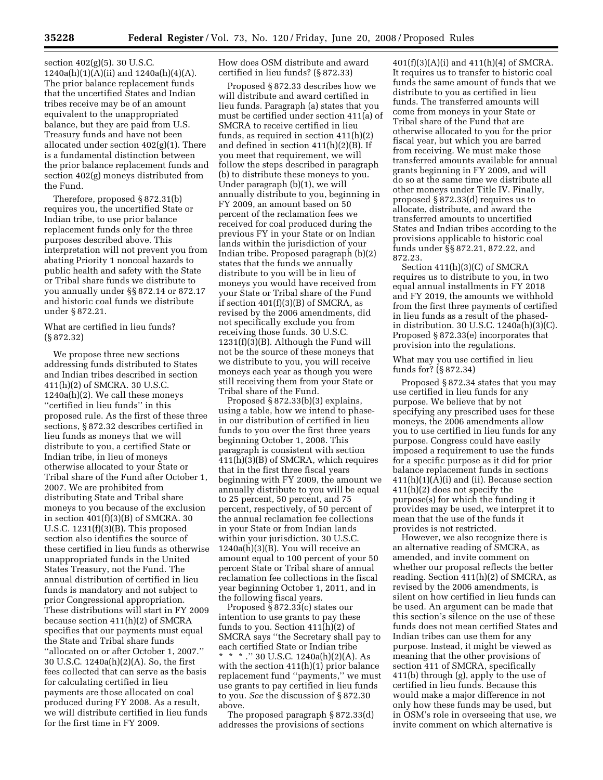section 402(g)(5). 30 U.S.C.  $1240a(h)(1)(A)(ii)$  and  $1240a(h)(4)(A)$ . The prior balance replacement funds that the uncertified States and Indian tribes receive may be of an amount equivalent to the unappropriated balance, but they are paid from U.S. Treasury funds and have not been allocated under section 402(g)(1). There is a fundamental distinction between the prior balance replacement funds and section 402(g) moneys distributed from the Fund.

Therefore, proposed § 872.31(b) requires you, the uncertified State or Indian tribe, to use prior balance replacement funds only for the three purposes described above. This interpretation will not prevent you from abating Priority 1 noncoal hazards to public health and safety with the State or Tribal share funds we distribute to you annually under §§ 872.14 or 872.17 and historic coal funds we distribute under § 872.21.

What are certified in lieu funds? (§ 872.32)

We propose three new sections addressing funds distributed to States and Indian tribes described in section 411(h)(2) of SMCRA. 30 U.S.C. 1240a(h)(2). We call these moneys ''certified in lieu funds'' in this proposed rule. As the first of these three sections, § 872.32 describes certified in lieu funds as moneys that we will distribute to you, a certified State or Indian tribe, in lieu of moneys otherwise allocated to your State or Tribal share of the Fund after October 1, 2007. We are prohibited from distributing State and Tribal share moneys to you because of the exclusion in section  $401(f)(3)(B)$  of SMCRA. 30 U.S.C. 1231(f)(3)(B). This proposed section also identifies the source of these certified in lieu funds as otherwise unappropriated funds in the United States Treasury, not the Fund. The annual distribution of certified in lieu funds is mandatory and not subject to prior Congressional appropriation. These distributions will start in FY 2009 because section 411(h)(2) of SMCRA specifies that our payments must equal the State and Tribal share funds ''allocated on or after October 1, 2007.'' 30 U.S.C. 1240a(h)(2)(A). So, the first fees collected that can serve as the basis for calculating certified in lieu payments are those allocated on coal produced during FY 2008. As a result, we will distribute certified in lieu funds for the first time in FY 2009.

How does OSM distribute and award certified in lieu funds? (§ 872.33)

Proposed § 872.33 describes how we will distribute and award certified in lieu funds. Paragraph (a) states that you must be certified under section 411(a) of SMCRA to receive certified in lieu funds, as required in section 411(h)(2) and defined in section 411(h)(2)(B). If you meet that requirement, we will follow the steps described in paragraph (b) to distribute these moneys to you. Under paragraph (b)(1), we will annually distribute to you, beginning in FY 2009, an amount based on 50 percent of the reclamation fees we received for coal produced during the previous FY in your State or on Indian lands within the jurisdiction of your Indian tribe. Proposed paragraph (b)(2) states that the funds we annually distribute to you will be in lieu of moneys you would have received from your State or Tribal share of the Fund if section  $401(f)(3)(B)$  of SMCRA, as revised by the 2006 amendments, did not specifically exclude you from receiving those funds. 30 U.S.C. 1231(f)(3)(B). Although the Fund will not be the source of these moneys that we distribute to you, you will receive moneys each year as though you were still receiving them from your State or Tribal share of the Fund.

Proposed § 872.33(b)(3) explains, using a table, how we intend to phasein our distribution of certified in lieu funds to you over the first three years beginning October 1, 2008. This paragraph is consistent with section  $411(h)(3)(B)$  of SMCRA, which requires that in the first three fiscal years beginning with FY 2009, the amount we annually distribute to you will be equal to 25 percent, 50 percent, and 75 percent, respectively, of 50 percent of the annual reclamation fee collections in your State or from Indian lands within your jurisdiction. 30 U.S.C. 1240a(h)(3)(B). You will receive an amount equal to 100 percent of your 50 percent State or Tribal share of annual reclamation fee collections in the fiscal year beginning October 1, 2011, and in the following fiscal years.

Proposed § 872.33(c) states our intention to use grants to pay these funds to you. Section  $411(h)(2)$  of SMCRA says ''the Secretary shall pay to each certified State or Indian tribe \* \* \* .'' 30 U.S.C. 1240a(h)(2)(A). As with the section 411(h)(1) prior balance replacement fund ''payments,'' we must use grants to pay certified in lieu funds to you. *See* the discussion of § 872.30 above.

The proposed paragraph § 872.33(d) addresses the provisions of sections

401(f)(3)(A)(i) and 411(h)(4) of SMCRA. It requires us to transfer to historic coal funds the same amount of funds that we distribute to you as certified in lieu funds. The transferred amounts will come from moneys in your State or Tribal share of the Fund that are otherwise allocated to you for the prior fiscal year, but which you are barred from receiving. We must make those transferred amounts available for annual grants beginning in FY 2009, and will do so at the same time we distribute all other moneys under Title IV. Finally, proposed § 872.33(d) requires us to allocate, distribute, and award the transferred amounts to uncertified States and Indian tribes according to the provisions applicable to historic coal funds under §§ 872.21, 872.22, and 872.23.

Section 411(h)(3)(C) of SMCRA requires us to distribute to you, in two equal annual installments in FY 2018 and FY 2019, the amounts we withhold from the first three payments of certified in lieu funds as a result of the phasedin distribution. 30 U.S.C. 1240a(h)(3)(C). Proposed § 872.33(e) incorporates that provision into the regulations.

What may you use certified in lieu funds for? (§ 872.34)

Proposed § 872.34 states that you may use certified in lieu funds for any purpose. We believe that by not specifying any prescribed uses for these moneys, the 2006 amendments allow you to use certified in lieu funds for any purpose. Congress could have easily imposed a requirement to use the funds for a specific purpose as it did for prior balance replacement funds in sections  $411(h)(1)(A)(i)$  and (ii). Because section 411(h)(2) does not specify the purpose(s) for which the funding it provides may be used, we interpret it to mean that the use of the funds it provides is not restricted.

However, we also recognize there is an alternative reading of SMCRA, as amended, and invite comment on whether our proposal reflects the better reading. Section 411(h)(2) of SMCRA, as revised by the 2006 amendments, is silent on how certified in lieu funds can be used. An argument can be made that this section's silence on the use of these funds does not mean certified States and Indian tribes can use them for any purpose. Instead, it might be viewed as meaning that the other provisions of section 411 of SMCRA, specifically 411(b) through (g), apply to the use of certified in lieu funds. Because this would make a major difference in not only how these funds may be used, but in OSM's role in overseeing that use, we invite comment on which alternative is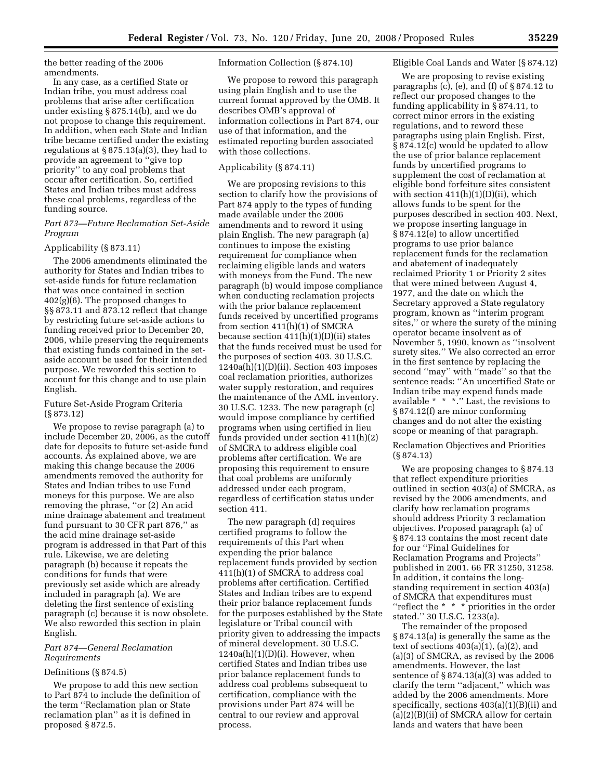the better reading of the 2006 amendments.

In any case, as a certified State or Indian tribe, you must address coal problems that arise after certification under existing § 875.14(b), and we do not propose to change this requirement. In addition, when each State and Indian tribe became certified under the existing regulations at  $\S 875.13(a)(3)$ , they had to provide an agreement to ''give top priority'' to any coal problems that occur after certification. So, certified States and Indian tribes must address these coal problems, regardless of the funding source.

# *Part 873—Future Reclamation Set-Aside Program*

# Applicability (§ 873.11)

The 2006 amendments eliminated the authority for States and Indian tribes to set-aside funds for future reclamation that was once contained in section 402(g)(6). The proposed changes to §§ 873.11 and 873.12 reflect that change by restricting future set-aside actions to funding received prior to December 20, 2006, while preserving the requirements that existing funds contained in the setaside account be used for their intended purpose. We reworded this section to account for this change and to use plain English.

# Future Set-Aside Program Criteria (§ 873.12)

We propose to revise paragraph (a) to include December 20, 2006, as the cutoff date for deposits to future set-aside fund accounts. As explained above, we are making this change because the 2006 amendments removed the authority for States and Indian tribes to use Fund moneys for this purpose. We are also removing the phrase, ''or (2) An acid mine drainage abatement and treatment fund pursuant to 30 CFR part 876,'' as the acid mine drainage set-aside program is addressed in that Part of this rule. Likewise, we are deleting paragraph (b) because it repeats the conditions for funds that were previously set aside which are already included in paragraph (a). We are deleting the first sentence of existing paragraph (c) because it is now obsolete. We also reworded this section in plain English.

# *Part 874—General Reclamation Requirements*

# Definitions (§ 874.5)

We propose to add this new section to Part 874 to include the definition of the term ''Reclamation plan or State reclamation plan'' as it is defined in proposed § 872.5.

Information Collection (§ 874.10)

We propose to reword this paragraph using plain English and to use the current format approved by the OMB. It describes OMB's approval of information collections in Part 874, our use of that information, and the estimated reporting burden associated with those collections.

# Applicability (§ 874.11)

We are proposing revisions to this section to clarify how the provisions of Part 874 apply to the types of funding made available under the 2006 amendments and to reword it using plain English. The new paragraph (a) continues to impose the existing requirement for compliance when reclaiming eligible lands and waters with moneys from the Fund. The new paragraph (b) would impose compliance when conducting reclamation projects with the prior balance replacement funds received by uncertified programs from section 411(h)(1) of SMCRA because section  $411(h)(1)(D)(ii)$  states that the funds received must be used for the purposes of section 403. 30 U.S.C.  $1240a(h)(1)(D)(ii)$ . Section 403 imposes coal reclamation priorities, authorizes water supply restoration, and requires the maintenance of the AML inventory. 30 U.S.C. 1233. The new paragraph (c) would impose compliance by certified programs when using certified in lieu funds provided under section 411(h)(2) of SMCRA to address eligible coal problems after certification. We are proposing this requirement to ensure that coal problems are uniformly addressed under each program, regardless of certification status under section 411.

The new paragraph (d) requires certified programs to follow the requirements of this Part when expending the prior balance replacement funds provided by section 411(h)(1) of SMCRA to address coal problems after certification. Certified States and Indian tribes are to expend their prior balance replacement funds for the purposes established by the State legislature or Tribal council with priority given to addressing the impacts of mineral development. 30 U.S.C.  $1240a(h)(1)(D)(i)$ . However, when certified States and Indian tribes use prior balance replacement funds to address coal problems subsequent to certification, compliance with the provisions under Part 874 will be central to our review and approval process.

# Eligible Coal Lands and Water (§ 874.12)

We are proposing to revise existing paragraphs (c), (e), and (f) of § 874.12 to reflect our proposed changes to the funding applicability in § 874.11, to correct minor errors in the existing regulations, and to reword these paragraphs using plain English. First, § 874.12(c) would be updated to allow the use of prior balance replacement funds by uncertified programs to supplement the cost of reclamation at eligible bond forfeiture sites consistent with section  $411(h)(1)(D)(ii)$ , which allows funds to be spent for the purposes described in section 403. Next, we propose inserting language in § 874.12(e) to allow uncertified programs to use prior balance replacement funds for the reclamation and abatement of inadequately reclaimed Priority 1 or Priority 2 sites that were mined between August 4, 1977, and the date on which the Secretary approved a State regulatory program, known as ''interim program sites,'' or where the surety of the mining operator became insolvent as of November 5, 1990, known as ''insolvent surety sites.'' We also corrected an error in the first sentence by replacing the second ''may'' with ''made'' so that the sentence reads: ''An uncertified State or Indian tribe may expend funds made available \* \* \*.'' Last, the revisions to § 874.12(f) are minor conforming changes and do not alter the existing scope or meaning of that paragraph.

Reclamation Objectives and Priorities (§ 874.13)

We are proposing changes to § 874.13 that reflect expenditure priorities outlined in section 403(a) of SMCRA, as revised by the 2006 amendments, and clarify how reclamation programs should address Priority 3 reclamation objectives. Proposed paragraph (a) of § 874.13 contains the most recent date for our ''Final Guidelines for Reclamation Programs and Projects'' published in 2001. 66 FR 31250, 31258. In addition, it contains the longstanding requirement in section 403(a) of SMCRA that expenditures must ''reflect the \* \* \* priorities in the order stated.'' 30 U.S.C. 1233(a).

The remainder of the proposed § 874.13(a) is generally the same as the text of sections 403(a)(1), (a)(2), and (a)(3) of SMCRA, as revised by the 2006 amendments. However, the last sentence of § 874.13(a)(3) was added to clarify the term ''adjacent,'' which was added by the 2006 amendments. More specifically, sections 403(a)(1)(B)(ii) and (a)(2)(B)(ii) of SMCRA allow for certain lands and waters that have been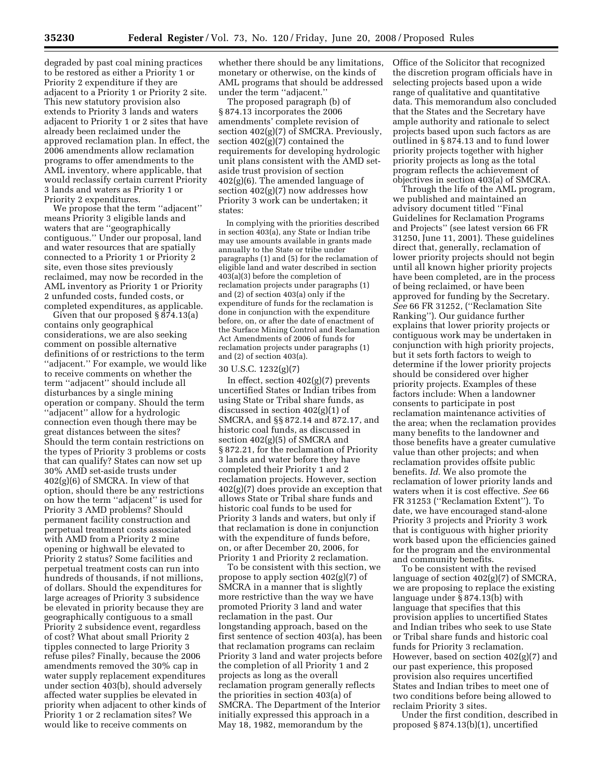degraded by past coal mining practices to be restored as either a Priority 1 or Priority 2 expenditure if they are adjacent to a Priority 1 or Priority 2 site. This new statutory provision also extends to Priority 3 lands and waters adjacent to Priority 1 or 2 sites that have already been reclaimed under the approved reclamation plan. In effect, the 2006 amendments allow reclamation programs to offer amendments to the AML inventory, where applicable, that would reclassify certain current Priority 3 lands and waters as Priority 1 or Priority 2 expenditures.

We propose that the term ''adjacent'' means Priority 3 eligible lands and waters that are ''geographically contiguous.'' Under our proposal, land and water resources that are spatially connected to a Priority 1 or Priority 2 site, even those sites previously reclaimed, may now be recorded in the AML inventory as Priority 1 or Priority 2 unfunded costs, funded costs, or completed expenditures, as applicable.

Given that our proposed § 874.13(a) contains only geographical considerations, we are also seeking comment on possible alternative definitions of or restrictions to the term ''adjacent.'' For example, we would like to receive comments on whether the term ''adjacent'' should include all disturbances by a single mining operation or company. Should the term ''adjacent'' allow for a hydrologic connection even though there may be great distances between the sites? Should the term contain restrictions on the types of Priority 3 problems or costs that can qualify? States can now set up 30% AMD set-aside trusts under 402(g)(6) of SMCRA. In view of that option, should there be any restrictions on how the term ''adjacent'' is used for Priority 3 AMD problems? Should permanent facility construction and perpetual treatment costs associated with AMD from a Priority 2 mine opening or highwall be elevated to Priority 2 status? Some facilities and perpetual treatment costs can run into hundreds of thousands, if not millions, of dollars. Should the expenditures for large acreages of Priority 3 subsidence be elevated in priority because they are geographically contiguous to a small Priority 2 subsidence event, regardless of cost? What about small Priority 2 tipples connected to large Priority 3 refuse piles? Finally, because the 2006 amendments removed the 30% cap in water supply replacement expenditures under section 403(b), should adversely affected water supplies be elevated in priority when adjacent to other kinds of Priority 1 or 2 reclamation sites? We would like to receive comments on

whether there should be any limitations, monetary or otherwise, on the kinds of AML programs that should be addressed under the term ''adjacent.''

The proposed paragraph (b) of § 874.13 incorporates the 2006 amendments' complete revision of section 402(g)(7) of SMCRA. Previously, section 402(g)(7) contained the requirements for developing hydrologic unit plans consistent with the AMD setaside trust provision of section 402(g)(6). The amended language of section 402(g)(7) now addresses how Priority 3 work can be undertaken; it states:

In complying with the priorities described in section 403(a), any State or Indian tribe may use amounts available in grants made annually to the State or tribe under paragraphs (1) and (5) for the reclamation of eligible land and water described in section 403(a)(3) before the completion of reclamation projects under paragraphs (1) and (2) of section 403(a) only if the expenditure of funds for the reclamation is done in conjunction with the expenditure before, on, or after the date of enactment of the Surface Mining Control and Reclamation Act Amendments of 2006 of funds for reclamation projects under paragraphs (1) and (2) of section 403(a).

# 30 U.S.C. 1232(g)(7)

In effect, section  $402(g)(7)$  prevents uncertified States or Indian tribes from using State or Tribal share funds, as discussed in section 402(g)(1) of SMCRA, and §§ 872.14 and 872.17, and historic coal funds, as discussed in section 402(g)(5) of SMCRA and § 872.21, for the reclamation of Priority 3 lands and water before they have completed their Priority 1 and 2 reclamation projects. However, section 402(g)(7) does provide an exception that allows State or Tribal share funds and historic coal funds to be used for Priority 3 lands and waters, but only if that reclamation is done in conjunction with the expenditure of funds before, on, or after December 20, 2006, for Priority 1 and Priority 2 reclamation.

To be consistent with this section, we propose to apply section 402(g)(7) of SMCRA in a manner that is slightly more restrictive than the way we have promoted Priority 3 land and water reclamation in the past. Our longstanding approach, based on the first sentence of section 403(a), has been that reclamation programs can reclaim Priority 3 land and water projects before the completion of all Priority 1 and 2 projects as long as the overall reclamation program generally reflects the priorities in section 403(a) of SMCRA. The Department of the Interior initially expressed this approach in a May 18, 1982, memorandum by the

Office of the Solicitor that recognized the discretion program officials have in selecting projects based upon a wide range of qualitative and quantitative data. This memorandum also concluded that the States and the Secretary have ample authority and rationale to select projects based upon such factors as are outlined in § 874.13 and to fund lower priority projects together with higher priority projects as long as the total program reflects the achievement of objectives in section 403(a) of SMCRA.

Through the life of the AML program, we published and maintained an advisory document titled ''Final Guidelines for Reclamation Programs and Projects'' (see latest version 66 FR 31250, June 11, 2001). These guidelines direct that, generally, reclamation of lower priority projects should not begin until all known higher priority projects have been completed, are in the process of being reclaimed, or have been approved for funding by the Secretary. *See* 66 FR 31252, (''Reclamation Site Ranking''). Our guidance further explains that lower priority projects or contiguous work may be undertaken in conjunction with high priority projects, but it sets forth factors to weigh to determine if the lower priority projects should be considered over higher priority projects. Examples of these factors include: When a landowner consents to participate in post reclamation maintenance activities of the area; when the reclamation provides many benefits to the landowner and those benefits have a greater cumulative value than other projects; and when reclamation provides offsite public benefits. *Id.* We also promote the reclamation of lower priority lands and waters when it is cost effective. *See* 66 FR 31253 (''Reclamation Extent''). To date, we have encouraged stand-alone Priority 3 projects and Priority 3 work that is contiguous with higher priority work based upon the efficiencies gained for the program and the environmental and community benefits.

To be consistent with the revised language of section 402(g)(7) of SMCRA, we are proposing to replace the existing language under § 874.13(b) with language that specifies that this provision applies to uncertified States and Indian tribes who seek to use State or Tribal share funds and historic coal funds for Priority 3 reclamation. However, based on section 402(g)(7) and our past experience, this proposed provision also requires uncertified States and Indian tribes to meet one of two conditions before being allowed to reclaim Priority 3 sites.

Under the first condition, described in proposed § 874.13(b)(1), uncertified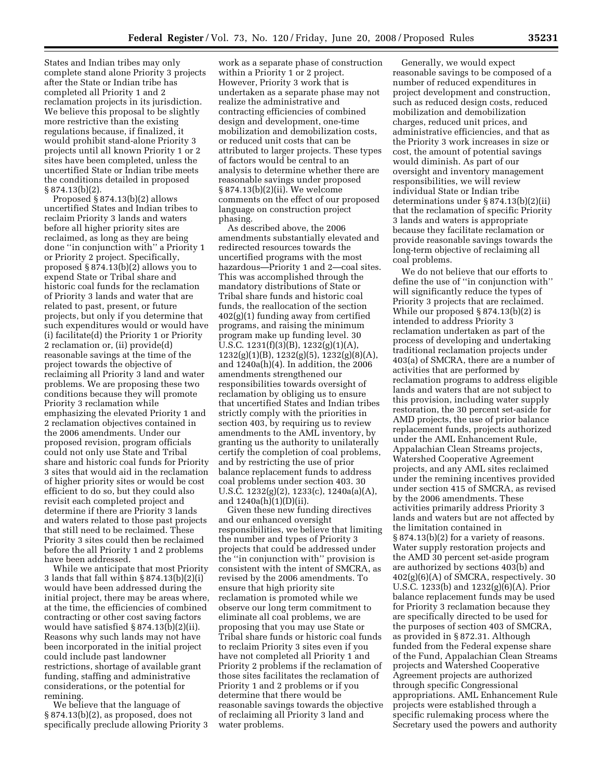States and Indian tribes may only complete stand alone Priority 3 projects after the State or Indian tribe has completed all Priority 1 and 2 reclamation projects in its jurisdiction. We believe this proposal to be slightly more restrictive than the existing regulations because, if finalized, it would prohibit stand-alone Priority 3 projects until all known Priority 1 or 2 sites have been completed, unless the uncertified State or Indian tribe meets the conditions detailed in proposed § 874.13(b)(2).

Proposed § 874.13(b)(2) allows uncertified States and Indian tribes to reclaim Priority 3 lands and waters before all higher priority sites are reclaimed, as long as they are being done ''in conjunction with'' a Priority 1 or Priority 2 project. Specifically, proposed § 874.13(b)(2) allows you to expend State or Tribal share and historic coal funds for the reclamation of Priority 3 lands and water that are related to past, present, or future projects, but only if you determine that such expenditures would or would have (i) facilitate(d) the Priority 1 or Priority 2 reclamation or, (ii) provide(d) reasonable savings at the time of the project towards the objective of reclaiming all Priority 3 land and water problems. We are proposing these two conditions because they will promote Priority 3 reclamation while emphasizing the elevated Priority 1 and 2 reclamation objectives contained in the 2006 amendments. Under our proposed revision, program officials could not only use State and Tribal share and historic coal funds for Priority 3 sites that would aid in the reclamation of higher priority sites or would be cost efficient to do so, but they could also revisit each completed project and determine if there are Priority 3 lands and waters related to those past projects that still need to be reclaimed. These Priority 3 sites could then be reclaimed before the all Priority 1 and 2 problems have been addressed.

While we anticipate that most Priority 3 lands that fall within § 874.13(b)(2)(i) would have been addressed during the initial project, there may be areas where, at the time, the efficiencies of combined contracting or other cost saving factors would have satisfied § 874.13(b)(2)(ii). Reasons why such lands may not have been incorporated in the initial project could include past landowner restrictions, shortage of available grant funding, staffing and administrative considerations, or the potential for remining.

We believe that the language of § 874.13(b)(2), as proposed, does not specifically preclude allowing Priority 3

work as a separate phase of construction within a Priority 1 or 2 project. However, Priority 3 work that is undertaken as a separate phase may not realize the administrative and contracting efficiencies of combined design and development, one-time mobilization and demobilization costs, or reduced unit costs that can be attributed to larger projects. These types of factors would be central to an analysis to determine whether there are reasonable savings under proposed § 874.13(b)(2)(ii). We welcome comments on the effect of our proposed language on construction project phasing.

As described above, the 2006 amendments substantially elevated and redirected resources towards the uncertified programs with the most hazardous—Priority 1 and 2—coal sites. This was accomplished through the mandatory distributions of State or Tribal share funds and historic coal funds, the reallocation of the section 402(g)(1) funding away from certified programs, and raising the minimum program make up funding level. 30 U.S.C. 1231(f)(3)(B), 1232(g)(1)(A), 1232(g)(1)(B), 1232(g)(5), 1232(g)(8)(A), and 1240a(h)(4). In addition, the 2006 amendments strengthened our responsibilities towards oversight of reclamation by obliging us to ensure that uncertified States and Indian tribes strictly comply with the priorities in section 403, by requiring us to review amendments to the AML inventory, by granting us the authority to unilaterally certify the completion of coal problems, and by restricting the use of prior balance replacement funds to address coal problems under section 403. 30 U.S.C. 1232(g)(2), 1233(c), 1240a(a)(A), and 1240a(h)(1)(D)(ii).

Given these new funding directives and our enhanced oversight responsibilities, we believe that limiting the number and types of Priority 3 projects that could be addressed under the ''in conjunction with'' provision is consistent with the intent of SMCRA, as revised by the 2006 amendments. To ensure that high priority site reclamation is promoted while we observe our long term commitment to eliminate all coal problems, we are proposing that you may use State or Tribal share funds or historic coal funds to reclaim Priority 3 sites even if you have not completed all Priority 1 and Priority 2 problems if the reclamation of those sites facilitates the reclamation of Priority 1 and 2 problems or if you determine that there would be reasonable savings towards the objective of reclaiming all Priority 3 land and water problems.

Generally, we would expect reasonable savings to be composed of a number of reduced expenditures in project development and construction, such as reduced design costs, reduced mobilization and demobilization charges, reduced unit prices, and administrative efficiencies, and that as the Priority 3 work increases in size or cost, the amount of potential savings would diminish. As part of our oversight and inventory management responsibilities, we will review individual State or Indian tribe determinations under § 874.13(b)(2)(ii) that the reclamation of specific Priority 3 lands and waters is appropriate because they facilitate reclamation or provide reasonable savings towards the long-term objective of reclaiming all coal problems.

We do not believe that our efforts to define the use of ''in conjunction with'' will significantly reduce the types of Priority 3 projects that are reclaimed. While our proposed § 874.13(b)(2) is intended to address Priority 3 reclamation undertaken as part of the process of developing and undertaking traditional reclamation projects under 403(a) of SMCRA, there are a number of activities that are performed by reclamation programs to address eligible lands and waters that are not subject to this provision, including water supply restoration, the 30 percent set-aside for AMD projects, the use of prior balance replacement funds, projects authorized under the AML Enhancement Rule, Appalachian Clean Streams projects, Watershed Cooperative Agreement projects, and any AML sites reclaimed under the remining incentives provided under section 415 of SMCRA, as revised by the 2006 amendments. These activities primarily address Priority 3 lands and waters but are not affected by the limitation contained in § 874.13(b)(2) for a variety of reasons. Water supply restoration projects and the AMD 30 percent set-aside program are authorized by sections 403(b) and  $402(g)(6)(A)$  of SMCRA, respectively. 30 U.S.C. 1233(b) and 1232(g)(6)(A). Prior balance replacement funds may be used for Priority 3 reclamation because they are specifically directed to be used for the purposes of section 403 of SMCRA, as provided in § 872.31. Although funded from the Federal expense share of the Fund, Appalachian Clean Streams projects and Watershed Cooperative Agreement projects are authorized through specific Congressional appropriations. AML Enhancement Rule projects were established through a specific rulemaking process where the Secretary used the powers and authority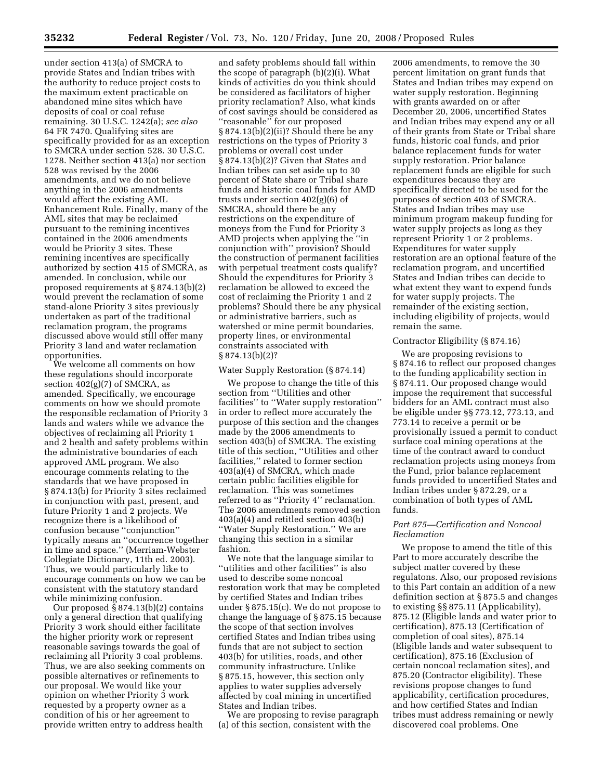under section 413(a) of SMCRA to provide States and Indian tribes with the authority to reduce project costs to the maximum extent practicable on abandoned mine sites which have deposits of coal or coal refuse remaining. 30 U.S.C. 1242(a); *see also*  64 FR 7470. Qualifying sites are specifically provided for as an exception to SMCRA under section 528. 30 U.S.C. 1278. Neither section 413(a) nor section 528 was revised by the 2006 amendments, and we do not believe anything in the 2006 amendments would affect the existing AML Enhancement Rule. Finally, many of the AML sites that may be reclaimed pursuant to the remining incentives contained in the 2006 amendments would be Priority 3 sites. These remining incentives are specifically authorized by section 415 of SMCRA, as amended. In conclusion, while our proposed requirements at § 874.13(b)(2) would prevent the reclamation of some stand-alone Priority 3 sites previously undertaken as part of the traditional reclamation program, the programs discussed above would still offer many Priority 3 land and water reclamation opportunities.

We welcome all comments on how these regulations should incorporate section  $402(g)(7)$  of SMCRA, as amended. Specifically, we encourage comments on how we should promote the responsible reclamation of Priority 3 lands and waters while we advance the objectives of reclaiming all Priority 1 and 2 health and safety problems within the administrative boundaries of each approved AML program. We also encourage comments relating to the standards that we have proposed in § 874.13(b) for Priority 3 sites reclaimed in conjunction with past, present, and future Priority 1 and 2 projects. We recognize there is a likelihood of confusion because ''conjunction'' typically means an ''occurrence together in time and space.'' (Merriam-Webster Collegiate Dictionary, 11th ed. 2003). Thus, we would particularly like to encourage comments on how we can be consistent with the statutory standard while minimizing confusion.

Our proposed  $\S$  874.13(b)(2) contains only a general direction that qualifying Priority 3 work should either facilitate the higher priority work or represent reasonable savings towards the goal of reclaiming all Priority 3 coal problems. Thus, we are also seeking comments on possible alternatives or refinements to our proposal. We would like your opinion on whether Priority 3 work requested by a property owner as a condition of his or her agreement to provide written entry to address health

and safety problems should fall within the scope of paragraph (b)(2)(i). What kinds of activities do you think should be considered as facilitators of higher priority reclamation? Also, what kinds of cost savings should be considered as ''reasonable'' for our proposed § 874.13(b)(2)(ii)? Should there be any restrictions on the types of Priority 3 problems or overall cost under § 874.13(b)(2)? Given that States and Indian tribes can set aside up to 30 percent of State share or Tribal share funds and historic coal funds for AMD trusts under section 402(g)(6) of SMCRA, should there be any restrictions on the expenditure of moneys from the Fund for Priority 3 AMD projects when applying the ''in conjunction with'' provision? Should the construction of permanent facilities with perpetual treatment costs qualify? Should the expenditures for Priority 3 reclamation be allowed to exceed the cost of reclaiming the Priority 1 and 2 problems? Should there be any physical or administrative barriers, such as watershed or mine permit boundaries, property lines, or environmental constraints associated with § 874.13(b)(2)?

#### Water Supply Restoration (§ 874.14)

We propose to change the title of this section from ''Utilities and other facilities'' to ''Water supply restoration'' in order to reflect more accurately the purpose of this section and the changes made by the 2006 amendments to section 403(b) of SMCRA. The existing title of this section, ''Utilities and other facilities,'' related to former section 403(a)(4) of SMCRA, which made certain public facilities eligible for reclamation. This was sometimes referred to as ''Priority 4'' reclamation. The 2006 amendments removed section 403(a)(4) and retitled section 403(b) ''Water Supply Restoration.'' We are changing this section in a similar fashion.

We note that the language similar to ''utilities and other facilities'' is also used to describe some noncoal restoration work that may be completed by certified States and Indian tribes under § 875.15(c). We do not propose to change the language of § 875.15 because the scope of that section involves certified States and Indian tribes using funds that are not subject to section 403(b) for utilities, roads, and other community infrastructure. Unlike § 875.15, however, this section only applies to water supplies adversely affected by coal mining in uncertified States and Indian tribes.

We are proposing to revise paragraph (a) of this section, consistent with the

2006 amendments, to remove the 30 percent limitation on grant funds that States and Indian tribes may expend on water supply restoration. Beginning with grants awarded on or after December 20, 2006, uncertified States and Indian tribes may expend any or all of their grants from State or Tribal share funds, historic coal funds, and prior balance replacement funds for water supply restoration. Prior balance replacement funds are eligible for such expenditures because they are specifically directed to be used for the purposes of section 403 of SMCRA. States and Indian tribes may use minimum program makeup funding for water supply projects as long as they represent Priority 1 or 2 problems. Expenditures for water supply restoration are an optional feature of the reclamation program, and uncertified States and Indian tribes can decide to what extent they want to expend funds for water supply projects. The remainder of the existing section, including eligibility of projects, would remain the same.

#### Contractor Eligibility (§ 874.16)

We are proposing revisions to § 874.16 to reflect our proposed changes to the funding applicability section in § 874.11. Our proposed change would impose the requirement that successful bidders for an AML contract must also be eligible under §§ 773.12, 773.13, and 773.14 to receive a permit or be provisionally issued a permit to conduct surface coal mining operations at the time of the contract award to conduct reclamation projects using moneys from the Fund, prior balance replacement funds provided to uncertified States and Indian tribes under § 872.29, or a combination of both types of AML funds.

# *Part 875—Certification and Noncoal Reclamation*

We propose to amend the title of this Part to more accurately describe the subject matter covered by these regulatons. Also, our proposed revisions to this Part contain an addition of a new definition section at § 875.5 and changes to existing §§ 875.11 (Applicability), 875.12 (Eligible lands and water prior to certification), 875.13 (Certification of completion of coal sites), 875.14 (Eligible lands and water subsequent to certification), 875.16 (Exclusion of certain noncoal reclamation sites), and 875.20 (Contractor eligibility). These revisions propose changes to fund applicability, certification procedures, and how certified States and Indian tribes must address remaining or newly discovered coal problems. One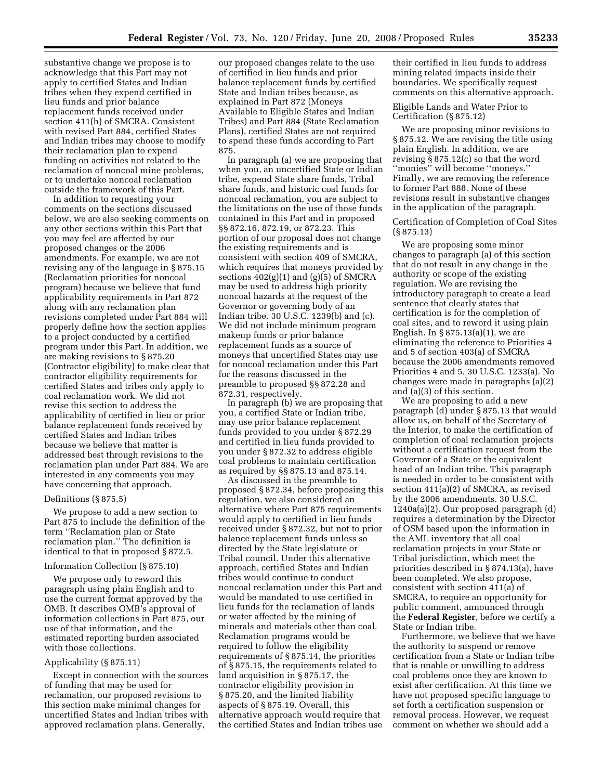substantive change we propose is to acknowledge that this Part may not apply to certified States and Indian tribes when they expend certified in lieu funds and prior balance replacement funds received under section 411(h) of SMCRA. Consistent with revised Part 884, certified States and Indian tribes may choose to modify their reclamation plan to expend funding on activities not related to the reclamation of noncoal mine problems, or to undertake noncoal reclamation outside the framework of this Part.

In addition to requesting your comments on the sections discussed below, we are also seeking comments on any other sections within this Part that you may feel are affected by our proposed changes or the 2006 amendments. For example, we are not revising any of the language in § 875.15 (Reclamation priorities for noncoal program) because we believe that fund applicability requirements in Part 872 along with any reclamation plan revisions completed under Part 884 will properly define how the section applies to a project conducted by a certified program under this Part. In addition, we are making revisions to § 875.20 (Contractor eligibility) to make clear that contractor eligibility requirements for certified States and tribes only apply to coal reclamation work. We did not revise this section to address the applicability of certified in lieu or prior balance replacement funds received by certified States and Indian tribes because we believe that matter is addressed best through revisions to the reclamation plan under Part 884. We are interested in any comments you may have concerning that approach.

#### Definitions (§ 875.5)

We propose to add a new section to Part 875 to include the definition of the term ''Reclamation plan or State reclamation plan.'' The definition is identical to that in proposed § 872.5.

#### Information Collection (§ 875.10)

We propose only to reword this paragraph using plain English and to use the current format approved by the OMB. It describes OMB's approval of information collections in Part 875, our use of that information, and the estimated reporting burden associated with those collections.

# Applicability (§ 875.11)

Except in connection with the sources of funding that may be used for reclamation, our proposed revisions to this section make minimal changes for uncertified States and Indian tribes with approved reclamation plans. Generally,

our proposed changes relate to the use of certified in lieu funds and prior balance replacement funds by certified State and Indian tribes because, as explained in Part 872 (Moneys Available to Eligible States and Indian Tribes) and Part 884 (State Reclamation Plans), certified States are not required to spend these funds according to Part 875.

In paragraph (a) we are proposing that when you, an uncertified State or Indian tribe, expend State share funds, Tribal share funds, and historic coal funds for noncoal reclamation, you are subject to the limitations on the use of those funds contained in this Part and in proposed §§ 872.16, 872.19, or 872.23. This portion of our proposal does not change the existing requirements and is consistent with section 409 of SMCRA, which requires that moneys provided by sections  $402(g)(1)$  and  $(g)(5)$  of SMCRA may be used to address high priority noncoal hazards at the request of the Governor or governing body of an Indian tribe. 30 U.S.C. 1239(b) and (c). We did not include minimum program makeup funds or prior balance replacement funds as a source of moneys that uncertified States may use for noncoal reclamation under this Part for the reasons discussed in the preamble to proposed §§ 872.28 and 872.31, respectively.

In paragraph (b) we are proposing that you, a certified State or Indian tribe, may use prior balance replacement funds provided to you under § 872.29 and certified in lieu funds provided to you under § 872.32 to address eligible coal problems to maintain certification as required by §§ 875.13 and 875.14.

As discussed in the preamble to proposed § 872.34, before proposing this regulation, we also considered an alternative where Part 875 requirements would apply to certified in lieu funds received under § 872.32, but not to prior balance replacement funds unless so directed by the State legislature or Tribal council. Under this alternative approach, certified States and Indian tribes would continue to conduct noncoal reclamation under this Part and would be mandated to use certified in lieu funds for the reclamation of lands or water affected by the mining of minerals and materials other than coal. Reclamation programs would be required to follow the eligibility requirements of § 875.14, the priorities of § 875.15, the requirements related to land acquisition in § 875.17, the contractor eligibility provision in § 875.20, and the limited liability aspects of § 875.19. Overall, this alternative approach would require that the certified States and Indian tribes use

their certified in lieu funds to address mining related impacts inside their boundaries. We specifically request comments on this alternative approach.

Eligible Lands and Water Prior to Certification (§ 875.12)

We are proposing minor revisions to § 875.12. We are revising the title using plain English. In addition, we are revising § 875.12(c) so that the word ''monies'' will become ''moneys.'' Finally, we are removing the reference to former Part 888. None of these revisions result in substantive changes in the application of the paragraph.

Certification of Completion of Coal Sites (§ 875.13)

We are proposing some minor changes to paragraph (a) of this section that do not result in any change in the authority or scope of the existing regulation. We are revising the introductory paragraph to create a lead sentence that clearly states that certification is for the completion of coal sites, and to reword it using plain English. In § 875.13(a)(1), we are eliminating the reference to Priorities 4 and 5 of section 403(a) of SMCRA because the 2006 amendments removed Priorities 4 and 5. 30 U.S.C. 1233(a). No changes were made in paragraphs (a)(2) and (a)(3) of this section.

We are proposing to add a new paragraph (d) under § 875.13 that would allow us, on behalf of the Secretary of the Interior, to make the certification of completion of coal reclamation projects without a certification request from the Governor of a State or the equivalent head of an Indian tribe. This paragraph is needed in order to be consistent with section 411(a)(2) of SMCRA, as revised by the 2006 amendments. 30 U.S.C. 1240a(a)(2). Our proposed paragraph (d) requires a determination by the Director of OSM based upon the information in the AML inventory that all coal reclamation projects in your State or Tribal jurisdiction, which meet the priorities described in § 874.13(a), have been completed. We also propose, consistent with section 411(a) of SMCRA, to require an opportunity for public comment, announced through the **Federal Register**, before we certify a State or Indian tribe.

Furthermore, we believe that we have the authority to suspend or remove certification from a State or Indian tribe that is unable or unwilling to address coal problems once they are known to exist after certification. At this time we have not proposed specific language to set forth a certification suspension or removal process. However, we request comment on whether we should add a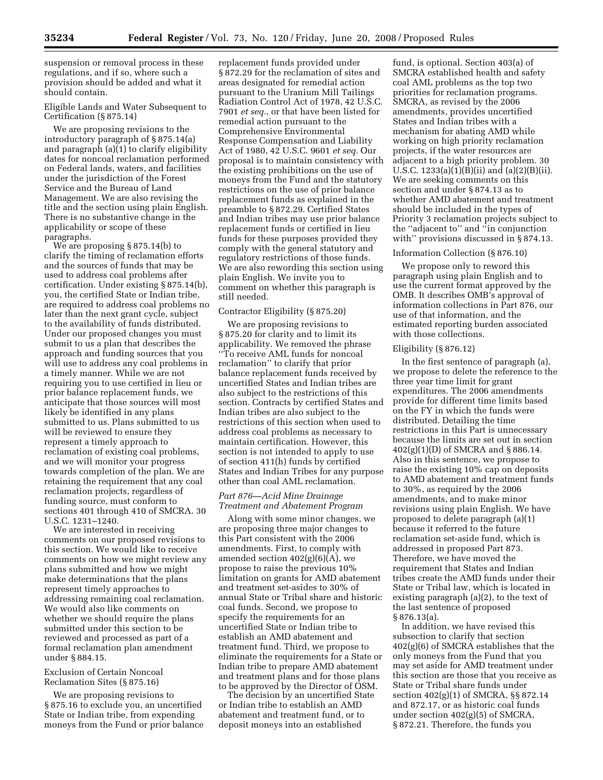suspension or removal process in these regulations, and if so, where such a provision should be added and what it should contain.

# Eligible Lands and Water Subsequent to Certification (§ 875.14)

We are proposing revisions to the introductory paragraph of § 875.14(a) and paragraph (a)(1) to clarify eligibility dates for noncoal reclamation performed on Federal lands, waters, and facilities under the jurisdiction of the Forest Service and the Bureau of Land Management. We are also revising the title and the section using plain English. There is no substantive change in the applicability or scope of these paragraphs.

We are proposing § 875.14(b) to clarify the timing of reclamation efforts and the sources of funds that may be used to address coal problems after certification. Under existing § 875.14(b), you, the certified State or Indian tribe, are required to address coal problems no later than the next grant cycle, subject to the availability of funds distributed. Under our proposed changes you must submit to us a plan that describes the approach and funding sources that you will use to address any coal problems in a timely manner. While we are not requiring you to use certified in lieu or prior balance replacement funds, we anticipate that those sources will most likely be identified in any plans submitted to us. Plans submitted to us will be reviewed to ensure they represent a timely approach to reclamation of existing coal problems, and we will monitor your progress towards completion of the plan. We are retaining the requirement that any coal reclamation projects, regardless of funding source, must conform to sections 401 through 410 of SMCRA. 30 U.S.C. 1231–1240.

We are interested in receiving comments on our proposed revisions to this section. We would like to receive comments on how we might review any plans submitted and how we might make determinations that the plans represent timely approaches to addressing remaining coal reclamation. We would also like comments on whether we should require the plans submitted under this section to be reviewed and processed as part of a formal reclamation plan amendment under § 884.15.

# Exclusion of Certain Noncoal Reclamation Sites (§ 875.16)

We are proposing revisions to § 875.16 to exclude you, an uncertified State or Indian tribe, from expending moneys from the Fund or prior balance replacement funds provided under § 872.29 for the reclamation of sites and areas designated for remedial action pursuant to the Uranium Mill Tailings Radiation Control Act of 1978, 42 U.S.C. 7901 *et seq.*, or that have been listed for remedial action pursuant to the Comprehensive Environmental Response Compensation and Liability Act of 1980, 42 U.S.C. 9601 *et seq.* Our proposal is to maintain consistency with the existing prohibitions on the use of moneys from the Fund and the statutory restrictions on the use of prior balance replacement funds as explained in the preamble to § 872.29. Certified States and Indian tribes may use prior balance replacement funds or certified in lieu funds for these purposes provided they comply with the general statutory and regulatory restrictions of those funds. We are also rewording this section using plain English. We invite you to comment on whether this paragraph is still needed.

# Contractor Eligibility (§ 875.20)

We are proposing revisions to § 875.20 for clarity and to limit its applicability. We removed the phrase ''To receive AML funds for noncoal reclamation'' to clarify that prior balance replacement funds received by uncertified States and Indian tribes are also subject to the restrictions of this section. Contracts by certified States and Indian tribes are also subject to the restrictions of this section when used to address coal problems as necessary to maintain certification. However, this section is not intended to apply to use of section 411(h) funds by certified States and Indian Tribes for any purpose other than coal AML reclamation.

# *Part 876—Acid Mine Drainage Treatment and Abatement Program*

Along with some minor changes, we are proposing three major changes to this Part consistent with the 2006 amendments. First, to comply with amended section  $402(g)(6)(A)$ , we propose to raise the previous 10% limitation on grants for AMD abatement and treatment set-asides to 30% of annual State or Tribal share and historic coal funds. Second, we propose to specify the requirements for an uncertified State or Indian tribe to establish an AMD abatement and treatment fund. Third, we propose to eliminate the requirements for a State or Indian tribe to prepare AMD abatement and treatment plans and for those plans to be approved by the Director of OSM.

The decision by an uncertified State or Indian tribe to establish an AMD abatement and treatment fund, or to deposit moneys into an established

fund, is optional. Section 403(a) of SMCRA established health and safety coal AML problems as the top two priorities for reclamation programs. SMCRA, as revised by the 2006 amendments, provides uncertified States and Indian tribes with a mechanism for abating AMD while working on high priority reclamation projects, if the water resources are adjacent to a high priority problem. 30 U.S.C. 1233(a)(1)(B)(ii) and (a)(2)(B)(ii). We are seeking comments on this section and under § 874.13 as to whether AMD abatement and treatment should be included in the types of Priority 3 reclamation projects subject to the ''adjacent to'' and ''in conjunction with" provisions discussed in §874.13.

# Information Collection (§ 876.10)

We propose only to reword this paragraph using plain English and to use the current format approved by the OMB. It describes OMB's approval of information collections in Part 876, our use of that information, and the estimated reporting burden associated with those collections.

#### Eligibility (§ 876.12)

In the first sentence of paragraph (a), we propose to delete the reference to the three year time limit for grant expenditures. The 2006 amendments provide for different time limits based on the FY in which the funds were distributed. Detailing the time restrictions in this Part is unnecessary because the limits are set out in section 402(g)(1)(D) of SMCRA and § 886.14. Also in this sentence, we propose to raise the existing 10% cap on deposits to AMD abatement and treatment funds to 30%, as required by the 2006 amendments, and to make minor revisions using plain English. We have proposed to delete paragraph (a)(1) because it referred to the future reclamation set-aside fund, which is addressed in proposed Part 873. Therefore, we have moved the requirement that States and Indian tribes create the AMD funds under their State or Tribal law, which is located in existing paragraph (a)(2), to the text of the last sentence of proposed § 876.13(a).

In addition, we have revised this subsection to clarify that section 402(g)(6) of SMCRA establishes that the only moneys from the Fund that you may set aside for AMD treatment under this section are those that you receive as State or Tribal share funds under section 402(g)(1) of SMCRA, §§ 872.14 and 872.17, or as historic coal funds under section 402(g)(5) of SMCRA, § 872.21. Therefore, the funds you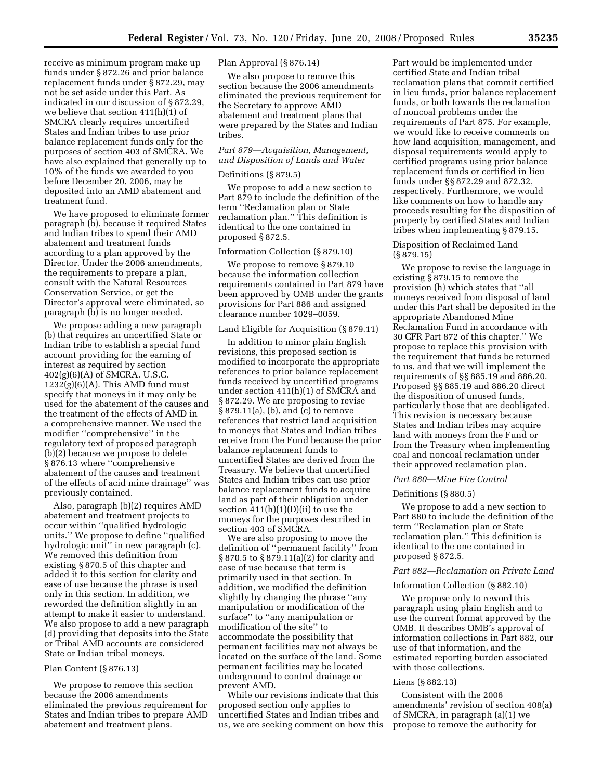receive as minimum program make up funds under § 872.26 and prior balance replacement funds under § 872.29, may not be set aside under this Part. As indicated in our discussion of § 872.29, we believe that section 411(h)(1) of SMCRA clearly requires uncertified States and Indian tribes to use prior balance replacement funds only for the purposes of section 403 of SMCRA. We have also explained that generally up to 10% of the funds we awarded to you before December 20, 2006, may be deposited into an AMD abatement and treatment fund.

We have proposed to eliminate former paragraph (b), because it required States and Indian tribes to spend their AMD abatement and treatment funds according to a plan approved by the Director. Under the 2006 amendments, the requirements to prepare a plan, consult with the Natural Resources Conservation Service, or get the Director's approval were eliminated, so paragraph (b) is no longer needed.

We propose adding a new paragraph (b) that requires an uncertified State or Indian tribe to establish a special fund account providing for the earning of interest as required by section 402(g)(6)(A) of SMCRA. U.S.C.  $1232(g)(6)(A)$ . This AMD fund must specify that moneys in it may only be used for the abatement of the causes and the treatment of the effects of AMD in a comprehensive manner. We used the modifier ''comprehensive'' in the regulatory text of proposed paragraph (b)(2) because we propose to delete § 876.13 where ''comprehensive abatement of the causes and treatment of the effects of acid mine drainage'' was previously contained.

Also, paragraph (b)(2) requires AMD abatement and treatment projects to occur within ''qualified hydrologic units.'' We propose to define ''qualified hydrologic unit'' in new paragraph (c). We removed this definition from existing § 870.5 of this chapter and added it to this section for clarity and ease of use because the phrase is used only in this section. In addition, we reworded the definition slightly in an attempt to make it easier to understand. We also propose to add a new paragraph (d) providing that deposits into the State or Tribal AMD accounts are considered State or Indian tribal moneys.

#### Plan Content (§ 876.13)

We propose to remove this section because the 2006 amendments eliminated the previous requirement for States and Indian tribes to prepare AMD abatement and treatment plans.

# Plan Approval (§ 876.14)

We also propose to remove this section because the 2006 amendments eliminated the previous requirement for the Secretary to approve AMD abatement and treatment plans that were prepared by the States and Indian tribes.

# *Part 879—Acquisition, Management, and Disposition of Lands and Water*

# Definitions (§ 879.5)

We propose to add a new section to Part 879 to include the definition of the term ''Reclamation plan or State reclamation plan.'' This definition is identical to the one contained in proposed § 872.5.

#### Information Collection (§ 879.10)

We propose to remove § 879.10 because the information collection requirements contained in Part 879 have been approved by OMB under the grants provisions for Part 886 and assigned clearance number 1029–0059.

# Land Eligible for Acquisition (§ 879.11)

In addition to minor plain English revisions, this proposed section is modified to incorporate the appropriate references to prior balance replacement funds received by uncertified programs under section 411(h)(1) of SMCRA and § 872.29. We are proposing to revise § 879.11(a), (b), and (c) to remove references that restrict land acquisition to moneys that States and Indian tribes receive from the Fund because the prior balance replacement funds to uncertified States are derived from the Treasury. We believe that uncertified States and Indian tribes can use prior balance replacement funds to acquire land as part of their obligation under section  $411(h)(1)(D)(ii)$  to use the moneys for the purposes described in section 403 of SMCRA.

We are also proposing to move the definition of ''permanent facility'' from § 870.5 to § 879.11(a)(2) for clarity and ease of use because that term is primarily used in that section. In addition, we modified the definition slightly by changing the phrase ''any manipulation or modification of the surface'' to ''any manipulation or modification of the site'' to accommodate the possibility that permanent facilities may not always be located on the surface of the land. Some permanent facilities may be located underground to control drainage or prevent AMD.

While our revisions indicate that this proposed section only applies to uncertified States and Indian tribes and us, we are seeking comment on how this Part would be implemented under certified State and Indian tribal reclamation plans that commit certified in lieu funds, prior balance replacement funds, or both towards the reclamation of noncoal problems under the requirements of Part 875. For example, we would like to receive comments on how land acquisition, management, and disposal requirements would apply to certified programs using prior balance replacement funds or certified in lieu funds under §§ 872.29 and 872.32, respectively. Furthermore, we would like comments on how to handle any proceeds resulting for the disposition of property by certified States and Indian tribes when implementing § 879.15.

# Disposition of Reclaimed Land (§ 879.15)

We propose to revise the language in existing § 879.15 to remove the provision (h) which states that ''all moneys received from disposal of land under this Part shall be deposited in the appropriate Abandoned Mine Reclamation Fund in accordance with 30 CFR Part 872 of this chapter.'' We propose to replace this provision with the requirement that funds be returned to us, and that we will implement the requirements of §§ 885.19 and 886.20. Proposed §§ 885.19 and 886.20 direct the disposition of unused funds, particularly those that are deobligated. This revision is necessary because States and Indian tribes may acquire land with moneys from the Fund or from the Treasury when implementing coal and noncoal reclamation under their approved reclamation plan.

# *Part 880—Mine Fire Control*

#### Definitions (§ 880.5)

We propose to add a new section to Part 880 to include the definition of the term ''Reclamation plan or State reclamation plan.'' This definition is identical to the one contained in proposed § 872.5.

#### *Part 882—Reclamation on Private Land*

#### Information Collection (§ 882.10)

We propose only to reword this paragraph using plain English and to use the current format approved by the OMB. It describes OMB's approval of information collections in Part 882, our use of that information, and the estimated reporting burden associated with those collections.

#### Liens (§ 882.13)

Consistent with the 2006 amendments' revision of section 408(a) of SMCRA, in paragraph (a)(1) we propose to remove the authority for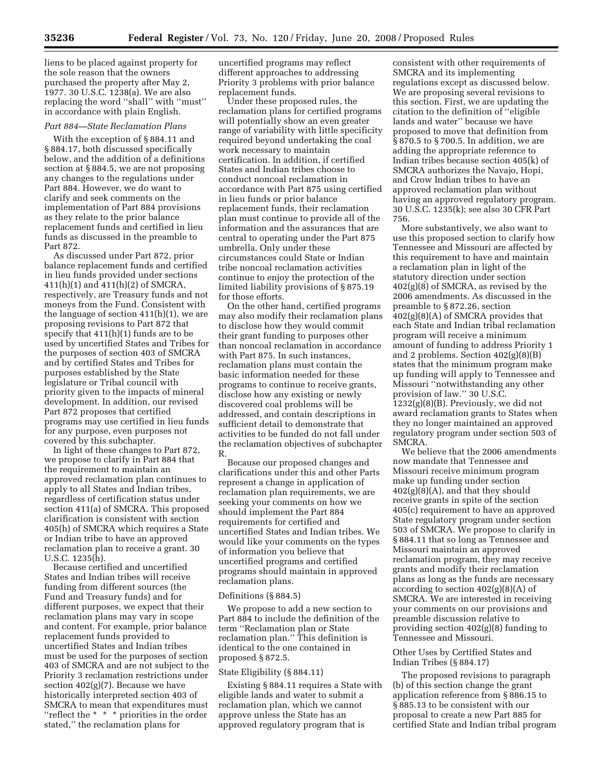liens to be placed against property for the sole reason that the owners purchased the property after May 2, 1977. 30 U.S.C. 1238(a). We are also replacing the word ''shall'' with ''must'' in accordance with plain English.

#### *Part 884—State Reclamation Plans*

With the exception of § 884.11 and § 884.17, both discussed specifically below, and the addition of a definitions section at § 884.5, we are not proposing any changes to the regulations under Part 884. However, we do want to clarify and seek comments on the implementation of Part 884 provisions as they relate to the prior balance replacement funds and certified in lieu funds as discussed in the preamble to Part 872.

As discussed under Part 872, prior balance replacement funds and certified in lieu funds provided under sections 411(h)(1) and 411(h)(2) of SMCRA, respectively, are Treasury funds and not moneys from the Fund. Consistent with the language of section 411(h)(1), we are proposing revisions to Part 872 that specify that 411(h)(1) funds are to be used by uncertified States and Tribes for the purposes of section 403 of SMCRA and by certified States and Tribes for purposes established by the State legislature or Tribal council with priority given to the impacts of mineral development. In addition, our revised Part 872 proposes that certified programs may use certified in lieu funds for any purpose, even purposes not covered by this subchapter.

In light of these changes to Part 872, we propose to clarify in Part 884 that the requirement to maintain an approved reclamation plan continues to apply to all States and Indian tribes, regardless of certification status under section 411(a) of SMCRA. This proposed clarification is consistent with section 405(h) of SMCRA which requires a State or Indian tribe to have an approved reclamation plan to receive a grant. 30 U.S.C. 1235(h).

Because certified and uncertified States and Indian tribes will receive funding from different sources (the Fund and Treasury funds) and for different purposes, we expect that their reclamation plans may vary in scope and content. For example, prior balance replacement funds provided to uncertified States and Indian tribes must be used for the purposes of section 403 of SMCRA and are not subject to the Priority 3 reclamation restrictions under section 402(g)(7). Because we have historically interpreted section 403 of SMCRA to mean that expenditures must ''reflect the \* \* \* priorities in the order stated,'' the reclamation plans for

uncertified programs may reflect different approaches to addressing Priority 3 problems with prior balance replacement funds.

Under these proposed rules, the reclamation plans for certified programs will potentially show an even greater range of variability with little specificity required beyond undertaking the coal work necessary to maintain certification. In addition, if certified States and Indian tribes choose to conduct noncoal reclamation in accordance with Part 875 using certified in lieu funds or prior balance replacement funds, their reclamation plan must continue to provide all of the information and the assurances that are central to operating under the Part 875 umbrella. Only under these circumstances could State or Indian tribe noncoal reclamation activities continue to enjoy the protection of the limited liability provisions of § 875.19 for those efforts.

On the other hand, certified programs may also modify their reclamation plans to disclose how they would commit their grant funding to purposes other than noncoal reclamation in accordance with Part 875. In such instances, reclamation plans must contain the basic information needed for these programs to continue to receive grants, disclose how any existing or newly discovered coal problems will be addressed, and contain descriptions in sufficient detail to demonstrate that activities to be funded do not fall under the reclamation objectives of subchapter R.

Because our proposed changes and clarifications under this and other Parts represent a change in application of reclamation plan requirements, we are seeking your comments on how we should implement the Part 884 requirements for certified and uncertified States and Indian tribes. We would like your comments on the types of information you believe that uncertified programs and certified programs should maintain in approved reclamation plans.

#### Definitions (§ 884.5)

We propose to add a new section to Part 884 to include the definition of the term ''Reclamation plan or State reclamation plan.'' This definition is identical to the one contained in proposed § 872.5.

#### State Eligibility (§ 884.11)

Existing § 884.11 requires a State with eligible lands and water to submit a reclamation plan, which we cannot approve unless the State has an approved regulatory program that is

consistent with other requirements of SMCRA and its implementing regulations except as discussed below. We are proposing several revisions to this section. First, we are updating the citation to the definition of ''eligible lands and water'' because we have proposed to move that definition from § 870.5 to § 700.5. In addition, we are adding the appropriate reference to Indian tribes because section 405(k) of SMCRA authorizes the Navajo, Hopi, and Crow Indian tribes to have an approved reclamation plan without having an approved regulatory program. 30 U.S.C. 1235(k); see also 30 CFR Part 756.

More substantively, we also want to use this proposed section to clarify how Tennessee and Missouri are affected by this requirement to have and maintain a reclamation plan in light of the statutory direction under section 402(g)(8) of SMCRA, as revised by the 2006 amendments. As discussed in the preamble to § 872.26, section 402(g)(8)(A) of SMCRA provides that each State and Indian tribal reclamation program will receive a minimum amount of funding to address Priority 1 and 2 problems. Section 402(g)(8)(B) states that the minimum program make up funding will apply to Tennessee and Missouri ''notwithstanding any other provision of law.'' 30 U.S.C. 1232(g)(8)(B). Previously, we did not award reclamation grants to States when they no longer maintained an approved regulatory program under section 503 of SMCRA.

We believe that the 2006 amendments now mandate that Tennessee and Missouri receive minimum program make up funding under section  $402(g)(8)(A)$ , and that they should receive grants in spite of the section 405(c) requirement to have an approved State regulatory program under section 503 of SMCRA. We propose to clarify in § 884.11 that so long as Tennessee and Missouri maintain an approved reclamation program, they may receive grants and modify their reclamation plans as long as the funds are necessary according to section  $402(g)(8)(A)$  of SMCRA. We are interested in receiving your comments on our provisions and preamble discussion relative to providing section 402(g)(8) funding to Tennessee and Missouri.

# Other Uses by Certified States and Indian Tribes (§ 884.17)

The proposed revisions to paragraph (b) of this section change the grant application reference from § 886.15 to § 885.13 to be consistent with our proposal to create a new Part 885 for certified State and Indian tribal program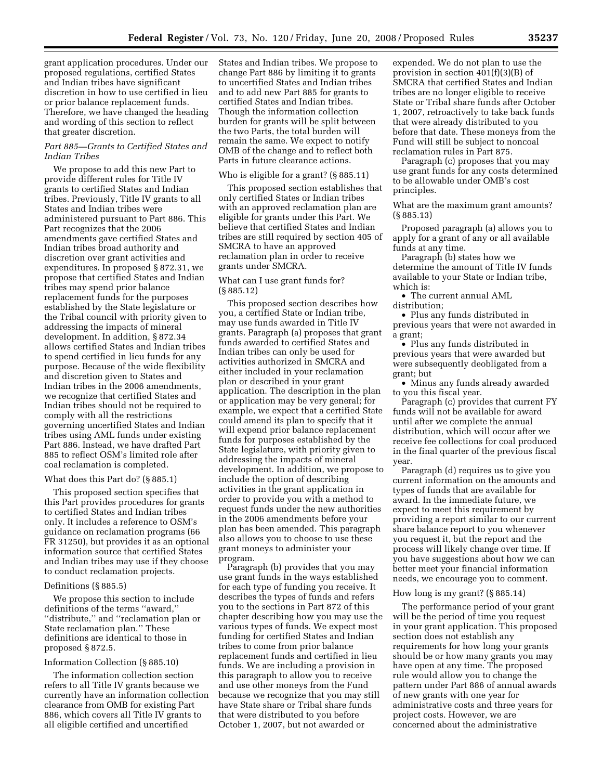grant application procedures. Under our proposed regulations, certified States and Indian tribes have significant discretion in how to use certified in lieu or prior balance replacement funds. Therefore, we have changed the heading and wording of this section to reflect that greater discretion.

# *Part 885—Grants to Certified States and Indian Tribes*

We propose to add this new Part to provide different rules for Title IV grants to certified States and Indian tribes. Previously, Title IV grants to all States and Indian tribes were administered pursuant to Part 886. This Part recognizes that the 2006 amendments gave certified States and Indian tribes broad authority and discretion over grant activities and expenditures. In proposed § 872.31, we propose that certified States and Indian tribes may spend prior balance replacement funds for the purposes established by the State legislature or the Tribal council with priority given to addressing the impacts of mineral development. In addition, § 872.34 allows certified States and Indian tribes to spend certified in lieu funds for any purpose. Because of the wide flexibility and discretion given to States and Indian tribes in the 2006 amendments, we recognize that certified States and Indian tribes should not be required to comply with all the restrictions governing uncertified States and Indian tribes using AML funds under existing Part 886. Instead, we have drafted Part 885 to reflect OSM's limited role after coal reclamation is completed.

#### What does this Part do? (§ 885.1)

This proposed section specifies that this Part provides procedures for grants to certified States and Indian tribes only. It includes a reference to OSM's guidance on reclamation programs (66 FR 31250), but provides it as an optional information source that certified States and Indian tribes may use if they choose to conduct reclamation projects.

#### Definitions (§ 885.5)

We propose this section to include definitions of the terms ''award,'' ''distribute,'' and ''reclamation plan or State reclamation plan.'' These definitions are identical to those in proposed § 872.5.

#### Information Collection (§ 885.10)

The information collection section refers to all Title IV grants because we currently have an information collection clearance from OMB for existing Part 886, which covers all Title IV grants to all eligible certified and uncertified

States and Indian tribes. We propose to change Part 886 by limiting it to grants to uncertified States and Indian tribes and to add new Part 885 for grants to certified States and Indian tribes. Though the information collection burden for grants will be split between the two Parts, the total burden will remain the same. We expect to notify OMB of the change and to reflect both Parts in future clearance actions.

#### Who is eligible for a grant? (§ 885.11)

This proposed section establishes that only certified States or Indian tribes with an approved reclamation plan are eligible for grants under this Part. We believe that certified States and Indian tribes are still required by section 405 of SMCRA to have an approved reclamation plan in order to receive grants under SMCRA.

# What can I use grant funds for? (§ 885.12)

This proposed section describes how you, a certified State or Indian tribe, may use funds awarded in Title IV grants. Paragraph (a) proposes that grant funds awarded to certified States and Indian tribes can only be used for activities authorized in SMCRA and either included in your reclamation plan or described in your grant application. The description in the plan or application may be very general; for example, we expect that a certified State could amend its plan to specify that it will expend prior balance replacement funds for purposes established by the State legislature, with priority given to addressing the impacts of mineral development. In addition, we propose to include the option of describing activities in the grant application in order to provide you with a method to request funds under the new authorities in the 2006 amendments before your plan has been amended. This paragraph also allows you to choose to use these grant moneys to administer your program.

Paragraph (b) provides that you may use grant funds in the ways established for each type of funding you receive. It describes the types of funds and refers you to the sections in Part 872 of this chapter describing how you may use the various types of funds. We expect most funding for certified States and Indian tribes to come from prior balance replacement funds and certified in lieu funds. We are including a provision in this paragraph to allow you to receive and use other moneys from the Fund because we recognize that you may still have State share or Tribal share funds that were distributed to you before October 1, 2007, but not awarded or

expended. We do not plan to use the provision in section 401(f)(3)(B) of SMCRA that certified States and Indian tribes are no longer eligible to receive State or Tribal share funds after October 1, 2007, retroactively to take back funds that were already distributed to you before that date. These moneys from the Fund will still be subject to noncoal reclamation rules in Part 875.

Paragraph (c) proposes that you may use grant funds for any costs determined to be allowable under OMB's cost principles.

What are the maximum grant amounts? (§ 885.13)

Proposed paragraph (a) allows you to apply for a grant of any or all available funds at any time.

Paragraph (b) states how we determine the amount of Title IV funds available to your State or Indian tribe, which is:

• The current annual AML distribution;

• Plus any funds distributed in previous years that were not awarded in a grant;

• Plus any funds distributed in previous years that were awarded but were subsequently deobligated from a grant; but

• Minus any funds already awarded to you this fiscal year.

Paragraph (c) provides that current FY funds will not be available for award until after we complete the annual distribution, which will occur after we receive fee collections for coal produced in the final quarter of the previous fiscal year.

Paragraph (d) requires us to give you current information on the amounts and types of funds that are available for award. In the immediate future, we expect to meet this requirement by providing a report similar to our current share balance report to you whenever you request it, but the report and the process will likely change over time. If you have suggestions about how we can better meet your financial information needs, we encourage you to comment.

# How long is my grant? (§ 885.14)

The performance period of your grant will be the period of time you request in your grant application. This proposed section does not establish any requirements for how long your grants should be or how many grants you may have open at any time. The proposed rule would allow you to change the pattern under Part 886 of annual awards of new grants with one year for administrative costs and three years for project costs. However, we are concerned about the administrative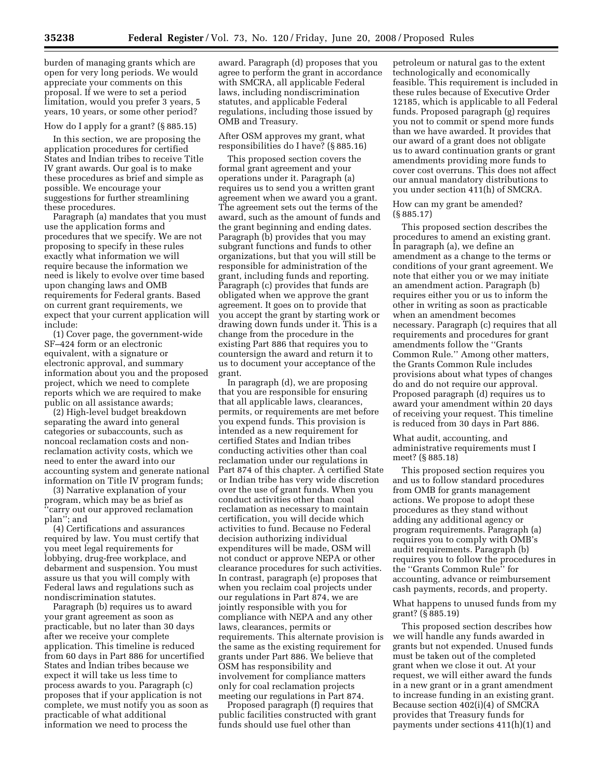burden of managing grants which are open for very long periods. We would appreciate your comments on this proposal. If we were to set a period limitation, would you prefer 3 years, 5 years, 10 years, or some other period?

#### How do I apply for a grant? (§ 885.15)

In this section, we are proposing the application procedures for certified States and Indian tribes to receive Title IV grant awards. Our goal is to make these procedures as brief and simple as possible. We encourage your suggestions for further streamlining these procedures.

Paragraph (a) mandates that you must use the application forms and procedures that we specify. We are not proposing to specify in these rules exactly what information we will require because the information we need is likely to evolve over time based upon changing laws and OMB requirements for Federal grants. Based on current grant requirements, we expect that your current application will include:

(1) Cover page, the government-wide SF–424 form or an electronic equivalent, with a signature or electronic approval, and summary information about you and the proposed project, which we need to complete reports which we are required to make public on all assistance awards;

(2) High-level budget breakdown separating the award into general categories or subaccounts, such as noncoal reclamation costs and nonreclamation activity costs, which we need to enter the award into our accounting system and generate national information on Title IV program funds;

(3) Narrative explanation of your program, which may be as brief as 'carry out our approved reclamation plan''; and

(4) Certifications and assurances required by law. You must certify that you meet legal requirements for lobbying, drug-free workplace, and debarment and suspension. You must assure us that you will comply with Federal laws and regulations such as nondiscrimination statutes.

Paragraph (b) requires us to award your grant agreement as soon as practicable, but no later than 30 days after we receive your complete application. This timeline is reduced from 60 days in Part 886 for uncertified States and Indian tribes because we expect it will take us less time to process awards to you. Paragraph (c) proposes that if your application is not complete, we must notify you as soon as practicable of what additional information we need to process the

award. Paragraph (d) proposes that you agree to perform the grant in accordance with SMCRA, all applicable Federal laws, including nondiscrimination statutes, and applicable Federal regulations, including those issued by OMB and Treasury.

After OSM approves my grant, what responsibilities do I have? (§ 885.16)

This proposed section covers the formal grant agreement and your operations under it. Paragraph (a) requires us to send you a written grant agreement when we award you a grant. The agreement sets out the terms of the award, such as the amount of funds and the grant beginning and ending dates. Paragraph (b) provides that you may subgrant functions and funds to other organizations, but that you will still be responsible for administration of the grant, including funds and reporting. Paragraph (c) provides that funds are obligated when we approve the grant agreement. It goes on to provide that you accept the grant by starting work or drawing down funds under it. This is a change from the procedure in the existing Part 886 that requires you to countersign the award and return it to us to document your acceptance of the grant.

In paragraph (d), we are proposing that you are responsible for ensuring that all applicable laws, clearances, permits, or requirements are met before you expend funds. This provision is intended as a new requirement for certified States and Indian tribes conducting activities other than coal reclamation under our regulations in Part 874 of this chapter. A certified State or Indian tribe has very wide discretion over the use of grant funds. When you conduct activities other than coal reclamation as necessary to maintain certification, you will decide which activities to fund. Because no Federal decision authorizing individual expenditures will be made, OSM will not conduct or approve NEPA or other clearance procedures for such activities. In contrast, paragraph (e) proposes that when you reclaim coal projects under our regulations in Part 874, we are jointly responsible with you for compliance with NEPA and any other laws, clearances, permits or requirements. This alternate provision is the same as the existing requirement for grants under Part 886. We believe that OSM has responsibility and involvement for compliance matters only for coal reclamation projects meeting our regulations in Part 874.

Proposed paragraph (f) requires that public facilities constructed with grant funds should use fuel other than

petroleum or natural gas to the extent technologically and economically feasible. This requirement is included in these rules because of Executive Order 12185, which is applicable to all Federal funds. Proposed paragraph (g) requires you not to commit or spend more funds than we have awarded. It provides that our award of a grant does not obligate us to award continuation grants or grant amendments providing more funds to cover cost overruns. This does not affect our annual mandatory distributions to you under section 411(h) of SMCRA.

How can my grant be amended? (§ 885.17)

This proposed section describes the procedures to amend an existing grant. In paragraph (a), we define an amendment as a change to the terms or conditions of your grant agreement. We note that either you or we may initiate an amendment action. Paragraph (b) requires either you or us to inform the other in writing as soon as practicable when an amendment becomes necessary. Paragraph (c) requires that all requirements and procedures for grant amendments follow the ''Grants Common Rule.'' Among other matters, the Grants Common Rule includes provisions about what types of changes do and do not require our approval. Proposed paragraph (d) requires us to award your amendment within 20 days of receiving your request. This timeline is reduced from 30 days in Part 886.

What audit, accounting, and administrative requirements must I meet? (§ 885.18)

This proposed section requires you and us to follow standard procedures from OMB for grants management actions. We propose to adopt these procedures as they stand without adding any additional agency or program requirements. Paragraph (a) requires you to comply with OMB's audit requirements. Paragraph (b) requires you to follow the procedures in the ''Grants Common Rule'' for accounting, advance or reimbursement cash payments, records, and property.

What happens to unused funds from my grant? (§ 885.19)

This proposed section describes how we will handle any funds awarded in grants but not expended. Unused funds must be taken out of the completed grant when we close it out. At your request, we will either award the funds in a new grant or in a grant amendment to increase funding in an existing grant. Because section 402(i)(4) of SMCRA provides that Treasury funds for payments under sections 411(h)(1) and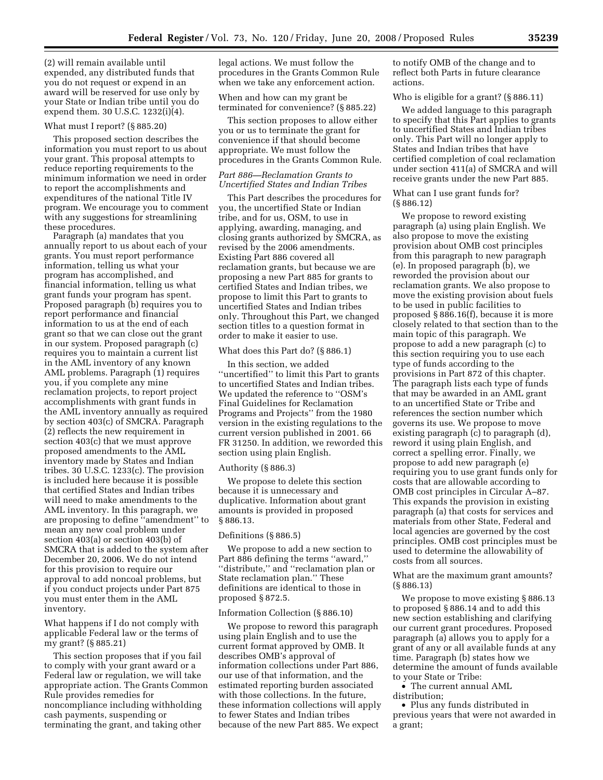(2) will remain available until expended, any distributed funds that you do not request or expend in an award will be reserved for use only by your State or Indian tribe until you do expend them. 30 U.S.C. 1232(i)(4).

#### What must I report? (§ 885.20)

This proposed section describes the information you must report to us about your grant. This proposal attempts to reduce reporting requirements to the minimum information we need in order to report the accomplishments and expenditures of the national Title IV program. We encourage you to comment with any suggestions for streamlining these procedures.

Paragraph (a) mandates that you annually report to us about each of your grants. You must report performance information, telling us what your program has accomplished, and financial information, telling us what grant funds your program has spent. Proposed paragraph (b) requires you to report performance and financial information to us at the end of each grant so that we can close out the grant in our system. Proposed paragraph (c) requires you to maintain a current list in the AML inventory of any known AML problems. Paragraph (1) requires you, if you complete any mine reclamation projects, to report project accomplishments with grant funds in the AML inventory annually as required by section 403(c) of SMCRA. Paragraph (2) reflects the new requirement in section 403(c) that we must approve proposed amendments to the AML inventory made by States and Indian tribes. 30 U.S.C. 1233(c). The provision is included here because it is possible that certified States and Indian tribes will need to make amendments to the AML inventory. In this paragraph, we are proposing to define ''amendment'' to mean any new coal problem under section 403(a) or section 403(b) of SMCRA that is added to the system after December 20, 2006. We do not intend for this provision to require our approval to add noncoal problems, but if you conduct projects under Part 875 you must enter them in the AML inventory.

What happens if I do not comply with applicable Federal law or the terms of my grant? (§ 885.21)

This section proposes that if you fail to comply with your grant award or a Federal law or regulation, we will take appropriate action. The Grants Common Rule provides remedies for noncompliance including withholding cash payments, suspending or terminating the grant, and taking other

legal actions. We must follow the procedures in the Grants Common Rule when we take any enforcement action.

When and how can my grant be terminated for convenience? (§ 885.22)

This section proposes to allow either you or us to terminate the grant for convenience if that should become appropriate. We must follow the procedures in the Grants Common Rule.

# *Part 886—Reclamation Grants to Uncertified States and Indian Tribes*

This Part describes the procedures for you, the uncertified State or Indian tribe, and for us, OSM, to use in applying, awarding, managing, and closing grants authorized by SMCRA, as revised by the 2006 amendments. Existing Part 886 covered all reclamation grants, but because we are proposing a new Part 885 for grants to certified States and Indian tribes, we propose to limit this Part to grants to uncertified States and Indian tribes only. Throughout this Part, we changed section titles to a question format in order to make it easier to use.

#### What does this Part do? (§ 886.1)

In this section, we added ''uncertified'' to limit this Part to grants to uncertified States and Indian tribes. We updated the reference to ''OSM's Final Guidelines for Reclamation Programs and Projects'' from the 1980 version in the existing regulations to the current version published in 2001. 66 FR 31250. In addition, we reworded this section using plain English.

# Authority (§ 886.3)

We propose to delete this section because it is unnecessary and duplicative. Information about grant amounts is provided in proposed § 886.13.

#### Definitions (§ 886.5)

We propose to add a new section to Part 886 defining the terms ''award,'' ''distribute,'' and ''reclamation plan or State reclamation plan.'' These definitions are identical to those in proposed § 872.5.

#### Information Collection (§ 886.10)

We propose to reword this paragraph using plain English and to use the current format approved by OMB. It describes OMB's approval of information collections under Part 886, our use of that information, and the estimated reporting burden associated with those collections. In the future, these information collections will apply to fewer States and Indian tribes because of the new Part 885. We expect

to notify OMB of the change and to reflect both Parts in future clearance actions.

# Who is eligible for a grant? (§ 886.11)

We added language to this paragraph to specify that this Part applies to grants to uncertified States and Indian tribes only. This Part will no longer apply to States and Indian tribes that have certified completion of coal reclamation under section 411(a) of SMCRA and will receive grants under the new Part 885.

What can I use grant funds for? (§ 886.12)

We propose to reword existing paragraph (a) using plain English. We also propose to move the existing provision about OMB cost principles from this paragraph to new paragraph (e). In proposed paragraph (b), we reworded the provision about our reclamation grants. We also propose to move the existing provision about fuels to be used in public facilities to proposed § 886.16(f), because it is more closely related to that section than to the main topic of this paragraph. We propose to add a new paragraph (c) to this section requiring you to use each type of funds according to the provisions in Part 872 of this chapter. The paragraph lists each type of funds that may be awarded in an AML grant to an uncertified State or Tribe and references the section number which governs its use. We propose to move existing paragraph (c) to paragraph (d), reword it using plain English, and correct a spelling error. Finally, we propose to add new paragraph (e) requiring you to use grant funds only for costs that are allowable according to OMB cost principles in Circular A–87. This expands the provision in existing paragraph (a) that costs for services and materials from other State, Federal and local agencies are governed by the cost principles. OMB cost principles must be used to determine the allowability of costs from all sources.

What are the maximum grant amounts? (§ 886.13)

We propose to move existing § 886.13 to proposed § 886.14 and to add this new section establishing and clarifying our current grant procedures. Proposed paragraph (a) allows you to apply for a grant of any or all available funds at any time. Paragraph (b) states how we determine the amount of funds available to your State or Tribe:

• The current annual AML distribution;

• Plus any funds distributed in previous years that were not awarded in a grant;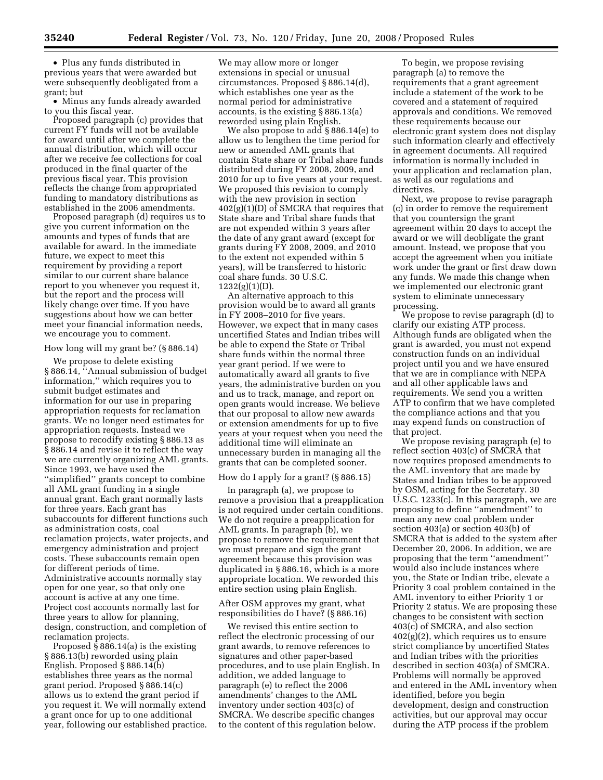• Plus any funds distributed in previous years that were awarded but were subsequently deobligated from a grant; but

• Minus any funds already awarded to you this fiscal year.

Proposed paragraph (c) provides that current FY funds will not be available for award until after we complete the annual distribution, which will occur after we receive fee collections for coal produced in the final quarter of the previous fiscal year. This provision reflects the change from appropriated funding to mandatory distributions as established in the 2006 amendments.

Proposed paragraph (d) requires us to give you current information on the amounts and types of funds that are available for award. In the immediate future, we expect to meet this requirement by providing a report similar to our current share balance report to you whenever you request it, but the report and the process will likely change over time. If you have suggestions about how we can better meet your financial information needs, we encourage you to comment.

# How long will my grant be? (§ 886.14)

We propose to delete existing § 886.14, ''Annual submission of budget information,'' which requires you to submit budget estimates and information for our use in preparing appropriation requests for reclamation grants. We no longer need estimates for appropriation requests. Instead we propose to recodify existing § 886.13 as § 886.14 and revise it to reflect the way we are currently organizing AML grants. Since 1993, we have used the ''simplified'' grants concept to combine all AML grant funding in a single annual grant. Each grant normally lasts for three years. Each grant has subaccounts for different functions such as administration costs, coal reclamation projects, water projects, and emergency administration and project costs. These subaccounts remain open for different periods of time. Administrative accounts normally stay open for one year, so that only one account is active at any one time. Project cost accounts normally last for three years to allow for planning, design, construction, and completion of reclamation projects.

Proposed § 886.14(a) is the existing § 886.13(b) reworded using plain English. Proposed § 886.14(b) establishes three years as the normal grant period. Proposed § 886.14(c) allows us to extend the grant period if you request it. We will normally extend a grant once for up to one additional year, following our established practice. We may allow more or longer extensions in special or unusual circumstances. Proposed § 886.14(d), which establishes one year as the normal period for administrative accounts, is the existing § 886.13(a) reworded using plain English.

We also propose to add § 886.14(e) to allow us to lengthen the time period for new or amended AML grants that contain State share or Tribal share funds distributed during FY 2008, 2009, and 2010 for up to five years at your request. We proposed this revision to comply with the new provision in section  $402(g)(1)(D)$  of SMCRA that requires that State share and Tribal share funds that are not expended within 3 years after the date of any grant award (except for grants during FY 2008, 2009, and 2010 to the extent not expended within 5 years), will be transferred to historic coal share funds. 30 U.S.C. 1232(g)(1)(D).

An alternative approach to this provision would be to award all grants in FY 2008–2010 for five years. However, we expect that in many cases uncertified States and Indian tribes will be able to expend the State or Tribal share funds within the normal three year grant period. If we were to automatically award all grants to five years, the administrative burden on you and us to track, manage, and report on open grants would increase. We believe that our proposal to allow new awards or extension amendments for up to five years at your request when you need the additional time will eliminate an unnecessary burden in managing all the grants that can be completed sooner.

# How do I apply for a grant? (§ 886.15)

In paragraph (a), we propose to remove a provision that a preapplication is not required under certain conditions. We do not require a preapplication for AML grants. In paragraph (b), we propose to remove the requirement that we must prepare and sign the grant agreement because this provision was duplicated in § 886.16, which is a more appropriate location. We reworded this entire section using plain English.

# After OSM approves my grant, what responsibilities do I have? (§ 886.16)

We revised this entire section to reflect the electronic processing of our grant awards, to remove references to signatures and other paper-based procedures, and to use plain English. In addition, we added language to paragraph (e) to reflect the 2006 amendments' changes to the AML inventory under section 403(c) of SMCRA. We describe specific changes to the content of this regulation below.

To begin, we propose revising paragraph (a) to remove the requirements that a grant agreement include a statement of the work to be covered and a statement of required approvals and conditions. We removed these requirements because our electronic grant system does not display such information clearly and effectively in agreement documents. All required information is normally included in your application and reclamation plan, as well as our regulations and directives.

Next, we propose to revise paragraph (c) in order to remove the requirement that you countersign the grant agreement within 20 days to accept the award or we will deobligate the grant amount. Instead, we propose that you accept the agreement when you initiate work under the grant or first draw down any funds. We made this change when we implemented our electronic grant system to eliminate unnecessary processing.

We propose to revise paragraph (d) to clarify our existing ATP process. Although funds are obligated when the grant is awarded, you must not expend construction funds on an individual project until you and we have ensured that we are in compliance with NEPA and all other applicable laws and requirements. We send you a written ATP to confirm that we have completed the compliance actions and that you may expend funds on construction of that project.

We propose revising paragraph (e) to reflect section 403(c) of SMCRA that now requires proposed amendments to the AML inventory that are made by States and Indian tribes to be approved by OSM, acting for the Secretary. 30 U.S.C. 1233(c). In this paragraph, we are proposing to define ''amendment'' to mean any new coal problem under section 403(a) or section 403(b) of SMCRA that is added to the system after December 20, 2006. In addition, we are proposing that the term ''amendment'' would also include instances where you, the State or Indian tribe, elevate a Priority 3 coal problem contained in the AML inventory to either Priority 1 or Priority 2 status. We are proposing these changes to be consistent with section 403(c) of SMCRA, and also section  $402(g)(2)$ , which requires us to ensure strict compliance by uncertified States and Indian tribes with the priorities described in section 403(a) of SMCRA. Problems will normally be approved and entered in the AML inventory when identified, before you begin development, design and construction activities, but our approval may occur during the ATP process if the problem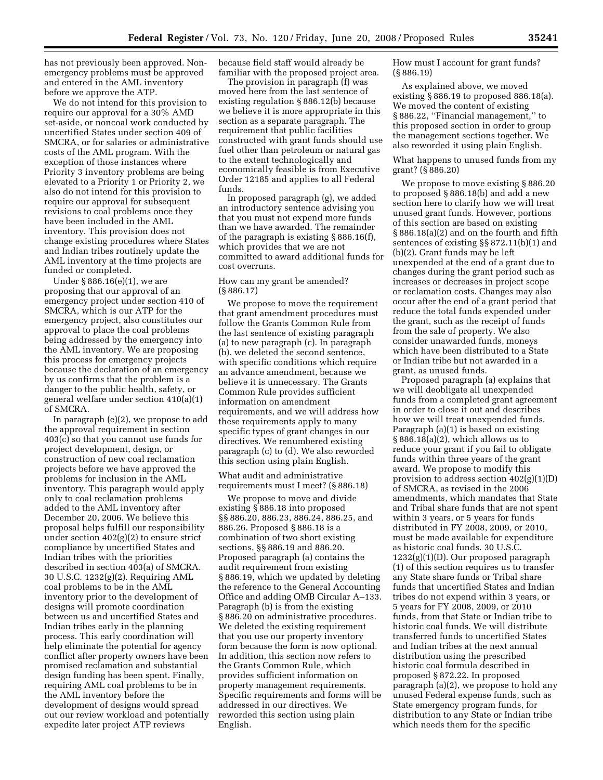has not previously been approved. Nonemergency problems must be approved and entered in the AML inventory before we approve the ATP.

We do not intend for this provision to require our approval for a 30% AMD set-aside, or noncoal work conducted by uncertified States under section 409 of SMCRA, or for salaries or administrative costs of the AML program. With the exception of those instances where Priority 3 inventory problems are being elevated to a Priority 1 or Priority 2, we also do not intend for this provision to require our approval for subsequent revisions to coal problems once they have been included in the AML inventory. This provision does not change existing procedures where States and Indian tribes routinely update the AML inventory at the time projects are funded or completed.

Under § 886.16(e)(1), we are proposing that our approval of an emergency project under section 410 of SMCRA, which is our ATP for the emergency project, also constitutes our approval to place the coal problems being addressed by the emergency into the AML inventory. We are proposing this process for emergency projects because the declaration of an emergency by us confirms that the problem is a danger to the public health, safety, or general welfare under section 410(a)(1) of SMCRA.

In paragraph (e)(2), we propose to add the approval requirement in section 403(c) so that you cannot use funds for project development, design, or construction of new coal reclamation projects before we have approved the problems for inclusion in the AML inventory. This paragraph would apply only to coal reclamation problems added to the AML inventory after December 20, 2006. We believe this proposal helps fulfill our responsibility under section  $402(g)(2)$  to ensure strict compliance by uncertified States and Indian tribes with the priorities described in section 403(a) of SMCRA. 30 U.S.C. 1232(g)(2). Requiring AML coal problems to be in the AML inventory prior to the development of designs will promote coordination between us and uncertified States and Indian tribes early in the planning process. This early coordination will help eliminate the potential for agency conflict after property owners have been promised reclamation and substantial design funding has been spent. Finally, requiring AML coal problems to be in the AML inventory before the development of designs would spread out our review workload and potentially expedite later project ATP reviews

because field staff would already be familiar with the proposed project area.

The provision in paragraph (f) was moved here from the last sentence of existing regulation § 886.12(b) because we believe it is more appropriate in this section as a separate paragraph. The requirement that public facilities constructed with grant funds should use fuel other than petroleum or natural gas to the extent technologically and economically feasible is from Executive Order 12185 and applies to all Federal funds.

In proposed paragraph (g), we added an introductory sentence advising you that you must not expend more funds than we have awarded. The remainder of the paragraph is existing § 886.16(f), which provides that we are not committed to award additional funds for cost overruns.

# How can my grant be amended? (§ 886.17)

We propose to move the requirement that grant amendment procedures must follow the Grants Common Rule from the last sentence of existing paragraph (a) to new paragraph (c). In paragraph (b), we deleted the second sentence, with specific conditions which require an advance amendment, because we believe it is unnecessary. The Grants Common Rule provides sufficient information on amendment requirements, and we will address how these requirements apply to many specific types of grant changes in our directives. We renumbered existing paragraph (c) to (d). We also reworded this section using plain English.

What audit and administrative requirements must I meet? (§ 886.18)

We propose to move and divide existing § 886.18 into proposed §§ 886.20, 886.23, 886.24, 886.25, and 886.26. Proposed § 886.18 is a combination of two short existing sections, §§ 886.19 and 886.20. Proposed paragraph (a) contains the audit requirement from existing § 886.19, which we updated by deleting the reference to the General Accounting Office and adding OMB Circular A–133. Paragraph (b) is from the existing § 886.20 on administrative procedures. We deleted the existing requirement that you use our property inventory form because the form is now optional. In addition, this section now refers to the Grants Common Rule, which provides sufficient information on property management requirements. Specific requirements and forms will be addressed in our directives. We reworded this section using plain English.

How must I account for grant funds? (§ 886.19)

As explained above, we moved existing § 886.19 to proposed 886.18(a). We moved the content of existing § 886.22, ''Financial management,'' to this proposed section in order to group the management sections together. We also reworded it using plain English.

What happens to unused funds from my grant? (§ 886.20)

We propose to move existing § 886.20 to proposed § 886.18(b) and add a new section here to clarify how we will treat unused grant funds. However, portions of this section are based on existing § 886.18(a)(2) and on the fourth and fifth sentences of existing §§ 872.11(b)(1) and (b)(2). Grant funds may be left unexpended at the end of a grant due to changes during the grant period such as increases or decreases in project scope or reclamation costs. Changes may also occur after the end of a grant period that reduce the total funds expended under the grant, such as the receipt of funds from the sale of property. We also consider unawarded funds, moneys which have been distributed to a State or Indian tribe but not awarded in a grant, as unused funds.

Proposed paragraph (a) explains that we will deobligate all unexpended funds from a completed grant agreement in order to close it out and describes how we will treat unexpended funds. Paragraph (a)(1) is based on existing § 886.18(a)(2), which allows us to reduce your grant if you fail to obligate funds within three years of the grant award. We propose to modify this provision to address section 402(g)(1)(D) of SMCRA, as revised in the 2006 amendments, which mandates that State and Tribal share funds that are not spent within 3 years, or 5 years for funds distributed in FY 2008, 2009, or 2010, must be made available for expenditure as historic coal funds. 30 U.S.C. 1232(g)(1)(D). Our proposed paragraph (1) of this section requires us to transfer any State share funds or Tribal share funds that uncertified States and Indian tribes do not expend within 3 years, or 5 years for FY 2008, 2009, or 2010 funds, from that State or Indian tribe to historic coal funds. We will distribute transferred funds to uncertified States and Indian tribes at the next annual distribution using the prescribed historic coal formula described in proposed § 872.22. In proposed paragraph (a)(2), we propose to hold any unused Federal expense funds, such as State emergency program funds, for distribution to any State or Indian tribe which needs them for the specific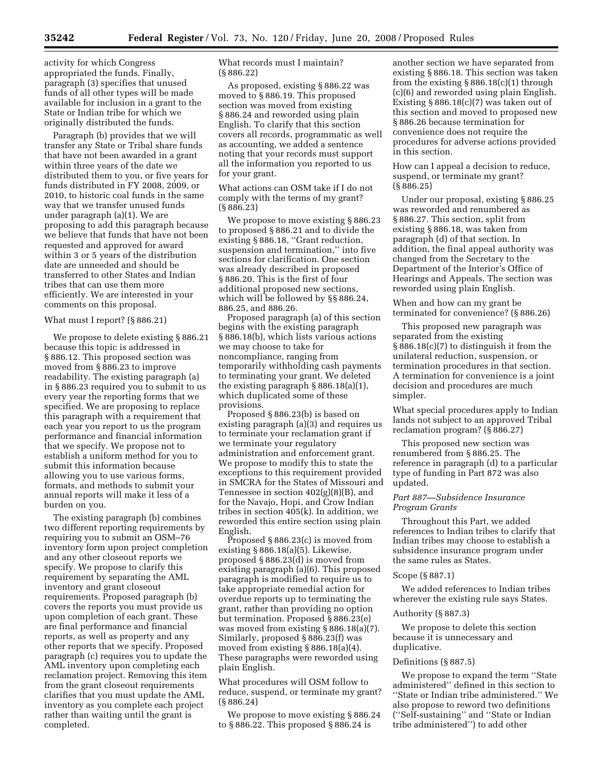activity for which Congress appropriated the funds. Finally, paragraph (3) specifies that unused funds of all other types will be made available for inclusion in a grant to the State or Indian tribe for which we originally distributed the funds.

Paragraph (b) provides that we will transfer any State or Tribal share funds that have not been awarded in a grant within three years of the date we distributed them to you, or five years for funds distributed in FY 2008, 2009, or 2010, to historic coal funds in the same way that we transfer unused funds under paragraph (a)(1). We are proposing to add this paragraph because we believe that funds that have not been requested and approved for award within 3 or 5 years of the distribution date are unneeded and should be transferred to other States and Indian tribes that can use them more efficiently. We are interested in your comments on this proposal.

# What must I report? (§ 886.21)

We propose to delete existing § 886.21 because this topic is addressed in § 886.12. This proposed section was moved from § 886.23 to improve readability. The existing paragraph (a) in § 886.23 required you to submit to us every year the reporting forms that we specified. We are proposing to replace this paragraph with a requirement that each year you report to us the program performance and financial information that we specify. We propose not to establish a uniform method for you to submit this information because allowing you to use various forms, formats, and methods to submit your annual reports will make it less of a burden on you.

The existing paragraph (b) combines two different reporting requirements by requiring you to submit an OSM–76 inventory form upon project completion and any other closeout reports we specify. We propose to clarify this requirement by separating the AML inventory and grant closeout requirements. Proposed paragraph (b) covers the reports you must provide us upon completion of each grant. These are final performance and financial reports, as well as property and any other reports that we specify. Proposed paragraph (c) requires you to update the AML inventory upon completing each reclamation project. Removing this item from the grant closeout requirements clarifies that you must update the AML inventory as you complete each project rather than waiting until the grant is completed.

What records must I maintain? (§ 886.22)

As proposed, existing § 886.22 was moved to § 886.19. This proposed section was moved from existing § 886.24 and reworded using plain English. To clarify that this section covers all records, programmatic as well as accounting, we added a sentence noting that your records must support all the information you reported to us for your grant.

What actions can OSM take if I do not comply with the terms of my grant? (§ 886.23)

We propose to move existing § 886.23 to proposed § 886.21 and to divide the existing § 886.18, ''Grant reduction, suspension and termination,'' into five sections for clarification. One section was already described in proposed § 886.20. This is the first of four additional proposed new sections, which will be followed by §§ 886.24, 886.25, and 886.26.

Proposed paragraph (a) of this section begins with the existing paragraph § 886.18(b), which lists various actions we may choose to take for noncompliance, ranging from temporarily withholding cash payments to terminating your grant. We deleted the existing paragraph § 886.18(a)(1), which duplicated some of these provisions.

Proposed § 886.23(b) is based on existing paragraph (a)(3) and requires us to terminate your reclamation grant if we terminate your regulatory administration and enforcement grant. We propose to modify this to state the exceptions to this requirement provided in SMCRA for the States of Missouri and Tennessee in section 402(g)(8)(B), and for the Navajo, Hopi, and Crow Indian tribes in section 405(k). In addition, we reworded this entire section using plain English.

Proposed § 886.23(c) is moved from existing § 886.18(a)(5). Likewise, proposed § 886.23(d) is moved from existing paragraph (a)(6). This proposed paragraph is modified to require us to take appropriate remedial action for overdue reports up to terminating the grant, rather than providing no option but termination. Proposed § 886.23(e) was moved from existing § 886.18(a)(7). Similarly, proposed § 886.23(f) was moved from existing § 886.18(a)(4). These paragraphs were reworded using plain English.

What procedures will OSM follow to reduce, suspend, or terminate my grant? (§ 886.24)

We propose to move existing § 886.24 to § 886.22. This proposed § 886.24 is

another section we have separated from existing § 886.18. This section was taken from the existing  $\S 886.18(c)(1)$  through (c)(6) and reworded using plain English. Existing § 886.18(c)(7) was taken out of this section and moved to proposed new § 886.26 because termination for convenience does not require the procedures for adverse actions provided in this section.

How can I appeal a decision to reduce, suspend, or terminate my grant? (§ 886.25)

Under our proposal, existing § 886.25 was reworded and renumbered as § 886.27. This section, split from existing § 886.18, was taken from paragraph (d) of that section. In addition, the final appeal authority was changed from the Secretary to the Department of the Interior's Office of Hearings and Appeals. The section was reworded using plain English.

When and how can my grant be terminated for convenience? (§ 886.26)

This proposed new paragraph was separated from the existing § 886.18(c)(7) to distinguish it from the unilateral reduction, suspension, or termination procedures in that section. A termination for convenience is a joint decision and procedures are much simpler.

What special procedures apply to Indian lands not subject to an approved Tribal reclamation program? (§ 886.27)

This proposed new section was renumbered from § 886.25. The reference in paragraph (d) to a particular type of funding in Part 872 was also updated.

# *Part 887—Subsidence Insurance Program Grants*

Throughout this Part, we added references to Indian tribes to clarify that Indian tribes may choose to establish a subsidence insurance program under the same rules as States.

# Scope (§ 887.1)

We added references to Indian tribes wherever the existing rule says States.

#### Authority (§ 887.3)

We propose to delete this section because it is unnecessary and duplicative.

#### Definitions (§ 887.5)

We propose to expand the term ''State administered'' defined in this section to ''State or Indian tribe administered.'' We also propose to reword two definitions (''Self-sustaining'' and ''State or Indian tribe administered'') to add other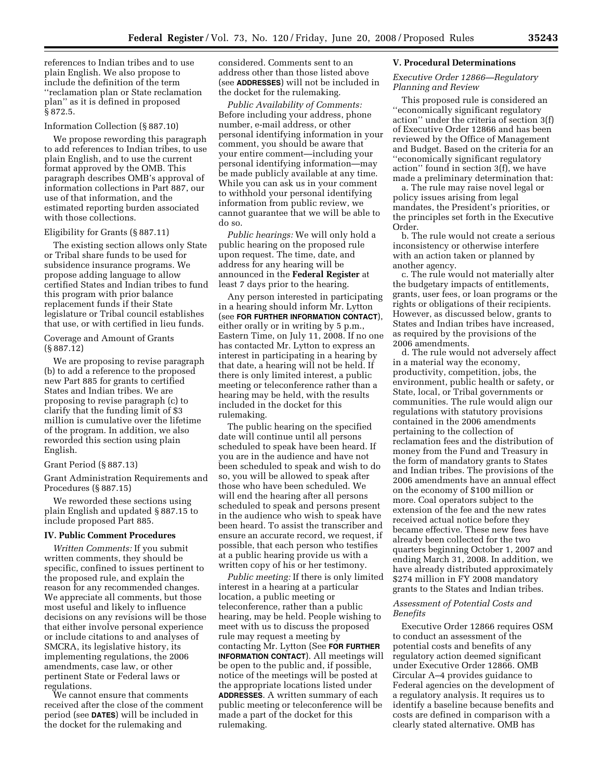references to Indian tribes and to use plain English. We also propose to include the definition of the term ''reclamation plan or State reclamation plan'' as it is defined in proposed § 872.5.

#### Information Collection (§ 887.10)

We propose rewording this paragraph to add references to Indian tribes, to use plain English, and to use the current format approved by the OMB. This paragraph describes OMB's approval of information collections in Part 887, our use of that information, and the estimated reporting burden associated with those collections.

#### Eligibility for Grants (§ 887.11)

The existing section allows only State or Tribal share funds to be used for subsidence insurance programs. We propose adding language to allow certified States and Indian tribes to fund this program with prior balance replacement funds if their State legislature or Tribal council establishes that use, or with certified in lieu funds.

# Coverage and Amount of Grants (§ 887.12)

We are proposing to revise paragraph (b) to add a reference to the proposed new Part 885 for grants to certified States and Indian tribes. We are proposing to revise paragraph (c) to clarify that the funding limit of \$3 million is cumulative over the lifetime of the program. In addition, we also reworded this section using plain English.

# Grant Period (§ 887.13)

Grant Administration Requirements and Procedures (§ 887.15)

We reworded these sections using plain English and updated § 887.15 to include proposed Part 885.

# **IV. Public Comment Procedures**

*Written Comments:* If you submit written comments, they should be specific, confined to issues pertinent to the proposed rule, and explain the reason for any recommended changes. We appreciate all comments, but those most useful and likely to influence decisions on any revisions will be those that either involve personal experience or include citations to and analyses of SMCRA, its legislative history, its implementing regulations, the 2006 amendments, case law, or other pertinent State or Federal laws or regulations.

We cannot ensure that comments received after the close of the comment period (see **DATES**) will be included in the docket for the rulemaking and

considered. Comments sent to an address other than those listed above (see **ADDRESSES**) will not be included in the docket for the rulemaking.

*Public Availability of Comments:*  Before including your address, phone number, e-mail address, or other personal identifying information in your comment, you should be aware that your entire comment—including your personal identifying information—may be made publicly available at any time. While you can ask us in your comment to withhold your personal identifying information from public review, we cannot guarantee that we will be able to do so.

*Public hearings:* We will only hold a public hearing on the proposed rule upon request. The time, date, and address for any hearing will be announced in the **Federal Register** at least 7 days prior to the hearing.

Any person interested in participating in a hearing should inform Mr. Lytton (see **FOR FURTHER INFORMATION CONTACT**), either orally or in writing by 5 p.m., Eastern Time, on July 11, 2008. If no one has contacted Mr. Lytton to express an interest in participating in a hearing by that date, a hearing will not be held. If there is only limited interest, a public meeting or teleconference rather than a hearing may be held, with the results included in the docket for this rulemaking.

The public hearing on the specified date will continue until all persons scheduled to speak have been heard. If you are in the audience and have not been scheduled to speak and wish to do so, you will be allowed to speak after those who have been scheduled. We will end the hearing after all persons scheduled to speak and persons present in the audience who wish to speak have been heard. To assist the transcriber and ensure an accurate record, we request, if possible, that each person who testifies at a public hearing provide us with a written copy of his or her testimony.

*Public meeting:* If there is only limited interest in a hearing at a particular location, a public meeting or teleconference, rather than a public hearing, may be held. People wishing to meet with us to discuss the proposed rule may request a meeting by contacting Mr. Lytton (See **FOR FURTHER INFORMATION CONTACT**). All meetings will be open to the public and, if possible, notice of the meetings will be posted at the appropriate locations listed under **ADDRESSES**. A written summary of each public meeting or teleconference will be made a part of the docket for this rulemaking.

#### **V. Procedural Determinations**

# *Executive Order 12866—Regulatory Planning and Review*

This proposed rule is considered an ''economically significant regulatory action'' under the criteria of section 3(f) of Executive Order 12866 and has been reviewed by the Office of Management and Budget. Based on the criteria for an ''economically significant regulatory action'' found in section 3(f), we have made a preliminary determination that:

a. The rule may raise novel legal or policy issues arising from legal mandates, the President's priorities, or the principles set forth in the Executive Order.

b. The rule would not create a serious inconsistency or otherwise interfere with an action taken or planned by another agency.

c. The rule would not materially alter the budgetary impacts of entitlements, grants, user fees, or loan programs or the rights or obligations of their recipients. However, as discussed below, grants to States and Indian tribes have increased, as required by the provisions of the 2006 amendments.

d. The rule would not adversely affect in a material way the economy, productivity, competition, jobs, the environment, public health or safety, or State, local, or Tribal governments or communities. The rule would align our regulations with statutory provisions contained in the 2006 amendments pertaining to the collection of reclamation fees and the distribution of money from the Fund and Treasury in the form of mandatory grants to States and Indian tribes. The provisions of the 2006 amendments have an annual effect on the economy of \$100 million or more. Coal operators subject to the extension of the fee and the new rates received actual notice before they became effective. These new fees have already been collected for the two quarters beginning October 1, 2007 and ending March 31, 2008. In addition, we have already distributed approximately \$274 million in FY 2008 mandatory grants to the States and Indian tribes.

# *Assessment of Potential Costs and Benefits*

Executive Order 12866 requires OSM to conduct an assessment of the potential costs and benefits of any regulatory action deemed significant under Executive Order 12866. OMB Circular A–4 provides guidance to Federal agencies on the development of a regulatory analysis. It requires us to identify a baseline because benefits and costs are defined in comparison with a clearly stated alternative. OMB has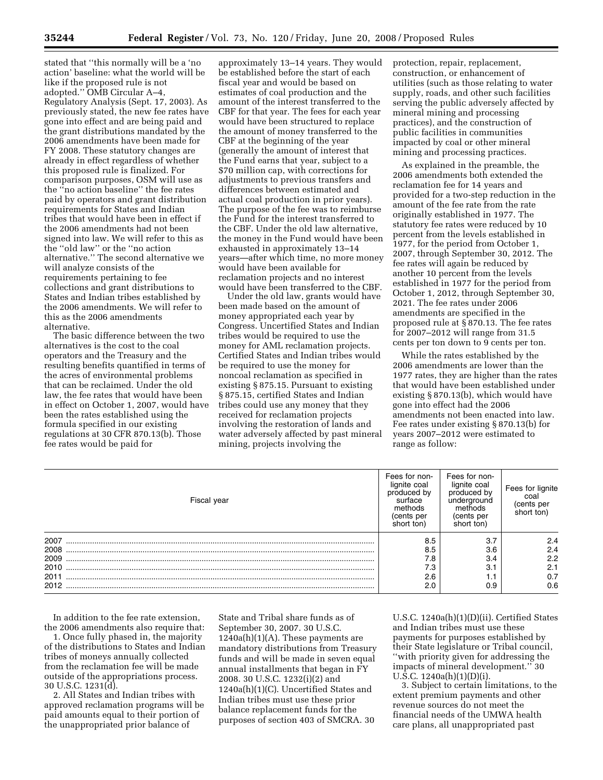stated that ''this normally will be a 'no action' baseline: what the world will be like if the proposed rule is not adopted.'' OMB Circular A–4, Regulatory Analysis (Sept. 17, 2003). As previously stated, the new fee rates have gone into effect and are being paid and the grant distributions mandated by the 2006 amendments have been made for FY 2008. These statutory changes are already in effect regardless of whether this proposed rule is finalized. For comparison purposes, OSM will use as the ''no action baseline'' the fee rates paid by operators and grant distribution requirements for States and Indian tribes that would have been in effect if the 2006 amendments had not been signed into law. We will refer to this as the ''old law'' or the ''no action alternative.'' The second alternative we will analyze consists of the requirements pertaining to fee collections and grant distributions to States and Indian tribes established by the 2006 amendments. We will refer to this as the 2006 amendments alternative.

The basic difference between the two alternatives is the cost to the coal operators and the Treasury and the resulting benefits quantified in terms of the acres of environmental problems that can be reclaimed. Under the old law, the fee rates that would have been in effect on October 1, 2007, would have been the rates established using the formula specified in our existing regulations at 30 CFR 870.13(b). Those fee rates would be paid for

approximately 13–14 years. They would be established before the start of each fiscal year and would be based on estimates of coal production and the amount of the interest transferred to the CBF for that year. The fees for each year would have been structured to replace the amount of money transferred to the CBF at the beginning of the year (generally the amount of interest that the Fund earns that year, subject to a \$70 million cap, with corrections for adjustments to previous transfers and differences between estimated and actual coal production in prior years). The purpose of the fee was to reimburse the Fund for the interest transferred to the CBF. Under the old law alternative, the money in the Fund would have been exhausted in approximately 13–14 years—after which time, no more money would have been available for reclamation projects and no interest would have been transferred to the CBF.

Under the old law, grants would have been made based on the amount of money appropriated each year by Congress. Uncertified States and Indian tribes would be required to use the money for AML reclamation projects. Certified States and Indian tribes would be required to use the money for noncoal reclamation as specified in existing § 875.15. Pursuant to existing § 875.15, certified States and Indian tribes could use any money that they received for reclamation projects involving the restoration of lands and water adversely affected by past mineral mining, projects involving the

protection, repair, replacement, construction, or enhancement of utilities (such as those relating to water supply, roads, and other such facilities serving the public adversely affected by mineral mining and processing practices), and the construction of public facilities in communities impacted by coal or other mineral mining and processing practices.

As explained in the preamble, the 2006 amendments both extended the reclamation fee for 14 years and provided for a two-step reduction in the amount of the fee rate from the rate originally established in 1977. The statutory fee rates were reduced by 10 percent from the levels established in 1977, for the period from October 1, 2007, through September 30, 2012. The fee rates will again be reduced by another 10 percent from the levels established in 1977 for the period from October 1, 2012, through September 30, 2021. The fee rates under 2006 amendments are specified in the proposed rule at § 870.13. The fee rates for 2007–2012 will range from 31.5 cents per ton down to 9 cents per ton.

While the rates established by the 2006 amendments are lower than the 1977 rates, they are higher than the rates that would have been established under existing § 870.13(b), which would have gone into effect had the 2006 amendments not been enacted into law. Fee rates under existing § 870.13(b) for years 2007–2012 were estimated to range as follow:

| Fiscal year  | Fees for non-<br>lignite coal<br>produced by<br>surface<br>methods<br>(cents per<br>short ton) | Fees for non-<br>lignite coal<br>produced by<br>underground<br>methods<br>(cents per<br>short ton) | Fees for lignite<br>coal<br>(cents per<br>short ton) |
|--------------|------------------------------------------------------------------------------------------------|----------------------------------------------------------------------------------------------------|------------------------------------------------------|
| 2007<br>2008 | 8.5<br>8.5                                                                                     | 3.7<br>3.6                                                                                         | 2.4<br>2.4                                           |
| 2009         | 7.8                                                                                            | 3.4                                                                                                | 2.2                                                  |
| 2010         | 7.3                                                                                            | 3.1                                                                                                | 2.1                                                  |
| 2011<br>2012 | 2.6<br>2.0                                                                                     | <b>I</b> .I<br>0.9                                                                                 | 0.7<br>0.6                                           |

In addition to the fee rate extension, the 2006 amendments also require that:

1. Once fully phased in, the majority of the distributions to States and Indian tribes of moneys annually collected from the reclamation fee will be made outside of the appropriations process. 30 U.S.C. 1231(d).

2. All States and Indian tribes with approved reclamation programs will be paid amounts equal to their portion of the unappropriated prior balance of

State and Tribal share funds as of September 30, 2007. 30 U.S.C.  $1240a(h)(1)(A)$ . These payments are mandatory distributions from Treasury funds and will be made in seven equal annual installments that began in FY 2008. 30 U.S.C. 1232(i)(2) and 1240a(h)(1)(C). Uncertified States and Indian tribes must use these prior balance replacement funds for the purposes of section 403 of SMCRA. 30

U.S.C. 1240a(h)(1)(D)(ii). Certified States and Indian tribes must use these payments for purposes established by their State legislature or Tribal council, ''with priority given for addressing the impacts of mineral development.'' 30 U.S.C.  $1240a(h)(1)(D)(i)$ .

3. Subject to certain limitations, to the extent premium payments and other revenue sources do not meet the financial needs of the UMWA health care plans, all unappropriated past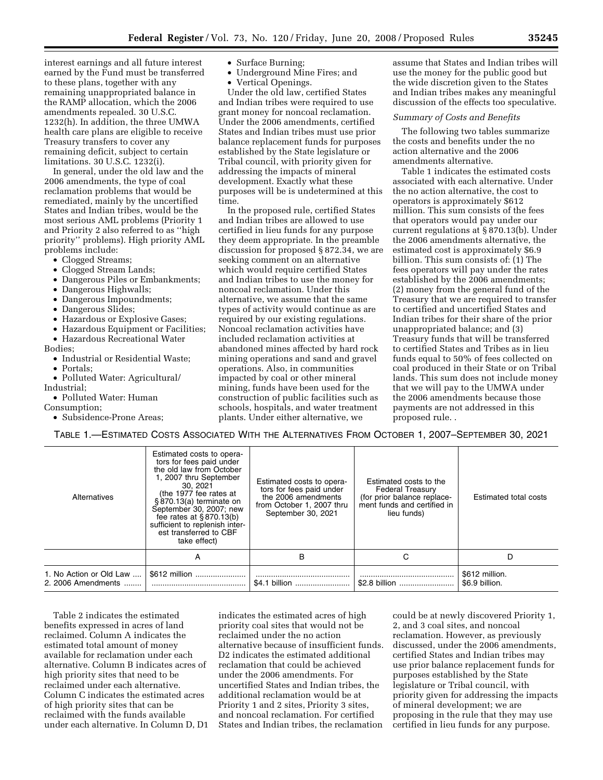interest earnings and all future interest earned by the Fund must be transferred to these plans, together with any remaining unappropriated balance in the RAMP allocation, which the 2006 amendments repealed. 30 U.S.C. 1232(h). In addition, the three UMWA health care plans are eligible to receive Treasury transfers to cover any remaining deficit, subject to certain limitations. 30 U.S.C. 1232(i).

In general, under the old law and the 2006 amendments, the type of coal reclamation problems that would be remediated, mainly by the uncertified States and Indian tribes, would be the most serious AML problems (Priority 1 and Priority 2 also referred to as ''high priority'' problems). High priority AML problems include:

- Clogged Streams;
- Clogged Stream Lands;
- Dangerous Piles or Embankments;
- Dangerous Highwalls;
- Dangerous Impoundments;
- Dangerous Slides;
- Hazardous or Explosive Gases;
- Hazardous Equipment or Facilities;
- Hazardous Recreational Water

Bodies;

- Industrial or Residential Waste;
- Portals;
- Polluted Water: Agricultural/ Industrial;
- Polluted Water: Human

Consumption;

• Subsidence-Prone Areas;

- Surface Burning;
- Underground Mine Fires; and
- Vertical Openings.

Under the old law, certified States and Indian tribes were required to use grant money for noncoal reclamation. Under the 2006 amendments, certified States and Indian tribes must use prior balance replacement funds for purposes established by the State legislature or Tribal council, with priority given for addressing the impacts of mineral development. Exactly what these purposes will be is undetermined at this time.

In the proposed rule, certified States and Indian tribes are allowed to use certified in lieu funds for any purpose they deem appropriate. In the preamble discussion for proposed § 872.34, we are seeking comment on an alternative which would require certified States and Indian tribes to use the money for noncoal reclamation. Under this alternative, we assume that the same types of activity would continue as are required by our existing regulations. Noncoal reclamation activities have included reclamation activities at abandoned mines affected by hard rock mining operations and sand and gravel operations. Also, in communities impacted by coal or other mineral mining, funds have been used for the construction of public facilities such as schools, hospitals, and water treatment plants. Under either alternative, we

assume that States and Indian tribes will use the money for the public good but the wide discretion given to the States and Indian tribes makes any meaningful discussion of the effects too speculative.

# *Summary of Costs and Benefits*

The following two tables summarize the costs and benefits under the no action alternative and the 2006 amendments alternative.

Table 1 indicates the estimated costs associated with each alternative. Under the no action alternative, the cost to operators is approximately \$612 million. This sum consists of the fees that operators would pay under our current regulations at § 870.13(b). Under the 2006 amendments alternative, the estimated cost is approximately \$6.9 billion. This sum consists of: (1) The fees operators will pay under the rates established by the 2006 amendments; (2) money from the general fund of the Treasury that we are required to transfer to certified and uncertified States and Indian tribes for their share of the prior unappropriated balance; and (3) Treasury funds that will be transferred to certified States and Tribes as in lieu funds equal to 50% of fees collected on coal produced in their State or on Tribal lands. This sum does not include money that we will pay to the UMWA under the 2006 amendments because those payments are not addressed in this proposed rule. .

TABLE 1.—ESTIMATED COSTS ASSOCIATED WITH THE ALTERNATIVES FROM OCTOBER 1, 2007–SEPTEMBER 30, 2021

| Alternatives                                  | Estimated costs to opera-<br>tors for fees paid under<br>the old law from October<br>1, 2007 thru September<br>30, 2021<br>(the 1977 fee rates at<br>§870.13(a) terminate on<br>September 30, 2007; new<br>fee rates at $§870.13(b)$<br>sufficient to replenish inter-<br>est transferred to CBF<br>take effect) | Estimated costs to opera-<br>tors for fees paid under<br>the 2006 amendments<br>from October 1, 2007 thru<br>September 30, 2021 | Estimated costs to the<br><b>Federal Treasury</b><br>(for prior balance replace-<br>ment funds and certified in<br>lieu funds) | Estimated total costs            |
|-----------------------------------------------|------------------------------------------------------------------------------------------------------------------------------------------------------------------------------------------------------------------------------------------------------------------------------------------------------------------|---------------------------------------------------------------------------------------------------------------------------------|--------------------------------------------------------------------------------------------------------------------------------|----------------------------------|
|                                               | A                                                                                                                                                                                                                                                                                                                | B                                                                                                                               |                                                                                                                                | D                                |
| 1. No Action or Old Law<br>2. 2006 Amendments | \$612 million                                                                                                                                                                                                                                                                                                    | \$4.1 billion                                                                                                                   | \$2.8 billion                                                                                                                  | \$612 million.<br>\$6.9 billion. |

Table 2 indicates the estimated benefits expressed in acres of land reclaimed. Column A indicates the estimated total amount of money available for reclamation under each alternative. Column B indicates acres of high priority sites that need to be reclaimed under each alternative. Column C indicates the estimated acres of high priority sites that can be reclaimed with the funds available under each alternative. In Column D, D1 indicates the estimated acres of high priority coal sites that would not be reclaimed under the no action alternative because of insufficient funds. D2 indicates the estimated additional reclamation that could be achieved under the 2006 amendments. For uncertified States and Indian tribes, the additional reclamation would be at Priority 1 and 2 sites, Priority 3 sites, and noncoal reclamation. For certified States and Indian tribes, the reclamation

could be at newly discovered Priority 1, 2, and 3 coal sites, and noncoal reclamation. However, as previously discussed, under the 2006 amendments, certified States and Indian tribes may use prior balance replacement funds for purposes established by the State legislature or Tribal council, with priority given for addressing the impacts of mineral development; we are proposing in the rule that they may use certified in lieu funds for any purpose.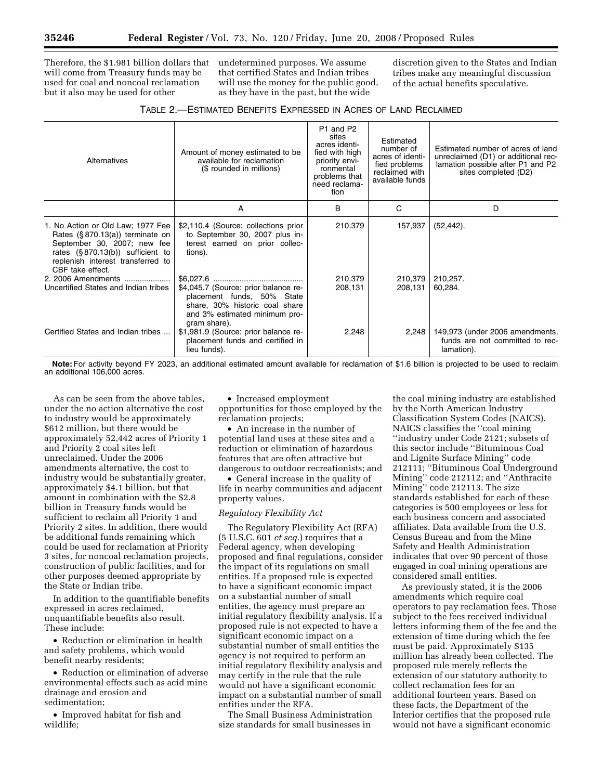Therefore, the \$1.981 billion dollars that will come from Treasury funds may be used for coal and noncoal reclamation but it also may be used for other

undetermined purposes. We assume that certified States and Indian tribes will use the money for the public good, as they have in the past, but the wide

discretion given to the States and Indian tribes make any meaningful discussion of the actual benefits speculative.

| Alternatives                                                                                                                                                                                            | Amount of money estimated to be<br>available for reclamation<br>(\$ rounded in millions)                                                              | P1 and P2<br>sites<br>acres identi-<br>fied with high<br>priority envi-<br>ronmental<br>problems that<br>need reclama-<br>tion | Estimated<br>number of<br>acres of identi-<br>fied problems<br>reclaimed with<br>available funds | Estimated number of acres of land<br>unreclaimed (D1) or additional rec-<br>lamation possible after P1 and P2<br>sites completed (D2) |
|---------------------------------------------------------------------------------------------------------------------------------------------------------------------------------------------------------|-------------------------------------------------------------------------------------------------------------------------------------------------------|--------------------------------------------------------------------------------------------------------------------------------|--------------------------------------------------------------------------------------------------|---------------------------------------------------------------------------------------------------------------------------------------|
|                                                                                                                                                                                                         | А                                                                                                                                                     | B                                                                                                                              | C                                                                                                | D                                                                                                                                     |
| 1. No Action or Old Law; 1977 Fee<br>Rates $(\S 870.13(a))$ terminate on<br>September 30, 2007; new fee<br>rates $(S.870.13(b))$ sufficient to<br>replenish interest transferred to<br>CBF take effect. | \$2,110.4 (Source: collections prior<br>to September 30, 2007 plus in-<br>terest earned on prior collec-<br>tions).                                   | 210,379                                                                                                                        | 157,937                                                                                          | $(52, 442)$ .                                                                                                                         |
| 2. 2006 Amendments<br>Uncertified States and Indian tribes                                                                                                                                              | \$4,045.7 (Source: prior balance re-<br>placement funds, 50% State<br>share, 30% historic coal share<br>and 3% estimated minimum pro-<br>gram share). | 210,379<br>208,131                                                                                                             | 210,379<br>208,131                                                                               | 210,257.<br>60,284.                                                                                                                   |
| Certified States and Indian tribes                                                                                                                                                                      | \$1,981.9 (Source: prior balance re-<br>placement funds and certified in<br>lieu funds).                                                              | 2,248                                                                                                                          | 2,248                                                                                            | 149,973 (under 2006 amendments,<br>funds are not committed to rec-<br>lamation).                                                      |

**Note:** For activity beyond FY 2023, an additional estimated amount available for reclamation of \$1.6 billion is projected to be used to reclaim an additional 106,000 acres.

As can be seen from the above tables, under the no action alternative the cost to industry would be approximately \$612 million, but there would be approximately 52,442 acres of Priority 1 and Priority 2 coal sites left unreclaimed. Under the 2006 amendments alternative, the cost to industry would be substantially greater, approximately \$4.1 billion, but that amount in combination with the \$2.8 billion in Treasury funds would be sufficient to reclaim all Priority 1 and Priority 2 sites. In addition, there would be additional funds remaining which could be used for reclamation at Priority 3 sites, for noncoal reclamation projects, construction of public facilities, and for other purposes deemed appropriate by the State or Indian tribe.

In addition to the quantifiable benefits expressed in acres reclaimed, unquantifiable benefits also result. These include:

• Reduction or elimination in health and safety problems, which would benefit nearby residents;

• Reduction or elimination of adverse environmental effects such as acid mine drainage and erosion and sedimentation;

• Improved habitat for fish and wildlife;

• Increased employment opportunities for those employed by the reclamation projects;

• An increase in the number of potential land uses at these sites and a reduction or elimination of hazardous features that are often attractive but dangerous to outdoor recreationists; and

• General increase in the quality of life in nearby communities and adjacent property values.

# *Regulatory Flexibility Act*

The Regulatory Flexibility Act (RFA) (5 U.S.C. 601 *et seq.*) requires that a Federal agency, when developing proposed and final regulations, consider the impact of its regulations on small entities. If a proposed rule is expected to have a significant economic impact on a substantial number of small entities, the agency must prepare an initial regulatory flexibility analysis. If a proposed rule is not expected to have a significant economic impact on a substantial number of small entities the agency is not required to perform an initial regulatory flexibility analysis and may certify in the rule that the rule would not have a significant economic impact on a substantial number of small entities under the RFA.

The Small Business Administration size standards for small businesses in

the coal mining industry are established by the North American Industry Classification System Codes (NAICS). NAICS classifies the ''coal mining ''industry under Code 2121; subsets of this sector include ''Bituminous Coal and Lignite Surface Mining'' code 212111; ''Bituminous Coal Underground Mining'' code 212112; and ''Anthracite Mining'' code 212113. The size standards established for each of these categories is 500 employees or less for each business concern and associated affiliates. Data available from the U.S. Census Bureau and from the Mine Safety and Health Administration indicates that over 90 percent of those engaged in coal mining operations are considered small entities.

As previously stated, it is the 2006 amendments which require coal operators to pay reclamation fees. Those subject to the fees received individual letters informing them of the fee and the extension of time during which the fee must be paid. Approximately \$135 million has already been collected. The proposed rule merely reflects the extension of our statutory authority to collect reclamation fees for an additional fourteen years. Based on these facts, the Department of the Interior certifies that the proposed rule would not have a significant economic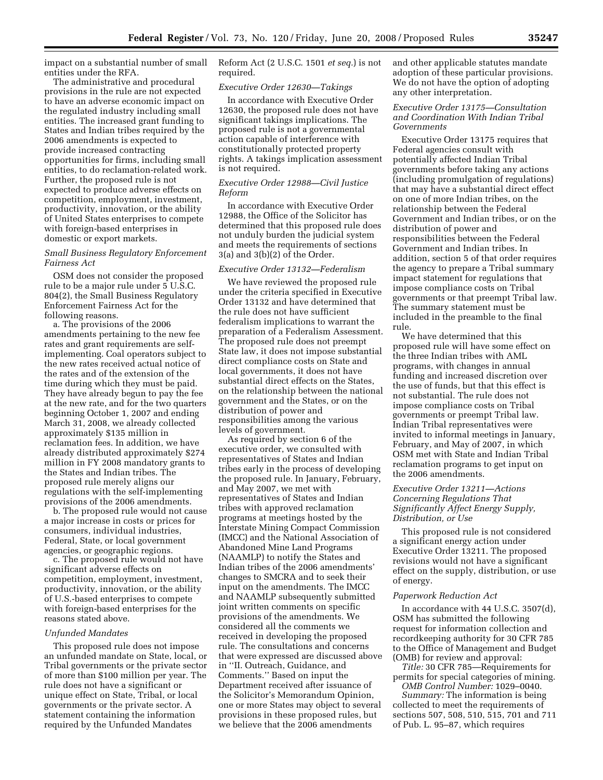impact on a substantial number of small entities under the RFA.

The administrative and procedural provisions in the rule are not expected to have an adverse economic impact on the regulated industry including small entities. The increased grant funding to States and Indian tribes required by the 2006 amendments is expected to provide increased contracting opportunities for firms, including small entities, to do reclamation-related work. Further, the proposed rule is not expected to produce adverse effects on competition, employment, investment, productivity, innovation, or the ability of United States enterprises to compete with foreign-based enterprises in domestic or export markets.

# *Small Business Regulatory Enforcement Fairness Act*

OSM does not consider the proposed rule to be a major rule under 5 U.S.C. 804(2), the Small Business Regulatory Enforcement Fairness Act for the following reasons.

a. The provisions of the 2006 amendments pertaining to the new fee rates and grant requirements are selfimplementing. Coal operators subject to the new rates received actual notice of the rates and of the extension of the time during which they must be paid. They have already begun to pay the fee at the new rate, and for the two quarters beginning October 1, 2007 and ending March 31, 2008, we already collected approximately \$135 million in reclamation fees. In addition, we have already distributed approximately \$274 million in FY 2008 mandatory grants to the States and Indian tribes. The proposed rule merely aligns our regulations with the self-implementing provisions of the 2006 amendments.

b. The proposed rule would not cause a major increase in costs or prices for consumers, individual industries, Federal, State, or local government agencies, or geographic regions.

c. The proposed rule would not have significant adverse effects on competition, employment, investment, productivity, innovation, or the ability of U.S.-based enterprises to compete with foreign-based enterprises for the reasons stated above.

# *Unfunded Mandates*

This proposed rule does not impose an unfunded mandate on State, local, or Tribal governments or the private sector of more than \$100 million per year. The rule does not have a significant or unique effect on State, Tribal, or local governments or the private sector. A statement containing the information required by the Unfunded Mandates

Reform Act (2 U.S.C. 1501 *et seq.*) is not required.

#### *Executive Order 12630—Takings*

In accordance with Executive Order 12630, the proposed rule does not have significant takings implications. The proposed rule is not a governmental action capable of interference with constitutionally protected property rights. A takings implication assessment is not required.

# *Executive Order 12988—Civil Justice Reform*

In accordance with Executive Order 12988, the Office of the Solicitor has determined that this proposed rule does not unduly burden the judicial system and meets the requirements of sections 3(a) and 3(b)(2) of the Order.

# *Executive Order 13132—Federalism*

We have reviewed the proposed rule under the criteria specified in Executive Order 13132 and have determined that the rule does not have sufficient federalism implications to warrant the preparation of a Federalism Assessment. The proposed rule does not preempt State law, it does not impose substantial direct compliance costs on State and local governments, it does not have substantial direct effects on the States, on the relationship between the national government and the States, or on the distribution of power and responsibilities among the various levels of government.

As required by section 6 of the executive order, we consulted with representatives of States and Indian tribes early in the process of developing the proposed rule. In January, February, and May 2007, we met with representatives of States and Indian tribes with approved reclamation programs at meetings hosted by the Interstate Mining Compact Commission (IMCC) and the National Association of Abandoned Mine Land Programs (NAAMLP) to notify the States and Indian tribes of the 2006 amendments' changes to SMCRA and to seek their input on the amendments. The IMCC and NAAMLP subsequently submitted joint written comments on specific provisions of the amendments. We considered all the comments we received in developing the proposed rule. The consultations and concerns that were expressed are discussed above in ''II. Outreach, Guidance, and Comments.'' Based on input the Department received after issuance of the Solicitor's Memorandum Opinion, one or more States may object to several provisions in these proposed rules, but we believe that the 2006 amendments

and other applicable statutes mandate adoption of these particular provisions. We do not have the option of adopting any other interpretation.

# *Executive Order 13175—Consultation and Coordination With Indian Tribal Governments*

Executive Order 13175 requires that Federal agencies consult with potentially affected Indian Tribal governments before taking any actions (including promulgation of regulations) that may have a substantial direct effect on one of more Indian tribes, on the relationship between the Federal Government and Indian tribes, or on the distribution of power and responsibilities between the Federal Government and Indian tribes. In addition, section 5 of that order requires the agency to prepare a Tribal summary impact statement for regulations that impose compliance costs on Tribal governments or that preempt Tribal law. The summary statement must be included in the preamble to the final rule.

We have determined that this proposed rule will have some effect on the three Indian tribes with AML programs, with changes in annual funding and increased discretion over the use of funds, but that this effect is not substantial. The rule does not impose compliance costs on Tribal governments or preempt Tribal law. Indian Tribal representatives were invited to informal meetings in January, February, and May of 2007, in which OSM met with State and Indian Tribal reclamation programs to get input on the 2006 amendments.

# *Executive Order 13211—Actions Concerning Regulations That Significantly Affect Energy Supply, Distribution, or Use*

This proposed rule is not considered a significant energy action under Executive Order 13211. The proposed revisions would not have a significant effect on the supply, distribution, or use of energy.

#### *Paperwork Reduction Act*

In accordance with 44 U.S.C. 3507(d), OSM has submitted the following request for information collection and recordkeeping authority for 30 CFR 785 to the Office of Management and Budget (OMB) for review and approval:

*Title:* 30 CFR 785—Requirements for permits for special categories of mining. *OMB Control Number:* 1029–0040.

*Summary:* The information is being collected to meet the requirements of sections 507, 508, 510, 515, 701 and 711 of Pub. L. 95–87, which requires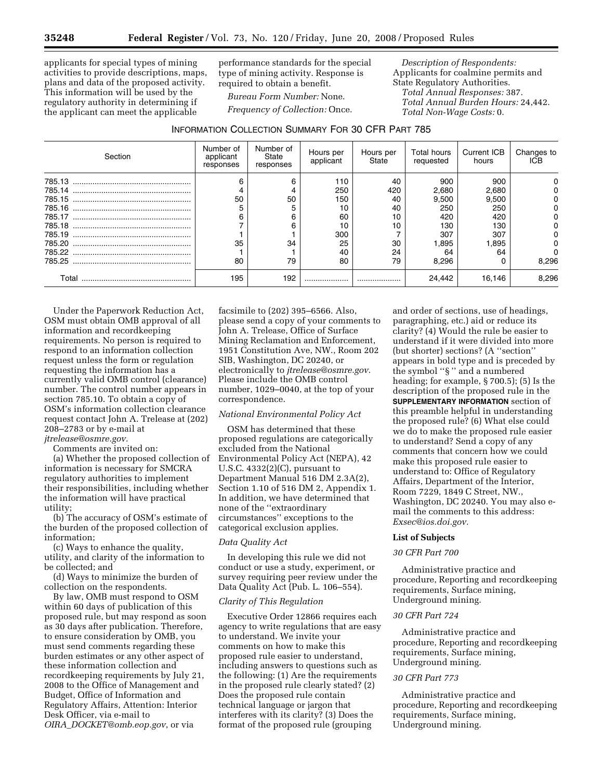applicants for special types of mining activities to provide descriptions, maps, plans and data of the proposed activity. This information will be used by the regulatory authority in determining if the applicant can meet the applicable

performance standards for the special type of mining activity. Response is required to obtain a benefit.

*Bureau Form Number:* None. *Frequency of Collection:* Once.

*Description of Respondents:*  Applicants for coalmine permits and State Regulatory Authorities. *Total Annual Responses:* 387. *Total Annual Burden Hours:* 24,442. *Total Non-Wage Costs:* 0.

# INFORMATION COLLECTION SUMMARY FOR 30 CFR PART 785

| Section | Number of<br>applicant<br>responses | Number of<br>State<br>responses | Hours per<br>applicant | Hours per<br>State | <b>Total hours</b><br>requested | Current ICB<br>hours | Changes to<br>ICB |
|---------|-------------------------------------|---------------------------------|------------------------|--------------------|---------------------------------|----------------------|-------------------|
|         | 6                                   | 6                               | 110                    | 40                 | 900                             | 900                  |                   |
|         |                                     |                                 | 250                    | 420                | 2,680                           | 2,680                |                   |
|         | 50                                  | 50                              | 150                    | 40                 | 9,500                           | 9,500                |                   |
|         | 5                                   |                                 | 10                     | 40                 | 250                             | 250                  |                   |
|         |                                     | 6                               | 60                     | 10                 | 420                             | 420                  |                   |
|         |                                     | 6                               | 10                     | 10                 | 130                             | 130                  |                   |
|         |                                     |                                 | 300                    |                    | 307                             | 307                  |                   |
| 785.20  | 35                                  | 34                              | 25                     | 30                 | 1,895                           | 1,895                |                   |
|         |                                     |                                 | 40                     | 24                 | 64                              | 64                   |                   |
|         | 80                                  | 79                              | 80                     | 79                 | 8,296                           |                      | 8,296             |
| Total   | 195                                 | 192                             |                        |                    | 24.442                          | 16.146               | 8,296             |

Under the Paperwork Reduction Act, OSM must obtain OMB approval of all information and recordkeeping requirements. No person is required to respond to an information collection request unless the form or regulation requesting the information has a currently valid OMB control (clearance) number. The control number appears in section 785.10. To obtain a copy of OSM's information collection clearance request contact John A. Trelease at (202) 208–2783 or by e-mail at *jtrelease@osmre.gov.* 

Comments are invited on:

(a) Whether the proposed collection of information is necessary for SMCRA regulatory authorities to implement their responsibilities, including whether the information will have practical utility;

(b) The accuracy of OSM's estimate of the burden of the proposed collection of information;

(c) Ways to enhance the quality, utility, and clarity of the information to be collected; and

(d) Ways to minimize the burden of collection on the respondents.

By law, OMB must respond to OSM within 60 days of publication of this proposed rule, but may respond as soon as 30 days after publication. Therefore, to ensure consideration by OMB, you must send comments regarding these burden estimates or any other aspect of these information collection and recordkeeping requirements by July 21, 2008 to the Office of Management and Budget, Office of Information and Regulatory Affairs, Attention: Interior Desk Officer, via e-mail to *OIRA*\_*DOCKET@omb.eop.gov*, or via

facsimile to (202) 395–6566. Also, please send a copy of your comments to John A. Trelease, Office of Surface Mining Reclamation and Enforcement, 1951 Constitution Ave, NW., Room 202 SIB, Washington, DC 20240, or electronically to *jtrelease@osmre.gov.*  Please include the OMB control number, 1029–0040, at the top of your correspondence.

# *National Environmental Policy Act*

OSM has determined that these proposed regulations are categorically excluded from the National Environmental Policy Act (NEPA), 42 U.S.C. 4332(2)(C), pursuant to Department Manual 516 DM 2.3A(2), Section 1.10 of 516 DM 2, Appendix 1. In addition, we have determined that none of the ''extraordinary circumstances'' exceptions to the categorical exclusion applies.

# *Data Quality Act*

In developing this rule we did not conduct or use a study, experiment, or survey requiring peer review under the Data Quality Act (Pub. L. 106–554).

#### *Clarity of This Regulation*

Executive Order 12866 requires each agency to write regulations that are easy to understand. We invite your comments on how to make this proposed rule easier to understand, including answers to questions such as the following: (1) Are the requirements in the proposed rule clearly stated? (2) Does the proposed rule contain technical language or jargon that interferes with its clarity? (3) Does the format of the proposed rule (grouping

and order of sections, use of headings, paragraphing, etc.) aid or reduce its clarity? (4) Would the rule be easier to understand if it were divided into more (but shorter) sections? (A ''section'' appears in bold type and is preceded by the symbol ''§ '' and a numbered heading; for example, § 700.5); (5) Is the description of the proposed rule in the **SUPPLEMENTARY INFORMATION** section of this preamble helpful in understanding the proposed rule? (6) What else could we do to make the proposed rule easier to understand? Send a copy of any comments that concern how we could make this proposed rule easier to understand to: Office of Regulatory Affairs, Department of the Interior, Room 7229, 1849 C Street, NW., Washington, DC 20240. You may also email the comments to this address: *Exsec@ios.doi.gov.* 

#### **List of Subjects**

# *30 CFR Part 700*

Administrative practice and procedure, Reporting and recordkeeping requirements, Surface mining, Underground mining.

# *30 CFR Part 724*

Administrative practice and procedure, Reporting and recordkeeping requirements, Surface mining, Underground mining.

# *30 CFR Part 773*

Administrative practice and procedure, Reporting and recordkeeping requirements, Surface mining, Underground mining.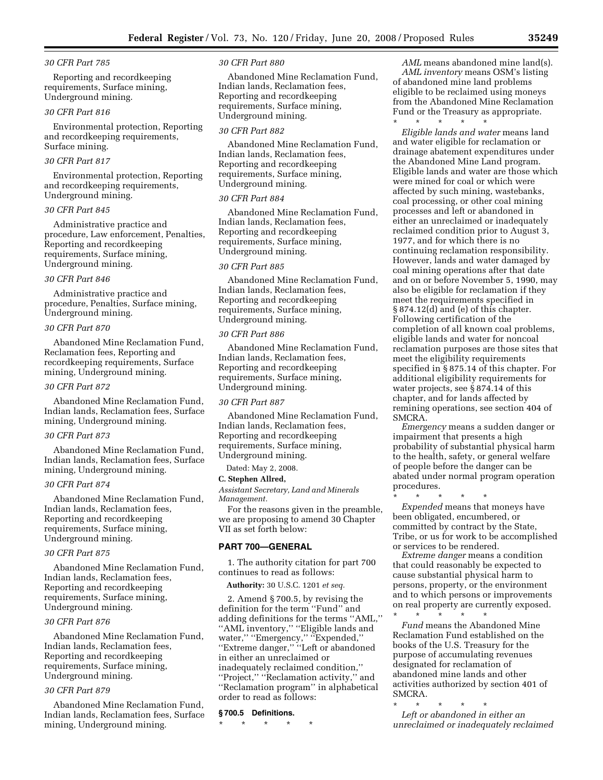# *30 CFR Part 785*

Reporting and recordkeeping requirements, Surface mining, Underground mining.

# *30 CFR Part 816*

Environmental protection, Reporting and recordkeeping requirements, Surface mining.

# *30 CFR Part 817*

Environmental protection, Reporting and recordkeeping requirements, Underground mining.

# *30 CFR Part 845*

Administrative practice and procedure, Law enforcement, Penalties, Reporting and recordkeeping requirements, Surface mining, Underground mining.

#### *30 CFR Part 846*

Administrative practice and procedure, Penalties, Surface mining, Underground mining.

#### *30 CFR Part 870*

Abandoned Mine Reclamation Fund, Reclamation fees, Reporting and recordkeeping requirements, Surface mining, Underground mining.

# *30 CFR Part 872*

Abandoned Mine Reclamation Fund, Indian lands, Reclamation fees, Surface mining, Underground mining.

# *30 CFR Part 873*

Abandoned Mine Reclamation Fund, Indian lands, Reclamation fees, Surface mining, Underground mining.

# *30 CFR Part 874*

Abandoned Mine Reclamation Fund, Indian lands, Reclamation fees, Reporting and recordkeeping requirements, Surface mining, Underground mining.

# *30 CFR Part 875*

Abandoned Mine Reclamation Fund, Indian lands, Reclamation fees, Reporting and recordkeeping requirements, Surface mining, Underground mining.

# *30 CFR Part 876*

Abandoned Mine Reclamation Fund, Indian lands, Reclamation fees, Reporting and recordkeeping requirements, Surface mining, Underground mining.

#### *30 CFR Part 879*

Abandoned Mine Reclamation Fund, Indian lands, Reclamation fees, Surface mining, Underground mining.

#### *30 CFR Part 880*

Abandoned Mine Reclamation Fund, Indian lands, Reclamation fees, Reporting and recordkeeping requirements, Surface mining, Underground mining.

# *30 CFR Part 882*

Abandoned Mine Reclamation Fund, Indian lands, Reclamation fees, Reporting and recordkeeping requirements, Surface mining, Underground mining.

# *30 CFR Part 884*

Abandoned Mine Reclamation Fund, Indian lands, Reclamation fees, Reporting and recordkeeping requirements, Surface mining, Underground mining.

#### *30 CFR Part 885*

Abandoned Mine Reclamation Fund, Indian lands, Reclamation fees, Reporting and recordkeeping requirements, Surface mining, Underground mining.

#### *30 CFR Part 886*

Abandoned Mine Reclamation Fund, Indian lands, Reclamation fees, Reporting and recordkeeping requirements, Surface mining, Underground mining.

# *30 CFR Part 887*

Abandoned Mine Reclamation Fund, Indian lands, Reclamation fees, Reporting and recordkeeping requirements, Surface mining, Underground mining.

Dated: May 2, 2008.

#### **C. Stephen Allred,**

*Assistant Secretary, Land and Minerals Management.* 

For the reasons given in the preamble, we are proposing to amend 30 Chapter VII as set forth below:

# **PART 700—GENERAL**

1. The authority citation for part 700 continues to read as follows:

**Authority:** 30 U.S.C. 1201 *et seq.* 

2. Amend § 700.5, by revising the definition for the term ''Fund'' and adding definitions for the terms ''AML,'' ''AML inventory,'' ''Eligible lands and water,'' ''Emergency,'' ''Expended,'' ''Extreme danger,'' ''Left or abandoned in either an unreclaimed or inadequately reclaimed condition,'' ''Project,'' ''Reclamation activity,'' and ''Reclamation program'' in alphabetical order to read as follows:

#### **§ 700.5 Definitions.**

\* \* \* \* \*

*AML* means abandoned mine land(s). *AML inventory* means OSM's listing of abandoned mine land problems eligible to be reclaimed using moneys from the Abandoned Mine Reclamation Fund or the Treasury as appropriate. \* \* \* \* \*

*Eligible lands and water* means land and water eligible for reclamation or drainage abatement expenditures under the Abandoned Mine Land program. Eligible lands and water are those which were mined for coal or which were affected by such mining, wastebanks, coal processing, or other coal mining processes and left or abandoned in either an unreclaimed or inadequately reclaimed condition prior to August 3, 1977, and for which there is no continuing reclamation responsibility. However, lands and water damaged by coal mining operations after that date and on or before November 5, 1990, may also be eligible for reclamation if they meet the requirements specified in § 874.12(d) and (e) of this chapter. Following certification of the completion of all known coal problems, eligible lands and water for noncoal reclamation purposes are those sites that meet the eligibility requirements specified in § 875.14 of this chapter. For additional eligibility requirements for water projects, see § 874.14 of this chapter, and for lands affected by remining operations, see section 404 of SMCRA.

*Emergency* means a sudden danger or impairment that presents a high probability of substantial physical harm to the health, safety, or general welfare of people before the danger can be abated under normal program operation procedures.

\* \* \* \* \* *Expended* means that moneys have been obligated, encumbered, or committed by contract by the State, Tribe, or us for work to be accomplished or services to be rendered.

*Extreme danger* means a condition that could reasonably be expected to cause substantial physical harm to persons, property, or the environment and to which persons or improvements on real property are currently exposed.

\* \* \* \* \* *Fund* means the Abandoned Mine Reclamation Fund established on the books of the U.S. Treasury for the purpose of accumulating revenues designated for reclamation of abandoned mine lands and other activities authorized by section 401 of SMCRA.

\* \* \* \* \* *Left or abandoned in either an unreclaimed or inadequately reclaimed*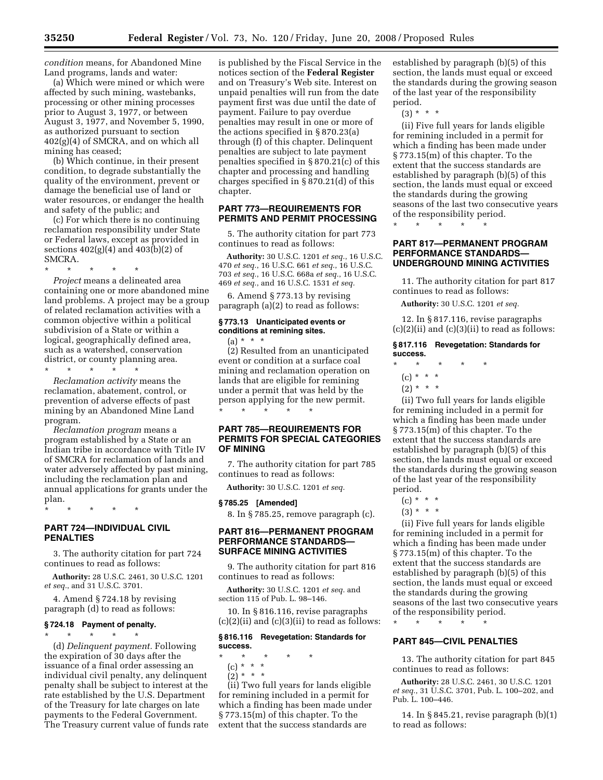*condition* means, for Abandoned Mine

Land programs, lands and water: (a) Which were mined or which were affected by such mining, wastebanks, processing or other mining processes prior to August 3, 1977, or between August 3, 1977, and November 5, 1990, as authorized pursuant to section 402(g)(4) of SMCRA, and on which all mining has ceased;

(b) Which continue, in their present condition, to degrade substantially the quality of the environment, prevent or damage the beneficial use of land or water resources, or endanger the health and safety of the public; and

(c) For which there is no continuing reclamation responsibility under State or Federal laws, except as provided in sections 402(g)(4) and 403(b)(2) of SMCRA.

\* \* \* \* \*

*Project* means a delineated area containing one or more abandoned mine land problems. A project may be a group of related reclamation activities with a common objective within a political subdivision of a State or within a logical, geographically defined area, such as a watershed, conservation district, or county planning area.

\* \* \* \* \* *Reclamation activity* means the reclamation, abatement, control, or prevention of adverse effects of past mining by an Abandoned Mine Land program.

*Reclamation program* means a program established by a State or an Indian tribe in accordance with Title IV of SMCRA for reclamation of lands and water adversely affected by past mining, including the reclamation plan and annual applications for grants under the plan.

\* \* \* \* \*

# **PART 724—INDIVIDUAL CIVIL PENALTIES**

3. The authority citation for part 724 continues to read as follows:

**Authority:** 28 U.S.C. 2461, 30 U.S.C. 1201 *et seq.*, and 31 U.S.C. 3701.

4. Amend § 724.18 by revising paragraph (d) to read as follows:

# **§ 724.18 Payment of penalty.**

\* \* \* \* \* (d) *Delinquent payment.* Following the expiration of 30 days after the issuance of a final order assessing an individual civil penalty, any delinquent penalty shall be subject to interest at the rate established by the U.S. Department of the Treasury for late charges on late payments to the Federal Government. The Treasury current value of funds rate is published by the Fiscal Service in the notices section of the **Federal Register**  and on Treasury's Web site. Interest on unpaid penalties will run from the date payment first was due until the date of payment. Failure to pay overdue penalties may result in one or more of the actions specified in § 870.23(a) through (f) of this chapter. Delinquent penalties are subject to late payment penalties specified in § 870.21(c) of this chapter and processing and handling charges specified in § 870.21(d) of this chapter.

# **PART 773—REQUIREMENTS FOR PERMITS AND PERMIT PROCESSING**

5. The authority citation for part 773 continues to read as follows:

**Authority:** 30 U.S.C. 1201 *et seq.*, 16 U.S.C. *et seq.*, 16 U.S.C. 661 *et seq.*, 16 U.S.C. *et seq.*, 16 U.S.C. 668a *et seq.*, 16 U.S.C. *et seq.*, and 16 U.S.C. 1531 *et seq.* 

6. Amend § 773.13 by revising paragraph (a)(2) to read as follows:

# **§ 773.13 Unanticipated events or conditions at remining sites.**

 $(a) * * * *$ 

(2) Resulted from an unanticipated event or condition at a surface coal mining and reclamation operation on lands that are eligible for remining under a permit that was held by the person applying for the new permit. \* \* \* \* \*

# **PART 785—REQUIREMENTS FOR PERMITS FOR SPECIAL CATEGORIES OF MINING**

7. The authority citation for part 785 continues to read as follows:

**Authority:** 30 U.S.C. 1201 *et seq.* 

# **§ 785.25 [Amended]**

8. In § 785.25, remove paragraph (c).

# **PART 816—PERMANENT PROGRAM PERFORMANCE STANDARDS— SURFACE MINING ACTIVITIES**

9. The authority citation for part 816 continues to read as follows:

**Authority:** 30 U.S.C. 1201 *et seq.* and section 115 of Pub. L. 98–146.

10. In § 816.116, revise paragraphs  $(c)(2)(ii)$  and  $(c)(3)(ii)$  to read as follows:

# **§ 816.116 Revegetation: Standards for success.**

- \* \* \* \* \* (c) \* \* \*
	- $(2) * * * *$

(ii) Two full years for lands eligible for remining included in a permit for which a finding has been made under § 773.15(m) of this chapter. To the extent that the success standards are

established by paragraph (b)(5) of this section, the lands must equal or exceed the standards during the growing season of the last year of the responsibility period.

 $(3) * * * *$ 

(ii) Five full years for lands eligible for remining included in a permit for which a finding has been made under § 773.15(m) of this chapter. To the extent that the success standards are established by paragraph (b)(5) of this section, the lands must equal or exceed the standards during the growing seasons of the last two consecutive years of the responsibility period.

\* \* \* \* \*

# **PART 817—PERMANENT PROGRAM PERFORMANCE STANDARDS— UNDERGROUND MINING ACTIVITIES**

11. The authority citation for part 817 continues to read as follows:

**Authority:** 30 U.S.C. 1201 *et seq.* 

12. In § 817.116, revise paragraphs  $(c)(2)(ii)$  and  $(c)(3)(ii)$  to read as follows:

# **§ 817.116 Revegetation: Standards for success.**

- \* \* \* \* \*
	- (c) \* \* \*
- $(2) * * * *$

(ii) Two full years for lands eligible for remining included in a permit for which a finding has been made under § 773.15(m) of this chapter. To the extent that the success standards are established by paragraph (b)(5) of this section, the lands must equal or exceed the standards during the growing season of the last year of the responsibility period.

- $(c) * * * *$
- $(3) * * * *$

(ii) Five full years for lands eligible for remining included in a permit for which a finding has been made under § 773.15(m) of this chapter. To the extent that the success standards are established by paragraph (b)(5) of this section, the lands must equal or exceed the standards during the growing seasons of the last two consecutive years of the responsibility period.

# **PART 845—CIVIL PENALTIES**

\* \* \* \* \*

13. The authority citation for part 845 continues to read as follows:

**Authority:** 28 U.S.C. 2461, 30 U.S.C. 1201 *et seq.*, 31 U.S.C. 3701, Pub. L. 100–202, and Pub. L. 100–446.

14. In § 845.21, revise paragraph (b)(1) to read as follows: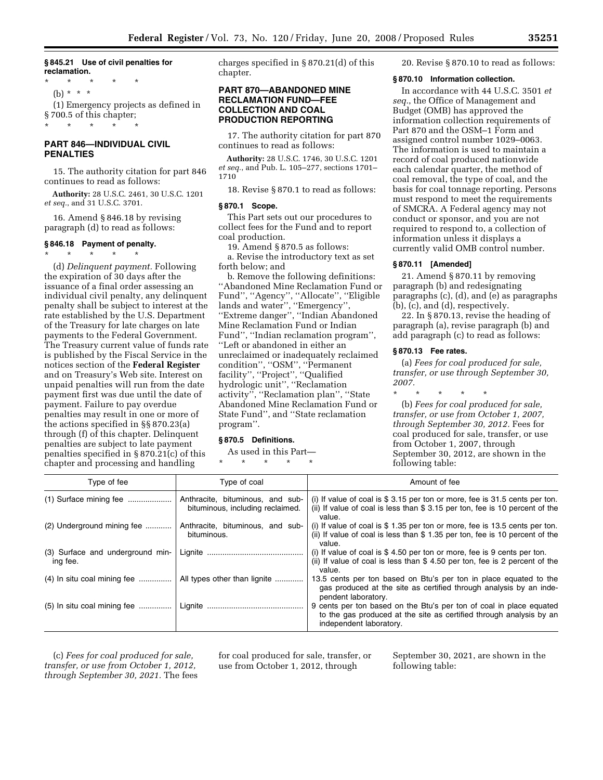# **§ 845.21 Use of civil penalties for reclamation.**

\* \* \* \* \* (b) \* \* \* (1) Emergency projects as defined in § 700.5 of this chapter;

\* \* \* \* \*

# **PART 846—INDIVIDUAL CIVIL PENALTIES**

15. The authority citation for part 846 continues to read as follows:

**Authority:** 28 U.S.C. 2461, 30 U.S.C. 1201 *et seq.*, and 31 U.S.C. 3701.

16. Amend § 846.18 by revising paragraph (d) to read as follows:

# **§ 846.18 Payment of penalty.**

\* \* \* \* \* (d) *Delinquent payment.* Following

the expiration of 30 days after the issuance of a final order assessing an individual civil penalty, any delinquent penalty shall be subject to interest at the rate established by the U.S. Department of the Treasury for late charges on late payments to the Federal Government. The Treasury current value of funds rate is published by the Fiscal Service in the notices section of the **Federal Register**  and on Treasury's Web site. Interest on unpaid penalties will run from the date payment first was due until the date of payment. Failure to pay overdue penalties may result in one or more of the actions specified in §§ 870.23(a) through (f) of this chapter. Delinquent penalties are subject to late payment penalties specified in § 870.21(c) of this chapter and processing and handling

charges specified in § 870.21(d) of this chapter.

# **PART 870—ABANDONED MINE RECLAMATION FUND—FEE COLLECTION AND COAL PRODUCTION REPORTING**

17. The authority citation for part 870 continues to read as follows:

**Authority:** 28 U.S.C. 1746, 30 U.S.C. 1201 *et seq.*, and Pub. L. 105–277, sections 1701– 1710

18. Revise § 870.1 to read as follows:

#### **§ 870.1 Scope.**

This Part sets out our procedures to collect fees for the Fund and to report coal production.

19. Amend § 870.5 as follows: a. Revise the introductory text as set forth below; and

b. Remove the following definitions: ''Abandoned Mine Reclamation Fund or Fund'', ''Agency'', ''Allocate'', ''Eligible lands and water'', ''Emergency'', ''Extreme danger'', ''Indian Abandoned Mine Reclamation Fund or Indian Fund'', ''Indian reclamation program'', ''Left or abandoned in either an unreclaimed or inadequately reclaimed condition'', ''OSM'', ''Permanent facility'', ''Project'', ''Qualified hydrologic unit'', ''Reclamation activity'', ''Reclamation plan'', ''State Abandoned Mine Reclamation Fund or State Fund'', and ''State reclamation program''.

#### **§ 870.5 Definitions.**

As used in this Part—

\* \* \* \* \*

20. Revise § 870.10 to read as follows:

#### **§ 870.10 Information collection.**

In accordance with 44 U.S.C. 3501 *et seq.*, the Office of Management and Budget (OMB) has approved the information collection requirements of Part 870 and the OSM–1 Form and assigned control number 1029–0063. The information is used to maintain a record of coal produced nationwide each calendar quarter, the method of coal removal, the type of coal, and the basis for coal tonnage reporting. Persons must respond to meet the requirements of SMCRA. A Federal agency may not conduct or sponsor, and you are not required to respond to, a collection of information unless it displays a currently valid OMB control number.

# **§ 870.11 [Amended]**

21. Amend § 870.11 by removing paragraph (b) and redesignating paragraphs (c), (d), and (e) as paragraphs (b), (c), and (d), respectively.

22. In § 870.13, revise the heading of paragraph (a), revise paragraph (b) and add paragraph (c) to read as follows:

# **§ 870.13 Fee rates.**

(a) *Fees for coal produced for sale, transfer, or use through September 30, 2007.* 

\* \* \* \* \* (b) *Fees for coal produced for sale, transfer, or use from October 1, 2007, through September 30, 2012.* Fees for coal produced for sale, transfer, or use from October 1, 2007, through September 30, 2012, are shown in the following table:

| Type of fee                                  | Type of coal                                                         | Amount of fee                                                                                                                                                         |
|----------------------------------------------|----------------------------------------------------------------------|-----------------------------------------------------------------------------------------------------------------------------------------------------------------------|
| $(1)$ Surface mining fee                     | Anthracite, bituminous, and sub-<br>bituminous, including reclaimed. | (i) If value of coal is $$3.15$ per ton or more, fee is 31.5 cents per ton.<br>(ii) If value of coal is less than \$ 3.15 per ton, fee is 10 percent of the<br>value. |
| (2) Underground mining fee                   | Anthracite, bituminous, and sub-<br>bituminous.                      | (i) If value of coal is $$1.35$ per ton or more, fee is 13.5 cents per ton.<br>(ii) If value of coal is less than \$1.35 per ton, fee is 10 percent of the<br>value.  |
| (3) Surface and underground min-<br>ing fee. |                                                                      | (i) If value of coal is $$4.50$ per ton or more, fee is 9 cents per ton.<br>(ii) If value of coal is less than \$ 4.50 per ton, fee is 2 percent of the<br>value.     |
| $(4)$ In situ coal mining fee                | All types other than lignite                                         | 13.5 cents per ton based on Btu's per ton in place equated to the<br>gas produced at the site as certified through analysis by an inde-<br>pendent laboratory.        |
| $(5)$ In situ coal mining fee                |                                                                      | 9 cents per ton based on the Btu's per ton of coal in place equated<br>to the gas produced at the site as certified through analysis by an<br>independent laboratory. |

(c) *Fees for coal produced for sale, transfer, or use from October 1, 2012, through September 30, 2021.* The fees for coal produced for sale, transfer, or use from October 1, 2012, through

September 30, 2021, are shown in the following table: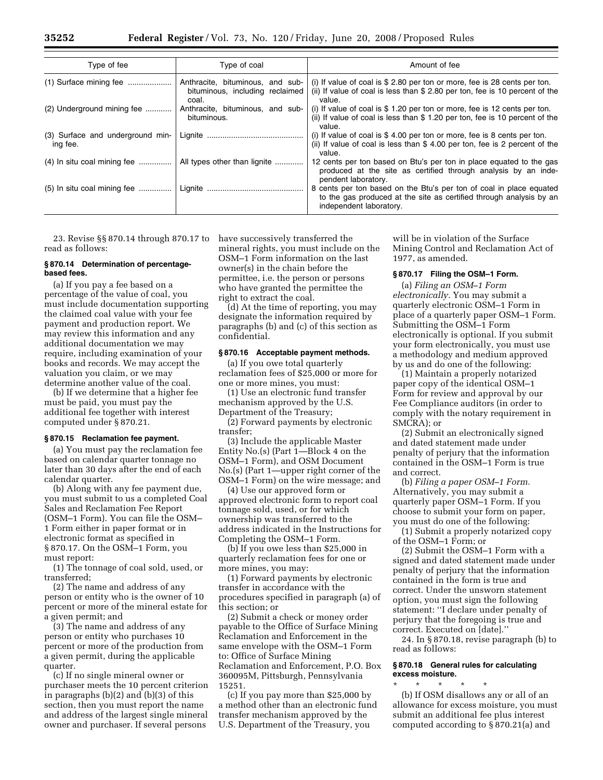| Type of fee                                  | Type of coal                                                                 | Amount of fee                                                                                                                                                         |
|----------------------------------------------|------------------------------------------------------------------------------|-----------------------------------------------------------------------------------------------------------------------------------------------------------------------|
| $(1)$ Surface mining fee                     | Anthracite, bituminous, and sub-<br>bituminous, including reclaimed<br>coal. | (i) If value of coal is $$2.80$ per ton or more, fee is 28 cents per ton.<br>(ii) If value of coal is less than \$ 2.80 per ton, fee is 10 percent of the<br>value.   |
| (2) Underground mining fee                   | Anthracite, bituminous, and sub-<br>bituminous.                              | (i) If value of coal is $$ 1.20$ per ton or more, fee is 12 cents per ton.<br>(ii) If value of coal is less than \$ 1.20 per ton, fee is 10 percent of the<br>value.  |
| (3) Surface and underground min-<br>ing fee. |                                                                              | (i) If value of coal is $$4.00$ per ton or more, fee is 8 cents per ton.<br>(ii) If value of coal is less than \$4.00 per ton, fee is 2 percent of the<br>value.      |
| $(4)$ In situ coal mining fee                | All types other than lignite                                                 | 12 cents per ton based on Btu's per ton in place equated to the gas<br>produced at the site as certified through analysis by an inde-<br>pendent laboratory.          |
| $(5)$ In situ coal mining fee                |                                                                              | 8 cents per ton based on the Btu's per ton of coal in place equated<br>to the gas produced at the site as certified through analysis by an<br>independent laboratory. |

23. Revise §§ 870.14 through 870.17 to read as follows:

# **§ 870.14 Determination of percentagebased fees.**

(a) If you pay a fee based on a percentage of the value of coal, you must include documentation supporting the claimed coal value with your fee payment and production report. We may review this information and any additional documentation we may require, including examination of your books and records. We may accept the valuation you claim, or we may determine another value of the coal.

(b) If we determine that a higher fee must be paid, you must pay the additional fee together with interest computed under § 870.21.

#### **§ 870.15 Reclamation fee payment.**

(a) You must pay the reclamation fee based on calendar quarter tonnage no later than 30 days after the end of each calendar quarter.

(b) Along with any fee payment due, you must submit to us a completed Coal Sales and Reclamation Fee Report (OSM–1 Form). You can file the OSM– 1 Form either in paper format or in electronic format as specified in § 870.17. On the OSM–1 Form, you must report:

(1) The tonnage of coal sold, used, or transferred;

(2) The name and address of any person or entity who is the owner of 10 percent or more of the mineral estate for a given permit; and

(3) The name and address of any person or entity who purchases 10 percent or more of the production from a given permit, during the applicable quarter.

(c) If no single mineral owner or purchaser meets the 10 percent criterion in paragraphs (b)(2) and (b)(3) of this section, then you must report the name and address of the largest single mineral owner and purchaser. If several persons

have successively transferred the mineral rights, you must include on the OSM–1 Form information on the last owner(s) in the chain before the permittee, i.e. the person or persons who have granted the permittee the right to extract the coal.

(d) At the time of reporting, you may designate the information required by paragraphs (b) and (c) of this section as confidential.

#### **§ 870.16 Acceptable payment methods.**

(a) If you owe total quarterly reclamation fees of \$25,000 or more for one or more mines, you must:

(1) Use an electronic fund transfer mechanism approved by the U.S. Department of the Treasury;

(2) Forward payments by electronic transfer;

(3) Include the applicable Master Entity No.(s) (Part 1—Block 4 on the OSM–1 Form), and OSM Document No.(s) (Part 1—upper right corner of the OSM–1 Form) on the wire message; and

(4) Use our approved form or approved electronic form to report coal tonnage sold, used, or for which ownership was transferred to the address indicated in the Instructions for Completing the OSM–1 Form.

(b) If you owe less than \$25,000 in quarterly reclamation fees for one or more mines, you may:

(1) Forward payments by electronic transfer in accordance with the procedures specified in paragraph (a) of this section; or

(2) Submit a check or money order payable to the Office of Surface Mining Reclamation and Enforcement in the same envelope with the OSM–1 Form to: Office of Surface Mining Reclamation and Enforcement, P.O. Box 360095M, Pittsburgh, Pennsylvania 15251.

(c) If you pay more than \$25,000 by a method other than an electronic fund transfer mechanism approved by the U.S. Department of the Treasury, you

will be in violation of the Surface Mining Control and Reclamation Act of 1977, as amended.

# **§ 870.17 Filing the OSM–1 Form.**

(a) *Filing an OSM–1 Form electronically.* You may submit a quarterly electronic OSM–1 Form in place of a quarterly paper OSM–1 Form. Submitting the OSM–1 Form electronically is optional. If you submit your form electronically, you must use a methodology and medium approved by us and do one of the following:

(1) Maintain a properly notarized paper copy of the identical OSM–1 Form for review and approval by our Fee Compliance auditors (in order to comply with the notary requirement in SMCRA); or

(2) Submit an electronically signed and dated statement made under penalty of perjury that the information contained in the OSM–1 Form is true and correct.

(b) *Filing a paper OSM–1 Form.*  Alternatively, you may submit a quarterly paper OSM–1 Form. If you choose to submit your form on paper, you must do one of the following:

(1) Submit a properly notarized copy of the OSM–1 Form; or

(2) Submit the OSM–1 Form with a signed and dated statement made under penalty of perjury that the information contained in the form is true and correct. Under the unsworn statement option, you must sign the following statement: ''I declare under penalty of perjury that the foregoing is true and correct. Executed on [date].''

24. In § 870.18, revise paragraph (b) to read as follows:

# **§ 870.18 General rules for calculating excess moisture.**

\* \* \* \* \* (b) If OSM disallows any or all of an allowance for excess moisture, you must submit an additional fee plus interest computed according to § 870.21(a) and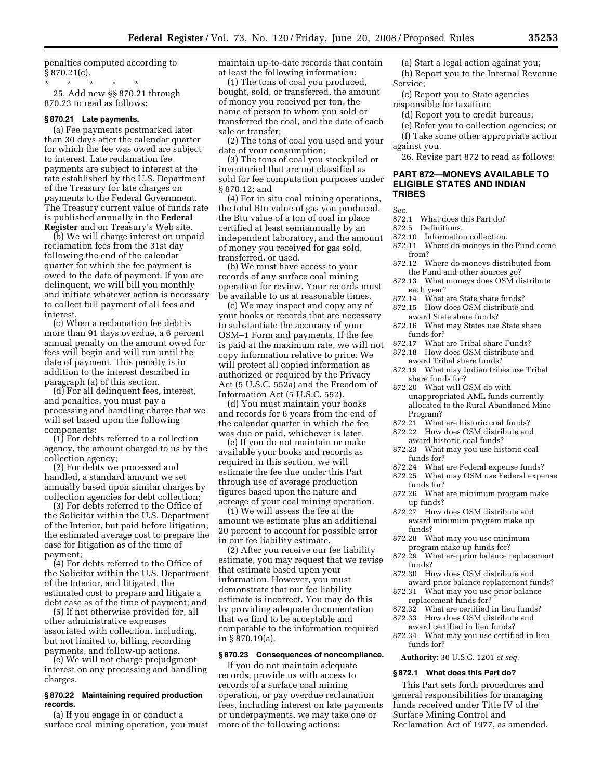penalties computed according to  $§ 870.21(c).$ 

\* \* \* \* \* 25. Add new §§ 870.21 through 870.23 to read as follows:

#### **§ 870.21 Late payments.**

(a) Fee payments postmarked later than 30 days after the calendar quarter for which the fee was owed are subject to interest. Late reclamation fee payments are subject to interest at the rate established by the U.S. Department of the Treasury for late charges on payments to the Federal Government. The Treasury current value of funds rate is published annually in the **Federal Register** and on Treasury's Web site.

(b) We will charge interest on unpaid reclamation fees from the 31st day following the end of the calendar quarter for which the fee payment is owed to the date of payment. If you are delinquent, we will bill you monthly and initiate whatever action is necessary to collect full payment of all fees and interest.

(c) When a reclamation fee debt is more than 91 days overdue, a 6 percent annual penalty on the amount owed for fees will begin and will run until the date of payment. This penalty is in addition to the interest described in paragraph (a) of this section.

(d) For all delinquent fees, interest, and penalties, you must pay a processing and handling charge that we will set based upon the following components:

(1) For debts referred to a collection agency, the amount charged to us by the collection agency;

(2) For debts we processed and handled, a standard amount we set annually based upon similar charges by collection agencies for debt collection;

(3) For debts referred to the Office of the Solicitor within the U.S. Department of the Interior, but paid before litigation, the estimated average cost to prepare the case for litigation as of the time of payment;

(4) For debts referred to the Office of the Solicitor within the U.S. Department of the Interior, and litigated, the estimated cost to prepare and litigate a debt case as of the time of payment; and

(5) If not otherwise provided for, all other administrative expenses associated with collection, including, but not limited to, billing, recording payments, and follow-up actions.

(e) We will not charge prejudgment interest on any processing and handling charges.

# **§ 870.22 Maintaining required production records.**

(a) If you engage in or conduct a surface coal mining operation, you must maintain up-to-date records that contain at least the following information:

(1) The tons of coal you produced, bought, sold, or transferred, the amount of money you received per ton, the name of person to whom you sold or transferred the coal, and the date of each sale or transfer;

(2) The tons of coal you used and your date of your consumption;

(3) The tons of coal you stockpiled or inventoried that are not classified as sold for fee computation purposes under § 870.12; and

(4) For in situ coal mining operations, the total Btu value of gas you produced, the Btu value of a ton of coal in place certified at least semiannually by an independent laboratory, and the amount of money you received for gas sold, transferred, or used.

(b) We must have access to your records of any surface coal mining operation for review. Your records must be available to us at reasonable times.

(c) We may inspect and copy any of your books or records that are necessary to substantiate the accuracy of your OSM–1 Form and payments. If the fee is paid at the maximum rate, we will not copy information relative to price. We will protect all copied information as authorized or required by the Privacy Act (5 U.S.C. 552a) and the Freedom of Information Act (5 U.S.C. 552).

(d) You must maintain your books and records for 6 years from the end of the calendar quarter in which the fee was due or paid, whichever is later.

(e) If you do not maintain or make available your books and records as required in this section, we will estimate the fee due under this Part through use of average production figures based upon the nature and acreage of your coal mining operation.

(1) We will assess the fee at the amount we estimate plus an additional 20 percent to account for possible error in our fee liability estimate.

(2) After you receive our fee liability estimate, you may request that we revise that estimate based upon your information. However, you must demonstrate that our fee liability estimate is incorrect. You may do this by providing adequate documentation that we find to be acceptable and comparable to the information required in § 870.19(a).

# **§ 870.23 Consequences of noncompliance.**

If you do not maintain adequate records, provide us with access to records of a surface coal mining operation, or pay overdue reclamation fees, including interest on late payments or underpayments, we may take one or more of the following actions:

(a) Start a legal action against you; (b) Report you to the Internal Revenue Service;

(c) Report you to State agencies responsible for taxation;

- (d) Report you to credit bureaus;
- (e) Refer you to collection agencies; or

(f) Take some other appropriate action against you.

26. Revise part 872 to read as follows:

# **PART 872—MONEYS AVAILABLE TO ELIGIBLE STATES AND INDIAN TRIBES**

- Sec.<br>872.1 What does this Part do?
- 872.5 Definitions.
- 872.10 Information collection.
	- 872.11 Where do moneys in the Fund come from?
	- 872.12 Where do moneys distributed from the Fund and other sources go?
	- 872.13 What moneys does OSM distribute each year?
	- 872.14 What are State share funds?
	- 872.15 How does OSM distribute and award State share funds?
	- 872.16 What may States use State share funds for?
	- 872.17 What are Tribal share Funds?
	- 872.18 How does OSM distribute and
	- award Tribal share funds? 872.19 What may Indian tribes use Tribal
	- share funds for? 872.20 What will OSM do with unappropriated AML funds currently allocated to the Rural Abandoned Mine
	- Program?
	- 872.21 What are historic coal funds? 872.22 How does OSM distribute and
	- award historic coal funds?
	- 872.23 What may you use historic coal funds for?
	- 872.24 What are Federal expense funds?
	- 872.25 What may OSM use Federal expense funds for?
	- 872.26 What are minimum program make up funds?
	- 872.27 How does OSM distribute and award minimum program make up funds?
	- 872.28 What may you use minimum program make up funds for?
	- 872.29 What are prior balance replacement funds?
	- 872.30 How does OSM distribute and award prior balance replacement funds?
	- 872.31 What may you use prior balance replacement funds for?
	- 872.32 What are certified in lieu funds? 872.33 How does OSM distribute and
	- award certified in lieu funds?
	- 872.34 What may you use certified in lieu funds for?

**Authority:** 30 U.S.C. 1201 *et seq.* 

# **§ 872.1 What does this Part do?**

This Part sets forth procedures and general responsibilities for managing funds received under Title IV of the Surface Mining Control and Reclamation Act of 1977, as amended.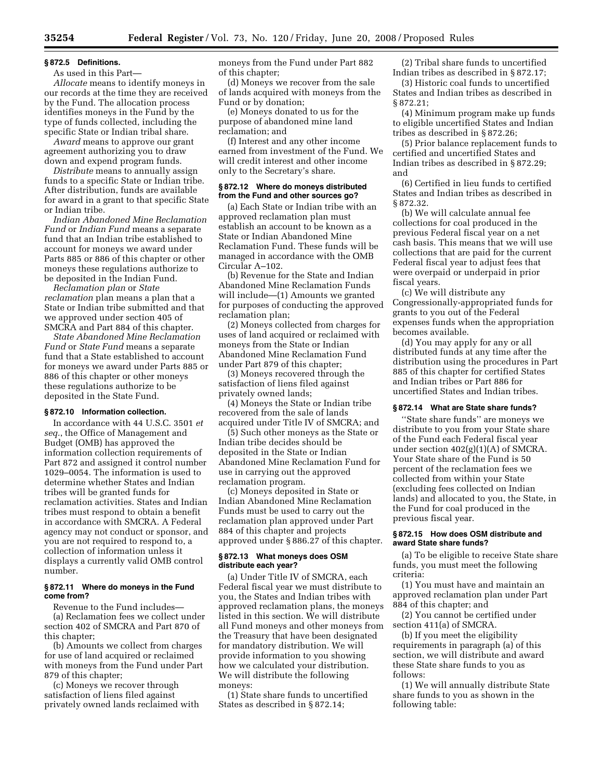# **§ 872.5 Definitions.**

As used in this Part—

*Allocate* means to identify moneys in our records at the time they are received by the Fund. The allocation process identifies moneys in the Fund by the type of funds collected, including the specific State or Indian tribal share.

*Award* means to approve our grant agreement authorizing you to draw down and expend program funds.

*Distribute* means to annually assign funds to a specific State or Indian tribe. After distribution, funds are available for award in a grant to that specific State or Indian tribe.

*Indian Abandoned Mine Reclamation Fund* or *Indian Fund* means a separate fund that an Indian tribe established to account for moneys we award under Parts 885 or 886 of this chapter or other moneys these regulations authorize to be deposited in the Indian Fund.

*Reclamation plan* or *State reclamation* plan means a plan that a State or Indian tribe submitted and that we approved under section 405 of SMCRA and Part 884 of this chapter.

*State Abandoned Mine Reclamation Fund* or *State Fund* means a separate fund that a State established to account for moneys we award under Parts 885 or 886 of this chapter or other moneys these regulations authorize to be deposited in the State Fund.

#### **§ 872.10 Information collection.**

In accordance with 44 U.S.C. 3501 *et seq.*, the Office of Management and Budget (OMB) has approved the information collection requirements of Part 872 and assigned it control number 1029–0054. The information is used to determine whether States and Indian tribes will be granted funds for reclamation activities. States and Indian tribes must respond to obtain a benefit in accordance with SMCRA. A Federal agency may not conduct or sponsor, and you are not required to respond to, a collection of information unless it displays a currently valid OMB control number.

#### **§ 872.11 Where do moneys in the Fund come from?**

Revenue to the Fund includes— (a) Reclamation fees we collect under section 402 of SMCRA and Part 870 of this chapter;

(b) Amounts we collect from charges for use of land acquired or reclaimed with moneys from the Fund under Part 879 of this chapter;

(c) Moneys we recover through satisfaction of liens filed against privately owned lands reclaimed with moneys from the Fund under Part 882 of this chapter;

(d) Moneys we recover from the sale of lands acquired with moneys from the Fund or by donation;

(e) Moneys donated to us for the purpose of abandoned mine land reclamation; and

(f) Interest and any other income earned from investment of the Fund. We will credit interest and other income only to the Secretary's share.

# **§ 872.12 Where do moneys distributed from the Fund and other sources go?**

(a) Each State or Indian tribe with an approved reclamation plan must establish an account to be known as a State or Indian Abandoned Mine Reclamation Fund. These funds will be managed in accordance with the OMB Circular A–102.

(b) Revenue for the State and Indian Abandoned Mine Reclamation Funds will include—(1) Amounts we granted for purposes of conducting the approved reclamation plan;

(2) Moneys collected from charges for uses of land acquired or reclaimed with moneys from the State or Indian Abandoned Mine Reclamation Fund under Part 879 of this chapter;

(3) Moneys recovered through the satisfaction of liens filed against privately owned lands;

(4) Moneys the State or Indian tribe recovered from the sale of lands acquired under Title IV of SMCRA; and

(5) Such other moneys as the State or Indian tribe decides should be deposited in the State or Indian Abandoned Mine Reclamation Fund for use in carrying out the approved reclamation program.

(c) Moneys deposited in State or Indian Abandoned Mine Reclamation Funds must be used to carry out the reclamation plan approved under Part 884 of this chapter and projects approved under § 886.27 of this chapter.

# **§ 872.13 What moneys does OSM distribute each year?**

(a) Under Title IV of SMCRA, each Federal fiscal year we must distribute to you, the States and Indian tribes with approved reclamation plans, the moneys listed in this section. We will distribute all Fund moneys and other moneys from the Treasury that have been designated for mandatory distribution. We will provide information to you showing how we calculated your distribution. We will distribute the following moneys:

(1) State share funds to uncertified States as described in § 872.14;

(2) Tribal share funds to uncertified Indian tribes as described in § 872.17;

(3) Historic coal funds to uncertified States and Indian tribes as described in § 872.21;

(4) Minimum program make up funds to eligible uncertified States and Indian tribes as described in § 872.26;

(5) Prior balance replacement funds to certified and uncertified States and Indian tribes as described in § 872.29; and

(6) Certified in lieu funds to certified States and Indian tribes as described in § 872.32.

(b) We will calculate annual fee collections for coal produced in the previous Federal fiscal year on a net cash basis. This means that we will use collections that are paid for the current Federal fiscal year to adjust fees that were overpaid or underpaid in prior fiscal years.

(c) We will distribute any Congressionally-appropriated funds for grants to you out of the Federal expenses funds when the appropriation becomes available.

(d) You may apply for any or all distributed funds at any time after the distribution using the procedures in Part 885 of this chapter for certified States and Indian tribes or Part 886 for uncertified States and Indian tribes.

#### **§ 872.14 What are State share funds?**

''State share funds'' are moneys we distribute to you from your State share of the Fund each Federal fiscal year under section  $402(g)(1)(A)$  of SMCRA. Your State share of the Fund is 50 percent of the reclamation fees we collected from within your State (excluding fees collected on Indian lands) and allocated to you, the State, in the Fund for coal produced in the previous fiscal year.

# **§ 872.15 How does OSM distribute and award State share funds?**

(a) To be eligible to receive State share funds, you must meet the following criteria:

(1) You must have and maintain an approved reclamation plan under Part 884 of this chapter; and

(2) You cannot be certified under section 411(a) of SMCRA.

(b) If you meet the eligibility requirements in paragraph (a) of this section, we will distribute and award these State share funds to you as follows:

(1) We will annually distribute State share funds to you as shown in the following table: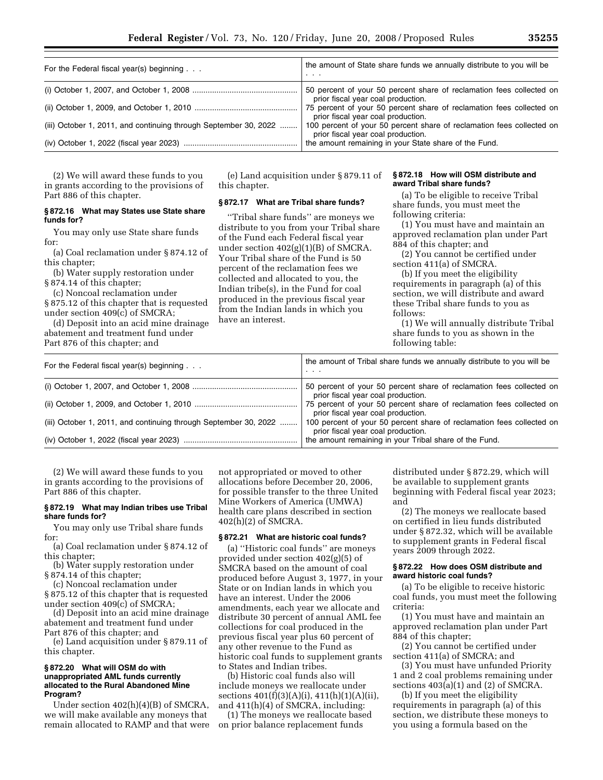| For the Federal fiscal year(s) beginning                         | the amount of State share funds we annually distribute to you will be<br>.                                  |
|------------------------------------------------------------------|-------------------------------------------------------------------------------------------------------------|
|                                                                  | 50 percent of your 50 percent share of reclamation fees collected on<br>prior fiscal year coal production.  |
|                                                                  | 75 percent of your 50 percent share of reclamation fees collected on<br>prior fiscal year coal production.  |
| (iii) October 1, 2011, and continuing through September 30, 2022 | 100 percent of your 50 percent share of reclamation fees collected on<br>prior fiscal year coal production. |
|                                                                  | the amount remaining in your State share of the Fund.                                                       |

(2) We will award these funds to you in grants according to the provisions of Part 886 of this chapter.

# **§ 872.16 What may States use State share funds for?**

You may only use State share funds for:

(a) Coal reclamation under § 874.12 of this chapter;

(b) Water supply restoration under § 874.14 of this chapter;

(c) Noncoal reclamation under § 875.12 of this chapter that is requested under section 409(c) of SMCRA;

(d) Deposit into an acid mine drainage abatement and treatment fund under Part 876 of this chapter; and

(e) Land acquisition under § 879.11 of this chapter.

# **§ 872.17 What are Tribal share funds?**

''Tribal share funds'' are moneys we distribute to you from your Tribal share of the Fund each Federal fiscal year under section 402(g)(1)(B) of SMCRA. Your Tribal share of the Fund is 50 percent of the reclamation fees we collected and allocated to you, the Indian tribe(s), in the Fund for coal produced in the previous fiscal year from the Indian lands in which you have an interest.

#### **§ 872.18 How will OSM distribute and award Tribal share funds?**

(a) To be eligible to receive Tribal share funds, you must meet the following criteria:

(1) You must have and maintain an approved reclamation plan under Part 884 of this chapter; and

(2) You cannot be certified under section 411(a) of SMCRA.

(b) If you meet the eligibility requirements in paragraph (a) of this section, we will distribute and award these Tribal share funds to you as follows:

(1) We will annually distribute Tribal share funds to you as shown in the following table:

| For the Federal fiscal year(s) beginning $\ldots$                | the amount of Tribal share funds we annually distribute to you will be<br>.                                 |
|------------------------------------------------------------------|-------------------------------------------------------------------------------------------------------------|
|                                                                  | 50 percent of your 50 percent share of reclamation fees collected on<br>prior fiscal year coal production.  |
|                                                                  | 75 percent of your 50 percent share of reclamation fees collected on<br>prior fiscal year coal production.  |
| (iii) October 1, 2011, and continuing through September 30, 2022 | 100 percent of your 50 percent share of reclamation fees collected on<br>prior fiscal year coal production. |
|                                                                  | the amount remaining in your Tribal share of the Fund.                                                      |

(2) We will award these funds to you in grants according to the provisions of Part 886 of this chapter.

# **§ 872.19 What may Indian tribes use Tribal share funds for?**

You may only use Tribal share funds for:

(a) Coal reclamation under § 874.12 of this chapter;

(b) Water supply restoration under § 874.14 of this chapter;

(c) Noncoal reclamation under

§ 875.12 of this chapter that is requested under section 409(c) of SMCRA;

(d) Deposit into an acid mine drainage abatement and treatment fund under Part 876 of this chapter; and

(e) Land acquisition under § 879.11 of this chapter.

# **§ 872.20 What will OSM do with unappropriated AML funds currently allocated to the Rural Abandoned Mine Program?**

Under section 402(h)(4)(B) of SMCRA, we will make available any moneys that remain allocated to RAMP and that were

not appropriated or moved to other allocations before December 20, 2006, for possible transfer to the three United Mine Workers of America (UMWA) health care plans described in section 402(h)(2) of SMCRA.

# **§ 872.21 What are historic coal funds?**

(a) ''Historic coal funds'' are moneys provided under section 402(g)(5) of SMCRA based on the amount of coal produced before August 3, 1977, in your State or on Indian lands in which you have an interest. Under the 2006 amendments, each year we allocate and distribute 30 percent of annual AML fee collections for coal produced in the previous fiscal year plus 60 percent of any other revenue to the Fund as historic coal funds to supplement grants to States and Indian tribes.

(b) Historic coal funds also will include moneys we reallocate under sections 401(f)(3)(A)(i), 411(h)(1)(A)(ii), and 411(h)(4) of SMCRA, including:

(1) The moneys we reallocate based on prior balance replacement funds

distributed under § 872.29, which will be available to supplement grants beginning with Federal fiscal year 2023; and

(2) The moneys we reallocate based on certified in lieu funds distributed under § 872.32, which will be available to supplement grants in Federal fiscal years 2009 through 2022.

# **§ 872.22 How does OSM distribute and award historic coal funds?**

(a) To be eligible to receive historic coal funds, you must meet the following criteria:

(1) You must have and maintain an approved reclamation plan under Part 884 of this chapter;

(2) You cannot be certified under section 411(a) of SMCRA; and

(3) You must have unfunded Priority 1 and 2 coal problems remaining under sections 403(a)(1) and (2) of SMCRA.

(b) If you meet the eligibility requirements in paragraph (a) of this section, we distribute these moneys to you using a formula based on the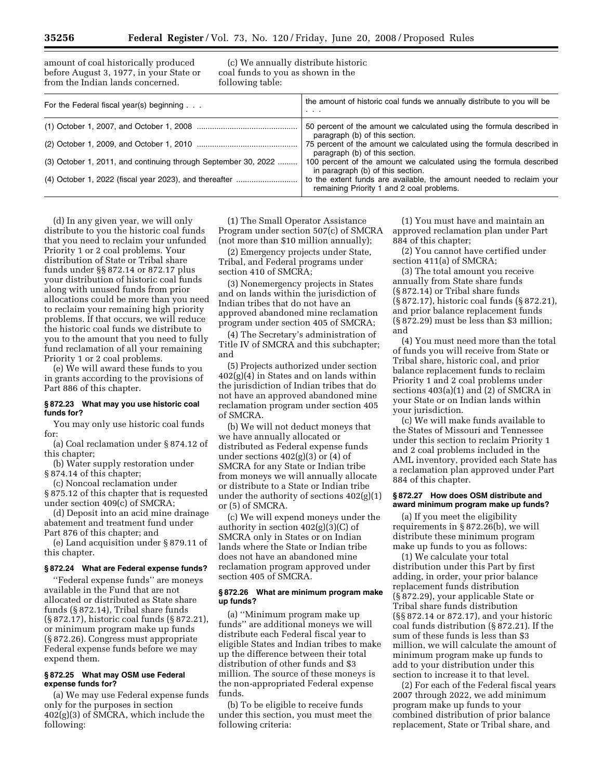amount of coal historically produced before August 3, 1977, in your State or from the Indian lands concerned.

(c) We annually distribute historic coal funds to you as shown in the following table:

| For the Federal fiscal year(s) beginning                       | the amount of historic coal funds we annually distribute to you will be<br>$\cdot$ $\cdot$ $\cdot$                |
|----------------------------------------------------------------|-------------------------------------------------------------------------------------------------------------------|
|                                                                | 50 percent of the amount we calculated using the formula described in<br>paragraph (b) of this section.           |
|                                                                | 75 percent of the amount we calculated using the formula described in<br>paragraph (b) of this section.           |
| (3) October 1, 2011, and continuing through September 30, 2022 | 100 percent of the amount we calculated using the formula described<br>in paragraph (b) of this section.          |
|                                                                | to the extent funds are available, the amount needed to reclaim your<br>remaining Priority 1 and 2 coal problems. |

(d) In any given year, we will only distribute to you the historic coal funds that you need to reclaim your unfunded Priority 1 or 2 coal problems. Your distribution of State or Tribal share funds under §§ 872.14 or 872.17 plus your distribution of historic coal funds along with unused funds from prior allocations could be more than you need to reclaim your remaining high priority problems. If that occurs, we will reduce the historic coal funds we distribute to you to the amount that you need to fully fund reclamation of all your remaining Priority 1 or 2 coal problems.

(e) We will award these funds to you in grants according to the provisions of Part 886 of this chapter.

# **§ 872.23 What may you use historic coal funds for?**

You may only use historic coal funds for:

(a) Coal reclamation under § 874.12 of this chapter;

(b) Water supply restoration under § 874.14 of this chapter;

(c) Noncoal reclamation under § 875.12 of this chapter that is requested under section 409(c) of SMCRA;

(d) Deposit into an acid mine drainage abatement and treatment fund under Part 876 of this chapter; and

(e) Land acquisition under § 879.11 of this chapter.

#### **§ 872.24 What are Federal expense funds?**

''Federal expense funds'' are moneys available in the Fund that are not allocated or distributed as State share funds (§ 872.14), Tribal share funds (§ 872.17), historic coal funds (§ 872.21), or minimum program make up funds (§ 872.26). Congress must appropriate Federal expense funds before we may expend them.

# **§ 872.25 What may OSM use Federal expense funds for?**

(a) We may use Federal expense funds only for the purposes in section 402(g)(3) of SMCRA, which include the following:

(1) The Small Operator Assistance Program under section 507(c) of SMCRA (not more than \$10 million annually);

(2) Emergency projects under State, Tribal, and Federal programs under section 410 of SMCRA;

(3) Nonemergency projects in States and on lands within the jurisdiction of Indian tribes that do not have an approved abandoned mine reclamation program under section 405 of SMCRA;

(4) The Secretary's administration of Title IV of SMCRA and this subchapter; and

(5) Projects authorized under section 402(g)(4) in States and on lands within the jurisdiction of Indian tribes that do not have an approved abandoned mine reclamation program under section 405 of SMCRA.

(b) We will not deduct moneys that we have annually allocated or distributed as Federal expense funds under sections  $402(g)(3)$  or  $(4)$  of SMCRA for any State or Indian tribe from moneys we will annually allocate or distribute to a State or Indian tribe under the authority of sections 402(g)(1) or (5) of SMCRA.

(c) We will expend moneys under the authority in section  $402(g)(3)(C)$  of SMCRA only in States or on Indian lands where the State or Indian tribe does not have an abandoned mine reclamation program approved under section 405 of SMCRA.

#### **§ 872.26 What are minimum program make up funds?**

(a) ''Minimum program make up funds'' are additional moneys we will distribute each Federal fiscal year to eligible States and Indian tribes to make up the difference between their total distribution of other funds and \$3 million. The source of these moneys is the non-appropriated Federal expense funds.

(b) To be eligible to receive funds under this section, you must meet the following criteria:

(1) You must have and maintain an approved reclamation plan under Part 884 of this chapter;

(2) You cannot have certified under section 411(a) of SMCRA;

(3) The total amount you receive annually from State share funds (§ 872.14) or Tribal share funds (§ 872.17), historic coal funds (§ 872.21), and prior balance replacement funds (§ 872.29) must be less than \$3 million; and

(4) You must need more than the total of funds you will receive from State or Tribal share, historic coal, and prior balance replacement funds to reclaim Priority 1 and 2 coal problems under sections 403(a)(1) and (2) of SMCRA in your State or on Indian lands within your jurisdiction.

(c) We will make funds available to the States of Missouri and Tennessee under this section to reclaim Priority 1 and 2 coal problems included in the AML inventory, provided each State has a reclamation plan approved under Part 884 of this chapter.

#### **§ 872.27 How does OSM distribute and award minimum program make up funds?**

(a) If you meet the eligibility requirements in § 872.26(b), we will distribute these minimum program make up funds to you as follows:

(1) We calculate your total distribution under this Part by first adding, in order, your prior balance replacement funds distribution (§ 872.29), your applicable State or Tribal share funds distribution (§§ 872.14 or 872.17), and your historic coal funds distribution (§ 872.21). If the sum of these funds is less than \$3 million, we will calculate the amount of minimum program make up funds to add to your distribution under this section to increase it to that level.

(2) For each of the Federal fiscal years 2007 through 2022, we add minimum program make up funds to your combined distribution of prior balance replacement, State or Tribal share, and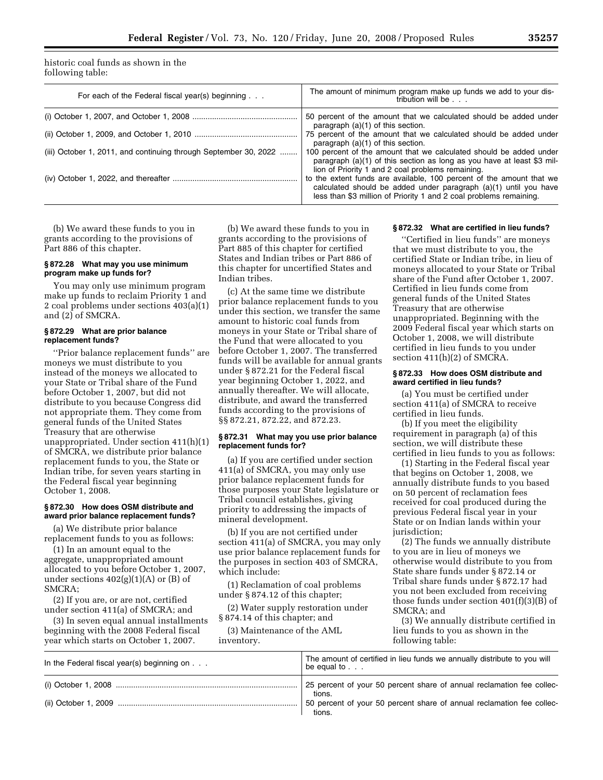historic coal funds as shown in the following table:

| For each of the Federal fiscal year(s) beginning $\ldots$        | The amount of minimum program make up funds we add to your dis-<br>tribution will be                                                                                                                           |
|------------------------------------------------------------------|----------------------------------------------------------------------------------------------------------------------------------------------------------------------------------------------------------------|
|                                                                  | 50 percent of the amount that we calculated should be added under<br>paragraph $(a)(1)$ of this section.                                                                                                       |
|                                                                  | 75 percent of the amount that we calculated should be added under<br>paragraph (a)(1) of this section.                                                                                                         |
| (iii) October 1, 2011, and continuing through September 30, 2022 | 100 percent of the amount that we calculated should be added under<br>paragraph (a)(1) of this section as long as you have at least \$3 mil-<br>lion of Priority 1 and 2 coal problems remaining.              |
|                                                                  | to the extent funds are available, 100 percent of the amount that we<br>calculated should be added under paragraph (a)(1) until you have<br>less than \$3 million of Priority 1 and 2 coal problems remaining. |

(b) We award these funds to you in grants according to the provisions of Part 886 of this chapter.

# **§ 872.28 What may you use minimum program make up funds for?**

You may only use minimum program make up funds to reclaim Priority 1 and 2 coal problems under sections 403(a)(1) and (2) of SMCRA.

# **§ 872.29 What are prior balance replacement funds?**

''Prior balance replacement funds'' are moneys we must distribute to you instead of the moneys we allocated to your State or Tribal share of the Fund before October 1, 2007, but did not distribute to you because Congress did not appropriate them. They come from general funds of the United States Treasury that are otherwise unappropriated. Under section 411(h)(1) of SMCRA, we distribute prior balance replacement funds to you, the State or Indian tribe, for seven years starting in the Federal fiscal year beginning October 1, 2008.

# **§ 872.30 How does OSM distribute and award prior balance replacement funds?**

(a) We distribute prior balance replacement funds to you as follows:

(1) In an amount equal to the aggregate, unappropriated amount allocated to you before October 1, 2007, under sections  $402(g)(1)(A)$  or  $(B)$  of SMCRA;

(2) If you are, or are not, certified under section 411(a) of SMCRA; and

(3) In seven equal annual installments beginning with the 2008 Federal fiscal year which starts on October 1, 2007.

(b) We award these funds to you in grants according to the provisions of Part 885 of this chapter for certified States and Indian tribes or Part 886 of this chapter for uncertified States and Indian tribes.

(c) At the same time we distribute prior balance replacement funds to you under this section, we transfer the same amount to historic coal funds from moneys in your State or Tribal share of the Fund that were allocated to you before October 1, 2007. The transferred funds will be available for annual grants under § 872.21 for the Federal fiscal year beginning October 1, 2022, and annually thereafter. We will allocate, distribute, and award the transferred funds according to the provisions of §§ 872.21, 872.22, and 872.23.

# **§ 872.31 What may you use prior balance replacement funds for?**

(a) If you are certified under section 411(a) of SMCRA, you may only use prior balance replacement funds for those purposes your State legislature or Tribal council establishes, giving priority to addressing the impacts of mineral development.

(b) If you are not certified under section 411(a) of SMCRA, you may only use prior balance replacement funds for the purposes in section 403 of SMCRA, which include:

(1) Reclamation of coal problems under § 874.12 of this chapter;

(2) Water supply restoration under § 874.14 of this chapter; and

(3) Maintenance of the AML inventory.

# **§ 872.32 What are certified in lieu funds?**

''Certified in lieu funds'' are moneys that we must distribute to you, the certified State or Indian tribe, in lieu of moneys allocated to your State or Tribal share of the Fund after October 1, 2007. Certified in lieu funds come from general funds of the United States Treasury that are otherwise unappropriated. Beginning with the 2009 Federal fiscal year which starts on October 1, 2008, we will distribute certified in lieu funds to you under section 411(h)(2) of SMCRA.

#### **§ 872.33 How does OSM distribute and award certified in lieu funds?**

(a) You must be certified under section 411(a) of SMCRA to receive certified in lieu funds.

(b) If you meet the eligibility requirement in paragraph (a) of this section, we will distribute these certified in lieu funds to you as follows:

(1) Starting in the Federal fiscal year that begins on October 1, 2008, we annually distribute funds to you based on 50 percent of reclamation fees received for coal produced during the previous Federal fiscal year in your State or on Indian lands within your jurisdiction;

(2) The funds we annually distribute to you are in lieu of moneys we otherwise would distribute to you from State share funds under § 872.14 or Tribal share funds under § 872.17 had you not been excluded from receiving those funds under section 401(f)(3)(B) of SMCRA; and

(3) We annually distribute certified in lieu funds to you as shown in the following table:

| In the Federal fiscal year(s) beginning on $\ldots$ | The amount of certified in lieu funds we annually distribute to you will<br>be equal to $\ldots$ |
|-----------------------------------------------------|--------------------------------------------------------------------------------------------------|
|                                                     | 25 percent of your 50 percent share of annual reclamation fee collec-<br>tions.                  |
|                                                     | 50 percent of your 50 percent share of annual reclamation fee collec-<br>tions.                  |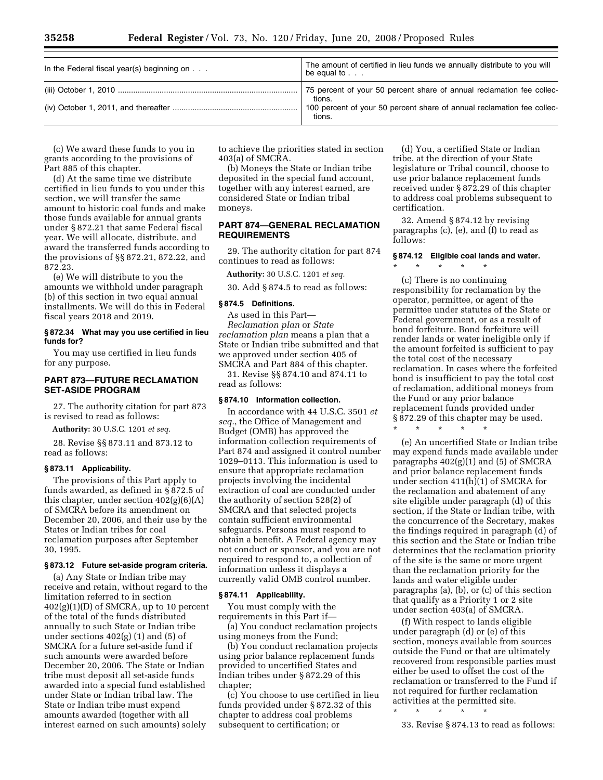| In the Federal fiscal year(s) beginning on $\ldots$ | The amount of certified in lieu funds we annually distribute to you will<br>be equal to $\ldots$ |
|-----------------------------------------------------|--------------------------------------------------------------------------------------------------|
|                                                     | 75 percent of your 50 percent share of annual reclamation fee collec-<br>tions.                  |
|                                                     | 100 percent of your 50 percent share of annual reclamation fee collec-<br>tions.                 |

(c) We award these funds to you in grants according to the provisions of Part 885 of this chapter.

(d) At the same time we distribute certified in lieu funds to you under this section, we will transfer the same amount to historic coal funds and make those funds available for annual grants under § 872.21 that same Federal fiscal year. We will allocate, distribute, and award the transferred funds according to the provisions of §§ 872.21, 872.22, and 872.23.

(e) We will distribute to you the amounts we withhold under paragraph (b) of this section in two equal annual installments. We will do this in Federal fiscal years 2018 and 2019.

#### **§ 872.34 What may you use certified in lieu funds for?**

You may use certified in lieu funds for any purpose.

# **PART 873—FUTURE RECLAMATION SET-ASIDE PROGRAM**

27. The authority citation for part 873 is revised to read as follows:

**Authority:** 30 U.S.C. 1201 *et seq.* 

28. Revise §§ 873.11 and 873.12 to read as follows:

# **§ 873.11 Applicability.**

The provisions of this Part apply to funds awarded, as defined in § 872.5 of this chapter, under section 402(g)(6)(A) of SMCRA before its amendment on December 20, 2006, and their use by the States or Indian tribes for coal reclamation purposes after September 30, 1995.

#### **§ 873.12 Future set-aside program criteria.**

(a) Any State or Indian tribe may receive and retain, without regard to the limitation referred to in section 402(g)(1)(D) of SMCRA, up to 10 percent of the total of the funds distributed annually to such State or Indian tribe under sections  $402(g)(1)$  and  $(5)$  of SMCRA for a future set-aside fund if such amounts were awarded before December 20, 2006. The State or Indian tribe must deposit all set-aside funds awarded into a special fund established under State or Indian tribal law. The State or Indian tribe must expend amounts awarded (together with all interest earned on such amounts) solely

to achieve the priorities stated in section 403(a) of SMCRA.

(b) Moneys the State or Indian tribe deposited in the special fund account, together with any interest earned, are considered State or Indian tribal moneys.

# **PART 874—GENERAL RECLAMATION REQUIREMENTS**

29. The authority citation for part 874 continues to read as follows:

**Authority:** 30 U.S.C. 1201 *et seq.* 

30. Add § 874.5 to read as follows:

# **§ 874.5 Definitions.**

As used in this Part—

*Reclamation plan* or *State reclamation plan* means a plan that a State or Indian tribe submitted and that we approved under section 405 of SMCRA and Part 884 of this chapter.

31. Revise §§ 874.10 and 874.11 to read as follows:

#### **§ 874.10 Information collection.**

In accordance with 44 U.S.C. 3501 *et seq.*, the Office of Management and Budget (OMB) has approved the information collection requirements of Part 874 and assigned it control number 1029–0113. This information is used to ensure that appropriate reclamation projects involving the incidental extraction of coal are conducted under the authority of section 528(2) of SMCRA and that selected projects contain sufficient environmental safeguards. Persons must respond to obtain a benefit. A Federal agency may not conduct or sponsor, and you are not required to respond to, a collection of information unless it displays a currently valid OMB control number.

#### **§ 874.11 Applicability.**

You must comply with the requirements in this Part if—

(a) You conduct reclamation projects using moneys from the Fund;

(b) You conduct reclamation projects using prior balance replacement funds provided to uncertified States and Indian tribes under § 872.29 of this chapter;

(c) You choose to use certified in lieu funds provided under § 872.32 of this chapter to address coal problems subsequent to certification; or

(d) You, a certified State or Indian tribe, at the direction of your State legislature or Tribal council, choose to use prior balance replacement funds received under § 872.29 of this chapter to address coal problems subsequent to certification.

32. Amend § 874.12 by revising paragraphs (c), (e), and (f) to read as follows:

#### **§ 874.12 Eligible coal lands and water.**

\* \* \* \* \* (c) There is no continuing responsibility for reclamation by the operator, permittee, or agent of the permittee under statutes of the State or Federal government, or as a result of bond forfeiture. Bond forfeiture will render lands or water ineligible only if the amount forfeited is sufficient to pay the total cost of the necessary reclamation. In cases where the forfeited bond is insufficient to pay the total cost of reclamation, additional moneys from the Fund or any prior balance

replacement funds provided under § 872.29 of this chapter may be used. \* \* \* \* \*

(e) An uncertified State or Indian tribe may expend funds made available under paragraphs 402(g)(1) and (5) of SMCRA and prior balance replacement funds under section 411(h)(1) of SMCRA for the reclamation and abatement of any site eligible under paragraph (d) of this section, if the State or Indian tribe, with the concurrence of the Secretary, makes the findings required in paragraph (d) of this section and the State or Indian tribe determines that the reclamation priority of the site is the same or more urgent than the reclamation priority for the lands and water eligible under paragraphs (a), (b), or (c) of this section that qualify as a Priority 1 or 2 site under section 403(a) of SMCRA.

(f) With respect to lands eligible under paragraph (d) or (e) of this section, moneys available from sources outside the Fund or that are ultimately recovered from responsible parties must either be used to offset the cost of the reclamation or transferred to the Fund if not required for further reclamation activities at the permitted site.

\* \* \* \* \*

33. Revise § 874.13 to read as follows: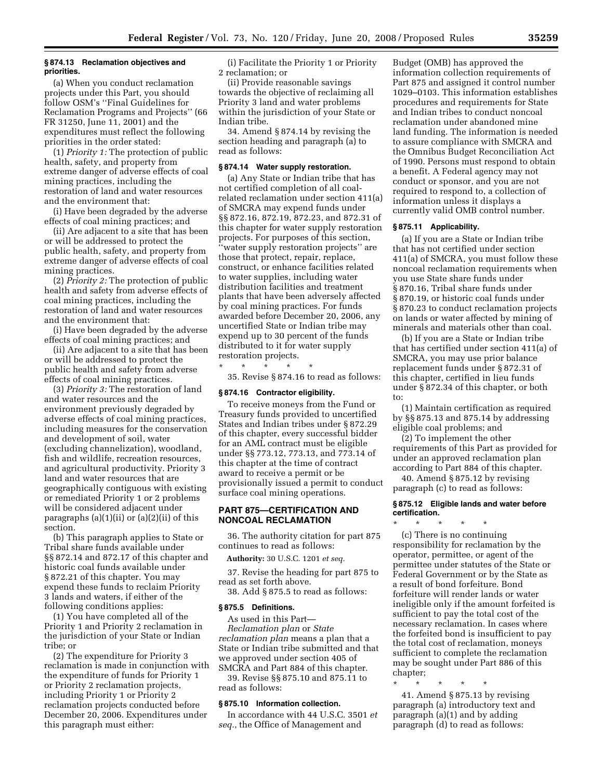# **§ 874.13 Reclamation objectives and priorities.**

(a) When you conduct reclamation projects under this Part, you should follow OSM's ''Final Guidelines for Reclamation Programs and Projects'' (66 FR 31250, June 11, 2001) and the expenditures must reflect the following priorities in the order stated:

(1) *Priority 1:* The protection of public health, safety, and property from extreme danger of adverse effects of coal mining practices, including the restoration of land and water resources and the environment that:

(i) Have been degraded by the adverse effects of coal mining practices; and

(ii) Are adjacent to a site that has been or will be addressed to protect the public health, safety, and property from extreme danger of adverse effects of coal mining practices.

(2) *Priority 2:* The protection of public health and safety from adverse effects of coal mining practices, including the restoration of land and water resources and the environment that:

(i) Have been degraded by the adverse effects of coal mining practices; and

(ii) Are adjacent to a site that has been or will be addressed to protect the public health and safety from adverse effects of coal mining practices.

(3) *Priority 3:* The restoration of land and water resources and the environment previously degraded by adverse effects of coal mining practices, including measures for the conservation and development of soil, water (excluding channelization), woodland, fish and wildlife, recreation resources, and agricultural productivity. Priority 3 land and water resources that are geographically contiguous with existing or remediated Priority 1 or 2 problems will be considered adjacent under paragraphs  $(a)(1)(ii)$  or  $(a)(2)(ii)$  of this section.

(b) This paragraph applies to State or Tribal share funds available under §§ 872.14 and 872.17 of this chapter and historic coal funds available under § 872.21 of this chapter. You may expend these funds to reclaim Priority 3 lands and waters, if either of the following conditions applies:

(1) You have completed all of the Priority 1 and Priority 2 reclamation in the jurisdiction of your State or Indian tribe; or

(2) The expenditure for Priority 3 reclamation is made in conjunction with the expenditure of funds for Priority 1 or Priority 2 reclamation projects, including Priority 1 or Priority 2 reclamation projects conducted before December 20, 2006. Expenditures under this paragraph must either:

(i) Facilitate the Priority 1 or Priority 2 reclamation; or

(ii) Provide reasonable savings towards the objective of reclaiming all Priority 3 land and water problems within the jurisdiction of your State or Indian tribe.

34. Amend § 874.14 by revising the section heading and paragraph (a) to read as follows:

#### **§ 874.14 Water supply restoration.**

(a) Any State or Indian tribe that has not certified completion of all coalrelated reclamation under section 411(a) of SMCRA may expend funds under §§ 872.16, 872.19, 872.23, and 872.31 of this chapter for water supply restoration projects. For purposes of this section, ''water supply restoration projects'' are those that protect, repair, replace, construct, or enhance facilities related to water supplies, including water distribution facilities and treatment plants that have been adversely affected by coal mining practices. For funds awarded before December 20, 2006, any uncertified State or Indian tribe may expend up to 30 percent of the funds distributed to it for water supply restoration projects.

\* \* \* \* \* 35. Revise § 874.16 to read as follows:

#### **§ 874.16 Contractor eligibility.**

To receive moneys from the Fund or Treasury funds provided to uncertified States and Indian tribes under § 872.29 of this chapter, every successful bidder for an AML contract must be eligible under §§ 773.12, 773.13, and 773.14 of this chapter at the time of contract award to receive a permit or be provisionally issued a permit to conduct surface coal mining operations.

# **PART 875—CERTIFICATION AND NONCOAL RECLAMATION**

36. The authority citation for part 875 continues to read as follows:

**Authority:** 30 U.S.C. 1201 *et seq.* 

37. Revise the heading for part 875 to read as set forth above.

38. Add § 875.5 to read as follows:

# **§ 875.5 Definitions.**

As used in this Part— *Reclamation plan* or *State reclamation plan* means a plan that a State or Indian tribe submitted and that we approved under section 405 of SMCRA and Part 884 of this chapter.

39. Revise §§ 875.10 and 875.11 to read as follows:

# **§ 875.10 Information collection.**

In accordance with 44 U.S.C. 3501 *et seq.*, the Office of Management and

Budget (OMB) has approved the information collection requirements of Part 875 and assigned it control number 1029–0103. This information establishes procedures and requirements for State and Indian tribes to conduct noncoal reclamation under abandoned mine land funding. The information is needed to assure compliance with SMCRA and the Omnibus Budget Reconciliation Act of 1990. Persons must respond to obtain a benefit. A Federal agency may not conduct or sponsor, and you are not required to respond to, a collection of information unless it displays a currently valid OMB control number.

#### **§ 875.11 Applicability.**

(a) If you are a State or Indian tribe that has not certified under section 411(a) of SMCRA, you must follow these noncoal reclamation requirements when you use State share funds under § 870.16, Tribal share funds under § 870.19, or historic coal funds under § 870.23 to conduct reclamation projects on lands or water affected by mining of minerals and materials other than coal.

(b) If you are a State or Indian tribe that has certified under section 411(a) of SMCRA, you may use prior balance replacement funds under § 872.31 of this chapter, certified in lieu funds under § 872.34 of this chapter, or both to:

(1) Maintain certification as required by §§ 875.13 and 875.14 by addressing eligible coal problems; and

(2) To implement the other requirements of this Part as provided for under an approved reclamation plan according to Part 884 of this chapter.

40. Amend § 875.12 by revising paragraph (c) to read as follows:

# **§ 875.12 Eligible lands and water before certification.**

\* \* \* \* \* (c) There is no continuing responsibility for reclamation by the operator, permittee, or agent of the permittee under statutes of the State or Federal Government or by the State as a result of bond forfeiture. Bond forfeiture will render lands or water ineligible only if the amount forfeited is sufficient to pay the total cost of the necessary reclamation. In cases where the forfeited bond is insufficient to pay the total cost of reclamation, moneys sufficient to complete the reclamation may be sought under Part 886 of this chapter;

\* \* \* \* \*

41. Amend § 875.13 by revising paragraph (a) introductory text and paragraph (a)(1) and by adding paragraph (d) to read as follows: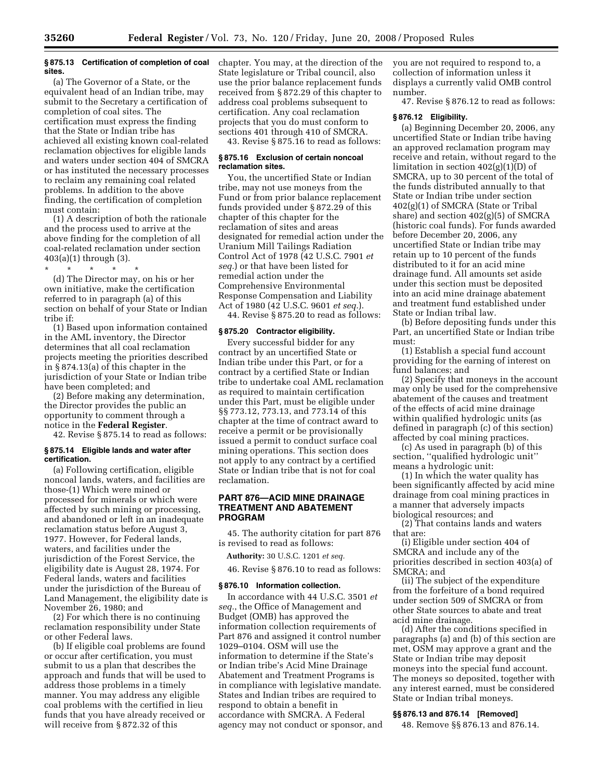# **§ 875.13 Certification of completion of coal sites.**

(a) The Governor of a State, or the equivalent head of an Indian tribe, may submit to the Secretary a certification of completion of coal sites. The certification must express the finding that the State or Indian tribe has achieved all existing known coal-related reclamation objectives for eligible lands and waters under section 404 of SMCRA or has instituted the necessary processes to reclaim any remaining coal related problems. In addition to the above finding, the certification of completion must contain:

(1) A description of both the rationale and the process used to arrive at the above finding for the completion of all coal-related reclamation under section 403(a)(1) through (3).

\* \* \* \* \*

(d) The Director may, on his or her own initiative, make the certification referred to in paragraph (a) of this section on behalf of your State or Indian tribe if:

(1) Based upon information contained in the AML inventory, the Director determines that all coal reclamation projects meeting the priorities described in § 874.13(a) of this chapter in the jurisdiction of your State or Indian tribe have been completed; and

(2) Before making any determination, the Director provides the public an opportunity to comment through a notice in the **Federal Register**.

42. Revise § 875.14 to read as follows:

# **§ 875.14 Eligible lands and water after certification.**

(a) Following certification, eligible noncoal lands, waters, and facilities are those-(1) Which were mined or processed for minerals or which were affected by such mining or processing, and abandoned or left in an inadequate reclamation status before August 3, 1977. However, for Federal lands, waters, and facilities under the jurisdiction of the Forest Service, the eligibility date is August 28, 1974. For Federal lands, waters and facilities under the jurisdiction of the Bureau of Land Management, the eligibility date is November 26, 1980; and

(2) For which there is no continuing reclamation responsibility under State or other Federal laws.

(b) If eligible coal problems are found or occur after certification, you must submit to us a plan that describes the approach and funds that will be used to address those problems in a timely manner. You may address any eligible coal problems with the certified in lieu funds that you have already received or will receive from § 872.32 of this

chapter. You may, at the direction of the State legislature or Tribal council, also use the prior balance replacement funds received from § 872.29 of this chapter to address coal problems subsequent to certification. Any coal reclamation projects that you do must conform to sections 401 through 410 of SMCRA.

43. Revise § 875.16 to read as follows:

#### **§ 875.16 Exclusion of certain noncoal reclamation sites.**

You, the uncertified State or Indian tribe, may not use moneys from the Fund or from prior balance replacement funds provided under § 872.29 of this chapter of this chapter for the reclamation of sites and areas designated for remedial action under the Uranium Mill Tailings Radiation Control Act of 1978 (42 U.S.C. 7901 *et seq.*) or that have been listed for remedial action under the Comprehensive Environmental Response Compensation and Liability Act of 1980 (42 U.S.C. 9601 *et seq.*). 44. Revise § 875.20 to read as follows:

# **§ 875.20 Contractor eligibility.**

Every successful bidder for any contract by an uncertified State or Indian tribe under this Part, or for a contract by a certified State or Indian tribe to undertake coal AML reclamation as required to maintain certification under this Part, must be eligible under §§ 773.12, 773.13, and 773.14 of this chapter at the time of contract award to receive a permit or be provisionally issued a permit to conduct surface coal mining operations. This section does not apply to any contract by a certified State or Indian tribe that is not for coal reclamation.

# **PART 876—ACID MINE DRAINAGE TREATMENT AND ABATEMENT PROGRAM**

45. The authority citation for part 876 is revised to read as follows:

**Authority:** 30 U.S.C. 1201 *et seq.* 

46. Revise § 876.10 to read as follows:

#### **§ 876.10 Information collection.**

In accordance with 44 U.S.C. 3501 *et seq.*, the Office of Management and Budget (OMB) has approved the information collection requirements of Part 876 and assigned it control number 1029–0104. OSM will use the information to determine if the State's or Indian tribe's Acid Mine Drainage Abatement and Treatment Programs is in compliance with legislative mandate. States and Indian tribes are required to respond to obtain a benefit in accordance with SMCRA. A Federal agency may not conduct or sponsor, and you are not required to respond to, a collection of information unless it displays a currently valid OMB control number.

47. Revise § 876.12 to read as follows:

# **§ 876.12 Eligibility.**

(a) Beginning December 20, 2006, any uncertified State or Indian tribe having an approved reclamation program may receive and retain, without regard to the limitation in section 402(g)(1)(D) of SMCRA, up to 30 percent of the total of the funds distributed annually to that State or Indian tribe under section 402(g)(1) of SMCRA (State or Tribal share) and section 402(g)(5) of SMCRA (historic coal funds). For funds awarded before December 20, 2006, any uncertified State or Indian tribe may retain up to 10 percent of the funds distributed to it for an acid mine drainage fund. All amounts set aside under this section must be deposited into an acid mine drainage abatement and treatment fund established under State or Indian tribal law.

(b) Before depositing funds under this Part, an uncertified State or Indian tribe must:

(1) Establish a special fund account providing for the earning of interest on fund balances; and

(2) Specify that moneys in the account may only be used for the comprehensive abatement of the causes and treatment of the effects of acid mine drainage within qualified hydrologic units (as defined in paragraph (c) of this section) affected by coal mining practices.

(c) As used in paragraph (b) of this section, ''qualified hydrologic unit'' means a hydrologic unit:

(1) In which the water quality has been significantly affected by acid mine drainage from coal mining practices in a manner that adversely impacts biological resources; and

(2) That contains lands and waters that are:

(i) Eligible under section 404 of SMCRA and include any of the priorities described in section 403(a) of SMCRA; and

(ii) The subject of the expenditure from the forfeiture of a bond required under section 509 of SMCRA or from other State sources to abate and treat acid mine drainage.

(d) After the conditions specified in paragraphs (a) and (b) of this section are met, OSM may approve a grant and the State or Indian tribe may deposit moneys into the special fund account. The moneys so deposited, together with any interest earned, must be considered State or Indian tribal moneys.

# **§§ 876.13 and 876.14 [Removed]**

48. Remove §§ 876.13 and 876.14.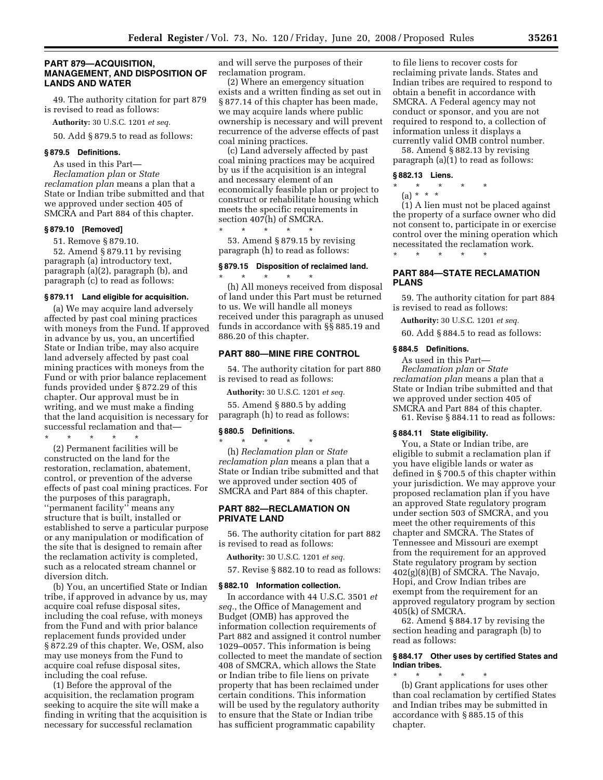# **PART 879—ACQUISITION, MANAGEMENT, AND DISPOSITION OF LANDS AND WATER**

49. The authority citation for part 879 is revised to read as follows:

**Authority:** 30 U.S.C. 1201 *et seq.* 

50. Add § 879.5 to read as follows:

#### **§ 879.5 Definitions.**

As used in this Part— *Reclamation plan* or *State reclamation plan* means a plan that a State or Indian tribe submitted and that we approved under section 405 of SMCRA and Part 884 of this chapter.

#### **§ 879.10 [Removed]**

51. Remove § 879.10.

52. Amend § 879.11 by revising paragraph (a) introductory text, paragraph (a)(2), paragraph (b), and paragraph (c) to read as follows:

#### **§ 879.11 Land eligible for acquisition.**

(a) We may acquire land adversely affected by past coal mining practices with moneys from the Fund. If approved in advance by us, you, an uncertified State or Indian tribe, may also acquire land adversely affected by past coal mining practices with moneys from the Fund or with prior balance replacement funds provided under § 872.29 of this chapter. Our approval must be in writing, and we must make a finding that the land acquisition is necessary for successful reclamation and that—

\* \* \* \* \* (2) Permanent facilities will be constructed on the land for the restoration, reclamation, abatement, control, or prevention of the adverse effects of past coal mining practices. For the purposes of this paragraph, ''permanent facility'' means any structure that is built, installed or established to serve a particular purpose or any manipulation or modification of the site that is designed to remain after the reclamation activity is completed, such as a relocated stream channel or diversion ditch.

(b) You, an uncertified State or Indian tribe, if approved in advance by us, may acquire coal refuse disposal sites, including the coal refuse, with moneys from the Fund and with prior balance replacement funds provided under § 872.29 of this chapter. We, OSM, also may use moneys from the Fund to acquire coal refuse disposal sites, including the coal refuse.

(1) Before the approval of the acquisition, the reclamation program seeking to acquire the site will make a finding in writing that the acquisition is necessary for successful reclamation

and will serve the purposes of their reclamation program.

(2) Where an emergency situation exists and a written finding as set out in § 877.14 of this chapter has been made, we may acquire lands where public ownership is necessary and will prevent recurrence of the adverse effects of past coal mining practices.

(c) Land adversely affected by past coal mining practices may be acquired by us if the acquisition is an integral and necessary element of an economically feasible plan or project to construct or rehabilitate housing which meets the specific requirements in section 407(h) of SMCRA. \* \* \* \* \*

53. Amend § 879.15 by revising paragraph (h) to read as follows:

# **§ 879.15 Disposition of reclaimed land.**

\* \* \* \* \* (h) All moneys received from disposal of land under this Part must be returned to us. We will handle all moneys received under this paragraph as unused funds in accordance with §§ 885.19 and 886.20 of this chapter.

#### **PART 880—MINE FIRE CONTROL**

54. The authority citation for part 880 is revised to read as follows:

**Authority:** 30 U.S.C. 1201 *et seq.* 

55. Amend § 880.5 by adding paragraph (h) to read as follows:

#### **§ 880.5 Definitions.**

\* \* \* \* \* (h) *Reclamation plan* or *State reclamation plan* means a plan that a State or Indian tribe submitted and that we approved under section 405 of SMCRA and Part 884 of this chapter.

# **PART 882—RECLAMATION ON PRIVATE LAND**

56. The authority citation for part 882 is revised to read as follows:

**Authority:** 30 U.S.C. 1201 *et seq.* 

57. Revise § 882.10 to read as follows:

# **§ 882.10 Information collection.**

In accordance with 44 U.S.C. 3501 *et seq.*, the Office of Management and Budget (OMB) has approved the information collection requirements of Part 882 and assigned it control number 1029–0057. This information is being collected to meet the mandate of section 408 of SMCRA, which allows the State or Indian tribe to file liens on private property that has been reclaimed under certain conditions. This information will be used by the regulatory authority to ensure that the State or Indian tribe has sufficient programmatic capability

to file liens to recover costs for reclaiming private lands. States and Indian tribes are required to respond to obtain a benefit in accordance with SMCRA. A Federal agency may not conduct or sponsor, and you are not required to respond to, a collection of information unless it displays a currently valid OMB control number.

58. Amend § 882.13 by revising paragraph (a)(1) to read as follows:

#### **§ 882.13 Liens.**

- \* \* \* \* \*
	- (a) \* \* \*

(1) A lien must not be placed against the property of a surface owner who did not consent to, participate in or exercise control over the mining operation which necessitated the reclamation work.

# **PART 884—STATE RECLAMATION PLANS**

59. The authority citation for part 884 is revised to read as follows:

**Authority:** 30 U.S.C. 1201 *et seq.* 

60. Add § 884.5 to read as follows:

#### **§ 884.5 Definitions.**

\* \* \* \* \*

As used in this Part— *Reclamation plan* or *State reclamation plan* means a plan that a State or Indian tribe submitted and that we approved under section 405 of SMCRA and Part 884 of this chapter. 61. Revise § 884.11 to read as follows:

#### **§ 884.11 State eligibility.**

You, a State or Indian tribe, are eligible to submit a reclamation plan if you have eligible lands or water as defined in § 700.5 of this chapter within your jurisdiction. We may approve your proposed reclamation plan if you have an approved State regulatory program under section 503 of SMCRA, and you meet the other requirements of this chapter and SMCRA. The States of Tennessee and Missouri are exempt from the requirement for an approved State regulatory program by section 402(g)(8)(B) of SMCRA. The Navajo, Hopi, and Crow Indian tribes are exempt from the requirement for an approved regulatory program by section 405(k) of SMCRA.

62. Amend § 884.17 by revising the section heading and paragraph (b) to read as follows:

# **§ 884.17 Other uses by certified States and Indian tribes.**

\* \* \* \* \* (b) Grant applications for uses other than coal reclamation by certified States and Indian tribes may be submitted in accordance with § 885.15 of this chapter.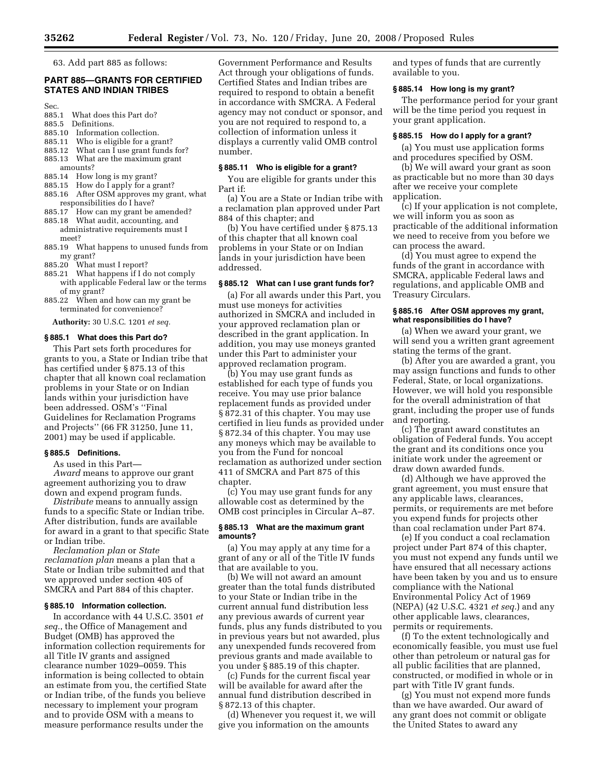63. Add part 885 as follows:

# **PART 885—GRANTS FOR CERTIFIED STATES AND INDIAN TRIBES**

Sec.

- 885.1 What does this Part do?<br>885.5 Definitions.
- Definitions.
- 885.10 Information collection.
- 885.11 Who is eligible for a grant?
- 885.12 What can I use grant funds for? 885.13 What are the maximum grant
- amounts?<br>885.14 How
- How long is my grant?
- 885.15 How do I apply for a grant?
- 885.16 After OSM approves my grant, what responsibilities do I have?
- 885.17 How can my grant be amended?
- 885.18 What audit, accounting, and administrative requirements must I meet?
- 885.19 What happens to unused funds from my grant?<br>885.20 What
- What must I report?
- 885.21 What happens if I do not comply with applicable Federal law or the terms of my grant?
- 885.22 When and how can my grant be terminated for convenience?

**Authority:** 30 U.S.C. 1201 *et seq.* 

#### **§ 885.1 What does this Part do?**

This Part sets forth procedures for grants to you, a State or Indian tribe that has certified under § 875.13 of this chapter that all known coal reclamation problems in your State or on Indian lands within your jurisdiction have been addressed. OSM's ''Final Guidelines for Reclamation Programs and Projects'' (66 FR 31250, June 11, 2001) may be used if applicable.

# **§ 885.5 Definitions.**

As used in this Part—

*Award* means to approve our grant agreement authorizing you to draw down and expend program funds.

*Distribute* means to annually assign funds to a specific State or Indian tribe. After distribution, funds are available for award in a grant to that specific State or Indian tribe.

*Reclamation plan* or *State reclamation plan* means a plan that a State or Indian tribe submitted and that we approved under section 405 of SMCRA and Part 884 of this chapter.

#### **§ 885.10 Information collection.**

In accordance with 44 U.S.C. 3501 *et seq.*, the Office of Management and Budget (OMB) has approved the information collection requirements for all Title IV grants and assigned clearance number 1029–0059. This information is being collected to obtain an estimate from you, the certified State or Indian tribe, of the funds you believe necessary to implement your program and to provide OSM with a means to measure performance results under the

Government Performance and Results Act through your obligations of funds. Certified States and Indian tribes are required to respond to obtain a benefit in accordance with SMCRA. A Federal agency may not conduct or sponsor, and you are not required to respond to, a collection of information unless it displays a currently valid OMB control number.

### **§ 885.11 Who is eligible for a grant?**

You are eligible for grants under this Part if:

(a) You are a State or Indian tribe with a reclamation plan approved under Part 884 of this chapter; and

(b) You have certified under § 875.13 of this chapter that all known coal problems in your State or on Indian lands in your jurisdiction have been addressed.

# **§ 885.12 What can I use grant funds for?**

(a) For all awards under this Part, you must use moneys for activities authorized in SMCRA and included in your approved reclamation plan or described in the grant application. In addition, you may use moneys granted under this Part to administer your approved reclamation program.

(b) You may use grant funds as established for each type of funds you receive. You may use prior balance replacement funds as provided under § 872.31 of this chapter. You may use certified in lieu funds as provided under § 872.34 of this chapter. You may use any moneys which may be available to you from the Fund for noncoal reclamation as authorized under section 411 of SMCRA and Part 875 of this chapter.

(c) You may use grant funds for any allowable cost as determined by the OMB cost principles in Circular A–87.

# **§ 885.13 What are the maximum grant amounts?**

(a) You may apply at any time for a grant of any or all of the Title IV funds that are available to you.

(b) We will not award an amount greater than the total funds distributed to your State or Indian tribe in the current annual fund distribution less any previous awards of current year funds, plus any funds distributed to you in previous years but not awarded, plus any unexpended funds recovered from previous grants and made available to you under § 885.19 of this chapter.

(c) Funds for the current fiscal year will be available for award after the annual fund distribution described in § 872.13 of this chapter.

(d) Whenever you request it, we will give you information on the amounts

and types of funds that are currently available to you.

#### **§ 885.14 How long is my grant?**

The performance period for your grant will be the time period you request in your grant application.

#### **§ 885.15 How do I apply for a grant?**

(a) You must use application forms and procedures specified by OSM.

(b) We will award your grant as soon as practicable but no more than 30 days after we receive your complete application.

(c) If your application is not complete, we will inform you as soon as practicable of the additional information we need to receive from you before we can process the award.

(d) You must agree to expend the funds of the grant in accordance with SMCRA, applicable Federal laws and regulations, and applicable OMB and Treasury Circulars.

#### **§ 885.16 After OSM approves my grant, what responsibilities do I have?**

(a) When we award your grant, we will send you a written grant agreement stating the terms of the grant.

(b) After you are awarded a grant, you may assign functions and funds to other Federal, State, or local organizations. However, we will hold you responsible for the overall administration of that grant, including the proper use of funds and reporting.

(c) The grant award constitutes an obligation of Federal funds. You accept the grant and its conditions once you initiate work under the agreement or draw down awarded funds.

(d) Although we have approved the grant agreement, you must ensure that any applicable laws, clearances, permits, or requirements are met before you expend funds for projects other than coal reclamation under Part 874.

(e) If you conduct a coal reclamation project under Part 874 of this chapter, you must not expend any funds until we have ensured that all necessary actions have been taken by you and us to ensure compliance with the National Environmental Policy Act of 1969 (NEPA) (42 U.S.C. 4321 *et seq.*) and any other applicable laws, clearances, permits or requirements.

(f) To the extent technologically and economically feasible, you must use fuel other than petroleum or natural gas for all public facilities that are planned, constructed, or modified in whole or in part with Title IV grant funds.

(g) You must not expend more funds than we have awarded. Our award of any grant does not commit or obligate the United States to award any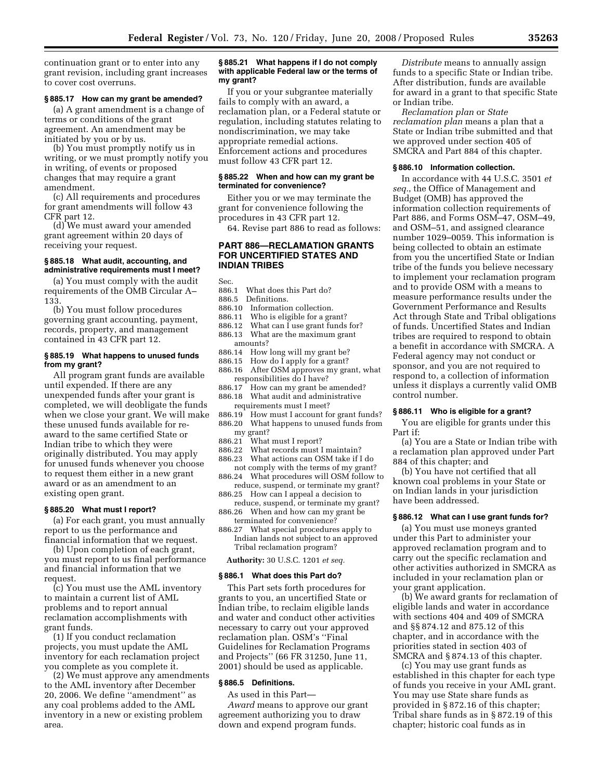continuation grant or to enter into any grant revision, including grant increases to cover cost overruns.

#### **§ 885.17 How can my grant be amended?**

(a) A grant amendment is a change of terms or conditions of the grant agreement. An amendment may be initiated by you or by us.

(b) You must promptly notify us in writing, or we must promptly notify you in writing, of events or proposed changes that may require a grant amendment.

(c) All requirements and procedures for grant amendments will follow 43 CFR part 12.

(d) We must award your amended grant agreement within 20 days of receiving your request.

#### **§ 885.18 What audit, accounting, and administrative requirements must I meet?**

(a) You must comply with the audit requirements of the OMB Circular A– 133.

(b) You must follow procedures governing grant accounting, payment, records, property, and management contained in 43 CFR part 12.

# **§ 885.19 What happens to unused funds from my grant?**

All program grant funds are available until expended. If there are any unexpended funds after your grant is completed, we will deobligate the funds when we close your grant. We will make these unused funds available for reaward to the same certified State or Indian tribe to which they were originally distributed. You may apply for unused funds whenever you choose to request them either in a new grant award or as an amendment to an existing open grant.

#### **§ 885.20 What must I report?**

(a) For each grant, you must annually report to us the performance and financial information that we request.

(b) Upon completion of each grant, you must report to us final performance and financial information that we request.

(c) You must use the AML inventory to maintain a current list of AML problems and to report annual reclamation accomplishments with grant funds.

(1) If you conduct reclamation projects, you must update the AML inventory for each reclamation project you complete as you complete it.

(2) We must approve any amendments to the AML inventory after December 20, 2006. We define ''amendment'' as any coal problems added to the AML inventory in a new or existing problem area.

# **§ 885.21 What happens if I do not comply with applicable Federal law or the terms of my grant?**

If you or your subgrantee materially fails to comply with an award, a reclamation plan, or a Federal statute or regulation, including statutes relating to nondiscrimination, we may take appropriate remedial actions. Enforcement actions and procedures must follow 43 CFR part 12.

#### **§ 885.22 When and how can my grant be terminated for convenience?**

Either you or we may terminate the grant for convenience following the procedures in 43 CFR part 12.

64. Revise part 886 to read as follows:

# **PART 886—RECLAMATION GRANTS**

**FOR UNCERTIFIED STATES AND** 

- Sec.<br>886.1 What does this Part do?
- 886.5 Definitions.

**INDIAN TRIBES** 

- 886.10 Information collection.
- 886.11 Who is eligible for a grant?
- 886.12 What can I use grant funds for?
- 886.13 What are the maximum grant amounts?
- 886.14 How long will my grant be?<br>886.15 How do I apply for a grant?
- How do I apply for a grant?
- 886.16 After OSM approves my grant, what responsibilities do I have?<br>886.17 How can my grant be
- How can my grant be amended? 886.18 What audit and administrative
- requirements must I meet?
- 886.19 How must I account for grant funds? 886.20 What happens to unused funds from my grant?
- 886.21 What must I report?
- 886.22 What records must I maintain?
- 886.23 What actions can OSM take if I do not comply with the terms of my grant?
- 886.24 What procedures will OSM follow to reduce, suspend, or terminate my grant?
- 886.25 How can I appeal a decision to
- reduce, suspend, or terminate my grant? 886.26 When and how can my grant be
- terminated for convenience? 886.27 What special procedures apply to
- Indian lands not subject to an approved Tribal reclamation program?

**Authority:** 30 U.S.C. 1201 *et seq.* 

#### **§ 886.1 What does this Part do?**

This Part sets forth procedures for grants to you, an uncertified State or Indian tribe, to reclaim eligible lands and water and conduct other activities necessary to carry out your approved reclamation plan. OSM's ''Final Guidelines for Reclamation Programs and Projects'' (66 FR 31250, June 11, 2001) should be used as applicable.

#### **§ 886.5 Definitions.**

As used in this Part—

*Award* means to approve our grant agreement authorizing you to draw down and expend program funds.

*Distribute* means to annually assign funds to a specific State or Indian tribe. After distribution, funds are available for award in a grant to that specific State or Indian tribe.

*Reclamation plan* or *State reclamation plan* means a plan that a State or Indian tribe submitted and that we approved under section 405 of SMCRA and Part 884 of this chapter.

#### **§ 886.10 Information collection.**

In accordance with 44 U.S.C. 3501 *et seq.*, the Office of Management and Budget (OMB) has approved the information collection requirements of Part 886, and Forms OSM–47, OSM–49, and OSM–51, and assigned clearance number 1029–0059. This information is being collected to obtain an estimate from you the uncertified State or Indian tribe of the funds you believe necessary to implement your reclamation program and to provide OSM with a means to measure performance results under the Government Performance and Results Act through State and Tribal obligations of funds. Uncertified States and Indian tribes are required to respond to obtain a benefit in accordance with SMCRA. A Federal agency may not conduct or sponsor, and you are not required to respond to, a collection of information unless it displays a currently valid OMB control number.

# **§ 886.11 Who is eligible for a grant?**

You are eligible for grants under this Part if:

(a) You are a State or Indian tribe with a reclamation plan approved under Part 884 of this chapter; and

(b) You have not certified that all known coal problems in your State or on Indian lands in your jurisdiction have been addressed.

#### **§ 886.12 What can I use grant funds for?**

(a) You must use moneys granted under this Part to administer your approved reclamation program and to carry out the specific reclamation and other activities authorized in SMCRA as included in your reclamation plan or your grant application.

(b) We award grants for reclamation of eligible lands and water in accordance with sections 404 and 409 of SMCRA and §§ 874.12 and 875.12 of this chapter, and in accordance with the priorities stated in section 403 of SMCRA and § 874.13 of this chapter.

(c) You may use grant funds as established in this chapter for each type of funds you receive in your AML grant. You may use State share funds as provided in § 872.16 of this chapter; Tribal share funds as in § 872.19 of this chapter; historic coal funds as in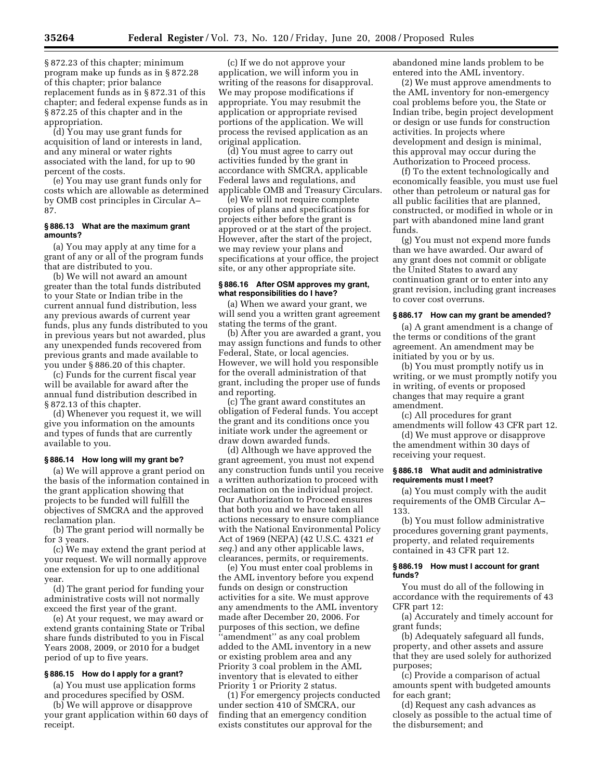§ 872.23 of this chapter; minimum program make up funds as in § 872.28 of this chapter; prior balance replacement funds as in § 872.31 of this chapter; and federal expense funds as in § 872.25 of this chapter and in the appropriation.

(d) You may use grant funds for acquisition of land or interests in land, and any mineral or water rights associated with the land, for up to 90 percent of the costs.

(e) You may use grant funds only for costs which are allowable as determined by OMB cost principles in Circular A– 87.

# **§ 886.13 What are the maximum grant amounts?**

(a) You may apply at any time for a grant of any or all of the program funds that are distributed to you.

(b) We will not award an amount greater than the total funds distributed to your State or Indian tribe in the current annual fund distribution, less any previous awards of current year funds, plus any funds distributed to you in previous years but not awarded, plus any unexpended funds recovered from previous grants and made available to you under § 886.20 of this chapter.

(c) Funds for the current fiscal year will be available for award after the annual fund distribution described in § 872.13 of this chapter.

(d) Whenever you request it, we will give you information on the amounts and types of funds that are currently available to you.

# **§ 886.14 How long will my grant be?**

(a) We will approve a grant period on the basis of the information contained in the grant application showing that projects to be funded will fulfill the objectives of SMCRA and the approved reclamation plan.

(b) The grant period will normally be for 3 years.

(c) We may extend the grant period at your request. We will normally approve one extension for up to one additional year.

(d) The grant period for funding your administrative costs will not normally exceed the first year of the grant.

(e) At your request, we may award or extend grants containing State or Tribal share funds distributed to you in Fiscal Years 2008, 2009, or 2010 for a budget period of up to five years.

#### **§ 886.15 How do I apply for a grant?**

(a) You must use application forms and procedures specified by OSM.

(b) We will approve or disapprove your grant application within 60 days of receipt.

(c) If we do not approve your application, we will inform you in writing of the reasons for disapproval. We may propose modifications if appropriate. You may resubmit the application or appropriate revised portions of the application. We will process the revised application as an original application.

(d) You must agree to carry out activities funded by the grant in accordance with SMCRA, applicable Federal laws and regulations, and applicable OMB and Treasury Circulars.

(e) We will not require complete copies of plans and specifications for projects either before the grant is approved or at the start of the project. However, after the start of the project, we may review your plans and specifications at your office, the project site, or any other appropriate site.

#### **§ 886.16 After OSM approves my grant, what responsibilities do I have?**

(a) When we award your grant, we will send you a written grant agreement stating the terms of the grant.

(b) After you are awarded a grant, you may assign functions and funds to other Federal, State, or local agencies. However, we will hold you responsible for the overall administration of that grant, including the proper use of funds and reporting.

(c) The grant award constitutes an obligation of Federal funds. You accept the grant and its conditions once you initiate work under the agreement or draw down awarded funds.

(d) Although we have approved the grant agreement, you must not expend any construction funds until you receive a written authorization to proceed with reclamation on the individual project. Our Authorization to Proceed ensures that both you and we have taken all actions necessary to ensure compliance with the National Environmental Policy Act of 1969 (NEPA) (42 U.S.C. 4321 *et seq.*) and any other applicable laws, clearances, permits, or requirements.

(e) You must enter coal problems in the AML inventory before you expend funds on design or construction activities for a site. We must approve any amendments to the AML inventory made after December 20, 2006. For purposes of this section, we define ''amendment'' as any coal problem added to the AML inventory in a new or existing problem area and any Priority 3 coal problem in the AML inventory that is elevated to either Priority 1 or Priority 2 status.

(1) For emergency projects conducted under section 410 of SMCRA, our finding that an emergency condition exists constitutes our approval for the

abandoned mine lands problem to be entered into the AML inventory.

(2) We must approve amendments to the AML inventory for non-emergency coal problems before you, the State or Indian tribe, begin project development or design or use funds for construction activities. In projects where development and design is minimal, this approval may occur during the Authorization to Proceed process.

(f) To the extent technologically and economically feasible, you must use fuel other than petroleum or natural gas for all public facilities that are planned, constructed, or modified in whole or in part with abandoned mine land grant funds.

(g) You must not expend more funds than we have awarded. Our award of any grant does not commit or obligate the United States to award any continuation grant or to enter into any grant revision, including grant increases to cover cost overruns.

#### **§ 886.17 How can my grant be amended?**

(a) A grant amendment is a change of the terms or conditions of the grant agreement. An amendment may be initiated by you or by us.

(b) You must promptly notify us in writing, or we must promptly notify you in writing, of events or proposed changes that may require a grant amendment.

(c) All procedures for grant amendments will follow 43 CFR part 12.

(d) We must approve or disapprove the amendment within 30 days of receiving your request.

#### **§ 886.18 What audit and administrative requirements must I meet?**

(a) You must comply with the audit requirements of the OMB Circular A– 133.

(b) You must follow administrative procedures governing grant payments, property, and related requirements contained in 43 CFR part 12.

#### **§ 886.19 How must I account for grant funds?**

You must do all of the following in accordance with the requirements of 43 CFR part 12:

(a) Accurately and timely account for grant funds;

(b) Adequately safeguard all funds, property, and other assets and assure that they are used solely for authorized purposes;

(c) Provide a comparison of actual amounts spent with budgeted amounts for each grant;

(d) Request any cash advances as closely as possible to the actual time of the disbursement; and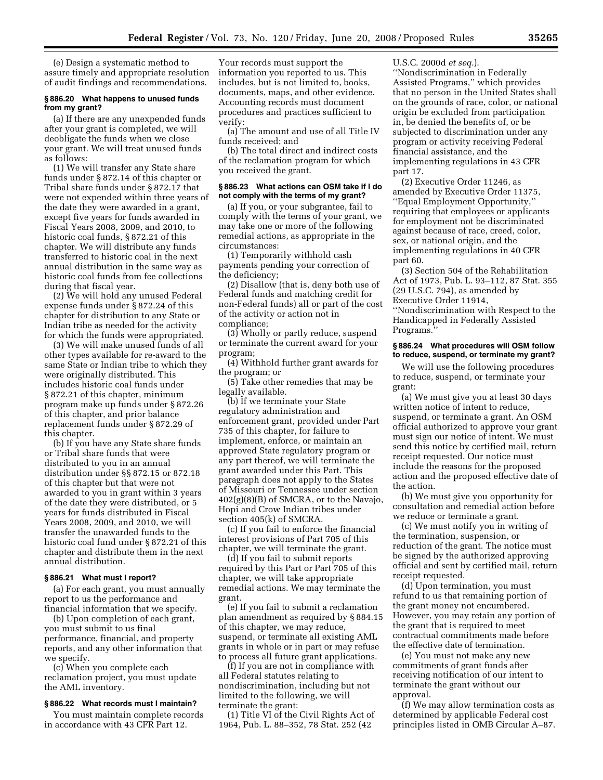(e) Design a systematic method to assure timely and appropriate resolution of audit findings and recommendations.

#### **§ 886.20 What happens to unused funds from my grant?**

(a) If there are any unexpended funds after your grant is completed, we will deobligate the funds when we close your grant. We will treat unused funds as follows:

(1) We will transfer any State share funds under § 872.14 of this chapter or Tribal share funds under § 872.17 that were not expended within three years of the date they were awarded in a grant, except five years for funds awarded in Fiscal Years 2008, 2009, and 2010, to historic coal funds, § 872.21 of this chapter. We will distribute any funds transferred to historic coal in the next annual distribution in the same way as historic coal funds from fee collections during that fiscal year.

(2) We will hold any unused Federal expense funds under § 872.24 of this chapter for distribution to any State or Indian tribe as needed for the activity for which the funds were appropriated.

(3) We will make unused funds of all other types available for re-award to the same State or Indian tribe to which they were originally distributed. This includes historic coal funds under § 872.21 of this chapter, minimum program make up funds under § 872.26 of this chapter, and prior balance replacement funds under § 872.29 of this chapter.

(b) If you have any State share funds or Tribal share funds that were distributed to you in an annual distribution under §§ 872.15 or 872.18 of this chapter but that were not awarded to you in grant within 3 years of the date they were distributed, or 5 years for funds distributed in Fiscal Years 2008, 2009, and 2010, we will transfer the unawarded funds to the historic coal fund under § 872.21 of this chapter and distribute them in the next annual distribution.

# **§ 886.21 What must I report?**

(a) For each grant, you must annually report to us the performance and financial information that we specify.

(b) Upon completion of each grant, you must submit to us final performance, financial, and property reports, and any other information that we specify.

(c) When you complete each reclamation project, you must update the AML inventory.

#### **§ 886.22 What records must I maintain?**

You must maintain complete records in accordance with 43 CFR Part 12.

Your records must support the information you reported to us. This includes, but is not limited to, books, documents, maps, and other evidence. Accounting records must document procedures and practices sufficient to verify:

(a) The amount and use of all Title IV funds received; and

(b) The total direct and indirect costs of the reclamation program for which you received the grant.

# **§ 886.23 What actions can OSM take if I do not comply with the terms of my grant?**

(a) If you, or your subgrantee, fail to comply with the terms of your grant, we may take one or more of the following remedial actions, as appropriate in the circumstances:

(1) Temporarily withhold cash payments pending your correction of the deficiency;

(2) Disallow (that is, deny both use of Federal funds and matching credit for non-Federal funds) all or part of the cost of the activity or action not in compliance;

(3) Wholly or partly reduce, suspend or terminate the current award for your program;

(4) Withhold further grant awards for the program; or

(5) Take other remedies that may be legally available.

(b) If we terminate your State regulatory administration and enforcement grant, provided under Part 735 of this chapter, for failure to implement, enforce, or maintain an approved State regulatory program or any part thereof, we will terminate the grant awarded under this Part. This paragraph does not apply to the States of Missouri or Tennessee under section 402(g)(8)(B) of SMCRA, or to the Navajo, Hopi and Crow Indian tribes under section 405(k) of SMCRA.

(c) If you fail to enforce the financial interest provisions of Part 705 of this chapter, we will terminate the grant.

(d) If you fail to submit reports required by this Part or Part 705 of this chapter, we will take appropriate remedial actions. We may terminate the grant.

(e) If you fail to submit a reclamation plan amendment as required by § 884.15 of this chapter, we may reduce, suspend, or terminate all existing AML grants in whole or in part or may refuse to process all future grant applications.

(f) If you are not in compliance with all Federal statutes relating to nondiscrimination, including but not limited to the following, we will terminate the grant:

(1) Title VI of the Civil Rights Act of 1964, Pub. L. 88–352, 78 Stat. 252 (42

U.S.C. 2000d *et seq.*).

''Nondiscrimination in Federally Assisted Programs,'' which provides that no person in the United States shall on the grounds of race, color, or national origin be excluded from participation in, be denied the benefits of, or be subjected to discrimination under any program or activity receiving Federal financial assistance, and the implementing regulations in 43 CFR part 17.

(2) Executive Order 11246, as amended by Executive Order 11375, ''Equal Employment Opportunity,'' requiring that employees or applicants for employment not be discriminated against because of race, creed, color, sex, or national origin, and the implementing regulations in 40 CFR part 60.

(3) Section 504 of the Rehabilitation Act of 1973, Pub. L. 93–112, 87 Stat. 355 (29 U.S.C. 794), as amended by Executive Order 11914, ''Nondiscrimination with Respect to the

Handicapped in Federally Assisted Programs.''

#### **§ 886.24 What procedures will OSM follow to reduce, suspend, or terminate my grant?**

We will use the following procedures to reduce, suspend, or terminate your grant:

(a) We must give you at least 30 days written notice of intent to reduce, suspend, or terminate a grant. An OSM official authorized to approve your grant must sign our notice of intent. We must send this notice by certified mail, return receipt requested. Our notice must include the reasons for the proposed action and the proposed effective date of the action.

(b) We must give you opportunity for consultation and remedial action before we reduce or terminate a grant.

(c) We must notify you in writing of the termination, suspension, or reduction of the grant. The notice must be signed by the authorized approving official and sent by certified mail, return receipt requested.

(d) Upon termination, you must refund to us that remaining portion of the grant money not encumbered. However, you may retain any portion of the grant that is required to meet contractual commitments made before the effective date of termination.

(e) You must not make any new commitments of grant funds after receiving notification of our intent to terminate the grant without our approval.

(f) We may allow termination costs as determined by applicable Federal cost principles listed in OMB Circular A–87.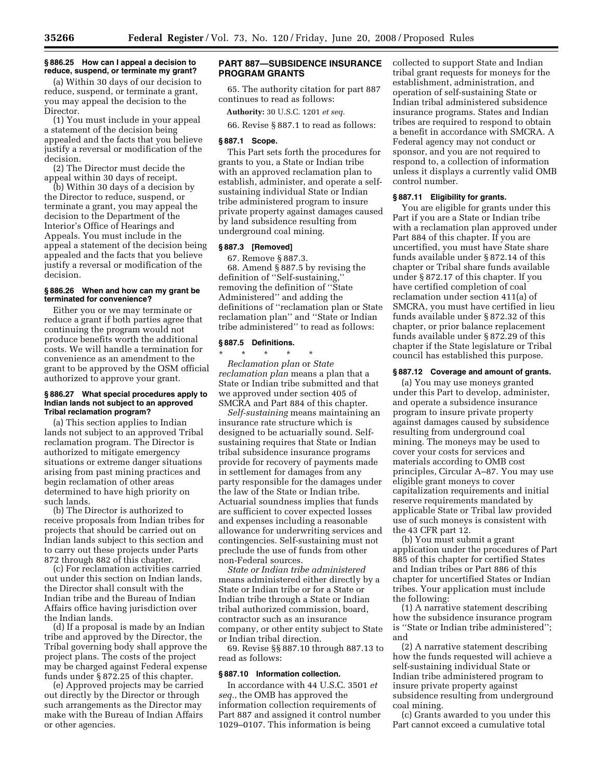### **§ 886.25 How can I appeal a decision to reduce, suspend, or terminate my grant?**

(a) Within 30 days of our decision to reduce, suspend, or terminate a grant, you may appeal the decision to the Director.

(1) You must include in your appeal a statement of the decision being appealed and the facts that you believe justify a reversal or modification of the decision.

(2) The Director must decide the appeal within 30 days of receipt.

(b) Within 30 days of a decision by the Director to reduce, suspend, or terminate a grant, you may appeal the decision to the Department of the Interior's Office of Hearings and Appeals. You must include in the appeal a statement of the decision being appealed and the facts that you believe justify a reversal or modification of the decision.

# **§ 886.26 When and how can my grant be terminated for convenience?**

Either you or we may terminate or reduce a grant if both parties agree that continuing the program would not produce benefits worth the additional costs. We will handle a termination for convenience as an amendment to the grant to be approved by the OSM official authorized to approve your grant.

# **§ 886.27 What special procedures apply to Indian lands not subject to an approved Tribal reclamation program?**

(a) This section applies to Indian lands not subject to an approved Tribal reclamation program. The Director is authorized to mitigate emergency situations or extreme danger situations arising from past mining practices and begin reclamation of other areas determined to have high priority on such lands.

(b) The Director is authorized to receive proposals from Indian tribes for projects that should be carried out on Indian lands subject to this section and to carry out these projects under Parts 872 through 882 of this chapter.

(c) For reclamation activities carried out under this section on Indian lands, the Director shall consult with the Indian tribe and the Bureau of Indian Affairs office having jurisdiction over the Indian lands.

(d) If a proposal is made by an Indian tribe and approved by the Director, the Tribal governing body shall approve the project plans. The costs of the project may be charged against Federal expense funds under § 872.25 of this chapter.

(e) Approved projects may be carried out directly by the Director or through such arrangements as the Director may make with the Bureau of Indian Affairs or other agencies.

# **PART 887—SUBSIDENCE INSURANCE PROGRAM GRANTS**

65. The authority citation for part 887 continues to read as follows:

**Authority:** 30 U.S.C. 1201 *et seq.* 

66. Revise § 887.1 to read as follows:

# **§ 887.1 Scope.**

This Part sets forth the procedures for grants to you, a State or Indian tribe with an approved reclamation plan to establish, administer, and operate a selfsustaining individual State or Indian tribe administered program to insure private property against damages caused by land subsidence resulting from underground coal mining.

#### **§ 887.3 [Removed]**

67. Remove § 887.3. 68. Amend § 887.5 by revising the definition of ''Self-sustaining,'' removing the definition of ''State Administered'' and adding the definitions of ''reclamation plan or State reclamation plan'' and ''State or Indian tribe administered'' to read as follows:

# **§ 887.5 Definitions.**

\* \* \* \* \* *Reclamation plan* or *State reclamation plan* means a plan that a State or Indian tribe submitted and that we approved under section 405 of SMCRA and Part 884 of this chapter.

*Self-sustaining* means maintaining an insurance rate structure which is designed to be actuarially sound. Selfsustaining requires that State or Indian tribal subsidence insurance programs provide for recovery of payments made in settlement for damages from any party responsible for the damages under the law of the State or Indian tribe. Actuarial soundness implies that funds are sufficient to cover expected losses and expenses including a reasonable allowance for underwriting services and contingencies. Self-sustaining must not preclude the use of funds from other non-Federal sources.

*State or Indian tribe administered*  means administered either directly by a State or Indian tribe or for a State or Indian tribe through a State or Indian tribal authorized commission, board, contractor such as an insurance company, or other entity subject to State or Indian tribal direction.

69. Revise §§ 887.10 through 887.13 to read as follows:

# **§ 887.10 Information collection.**

In accordance with 44 U.S.C. 3501 *et seq.*, the OMB has approved the information collection requirements of Part 887 and assigned it control number 1029–0107. This information is being

collected to support State and Indian tribal grant requests for moneys for the establishment, administration, and operation of self-sustaining State or Indian tribal administered subsidence insurance programs. States and Indian tribes are required to respond to obtain a benefit in accordance with SMCRA. A Federal agency may not conduct or sponsor, and you are not required to respond to, a collection of information unless it displays a currently valid OMB control number.

#### **§ 887.11 Eligibility for grants.**

You are eligible for grants under this Part if you are a State or Indian tribe with a reclamation plan approved under Part 884 of this chapter. If you are uncertified, you must have State share funds available under § 872.14 of this chapter or Tribal share funds available under § 872.17 of this chapter. If you have certified completion of coal reclamation under section 411(a) of SMCRA, you must have certified in lieu funds available under § 872.32 of this chapter, or prior balance replacement funds available under § 872.29 of this chapter if the State legislature or Tribal council has established this purpose.

# **§ 887.12 Coverage and amount of grants.**

(a) You may use moneys granted under this Part to develop, administer, and operate a subsidence insurance program to insure private property against damages caused by subsidence resulting from underground coal mining. The moneys may be used to cover your costs for services and materials according to OMB cost principles, Circular A–87. You may use eligible grant moneys to cover capitalization requirements and initial reserve requirements mandated by applicable State or Tribal law provided use of such moneys is consistent with the 43 CFR part 12.

(b) You must submit a grant application under the procedures of Part 885 of this chapter for certified States and Indian tribes or Part 886 of this chapter for uncertified States or Indian tribes. Your application must include the following:

(1) A narrative statement describing how the subsidence insurance program is ''State or Indian tribe administered''; and

(2) A narrative statement describing how the funds requested will achieve a self-sustaining individual State or Indian tribe administered program to insure private property against subsidence resulting from underground coal mining.

(c) Grants awarded to you under this Part cannot exceed a cumulative total